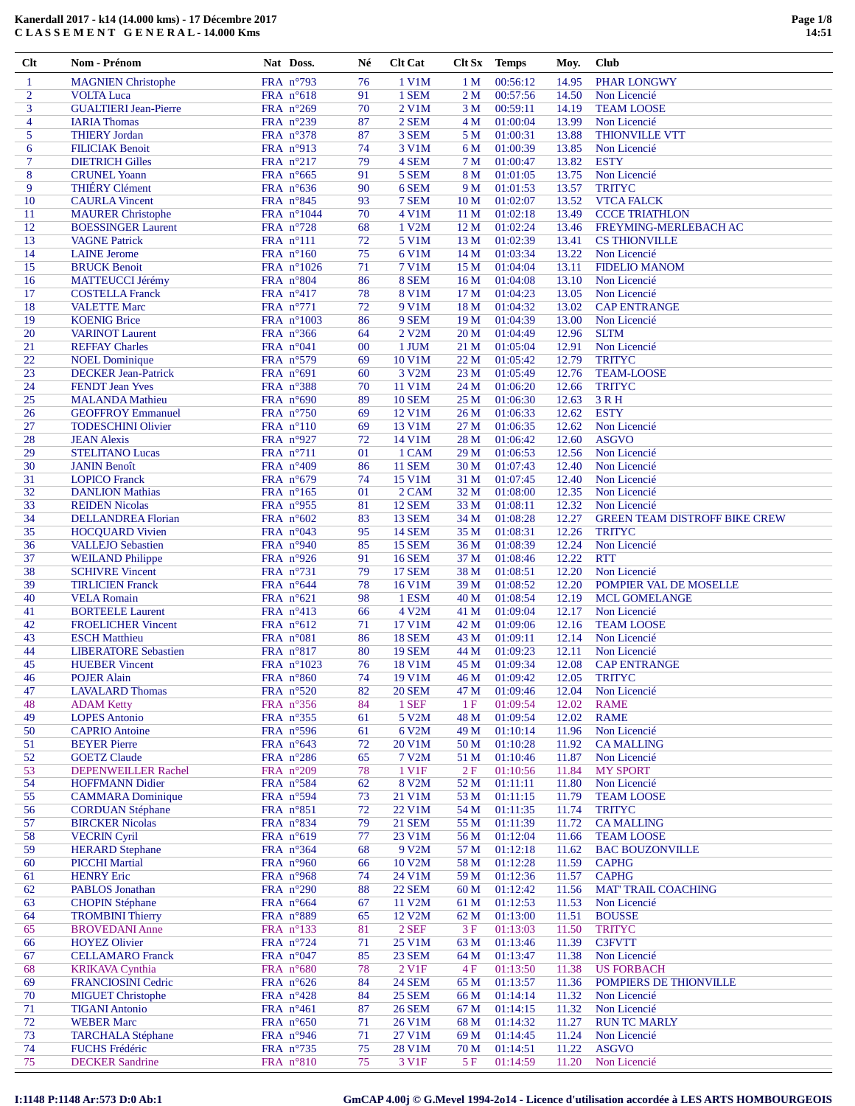| $\mathbf{1}$   | <b>MAGNIEN Christophe</b>    | FRA n°793            | 76 | 1 V1M               | 1 <sub>M</sub>  | 00:56:12 | 14.95 | <b>PHAR LONGWY</b>                   |
|----------------|------------------------------|----------------------|----|---------------------|-----------------|----------|-------|--------------------------------------|
| $\overline{2}$ | <b>VOLTA Luca</b>            | FRA n°618            | 91 | 1 SEM               | 2 M             | 00:57:56 | 14.50 | Non Licencié                         |
| 3              | <b>GUALTIERI Jean-Pierre</b> | FRA n°269            | 70 | 2 V1M               | 3 M             | 00:59:11 | 14.19 | <b>TEAM LOOSE</b>                    |
| 4              | <b>IARIA Thomas</b>          | FRA n°239            | 87 | 2 SEM               | 4 M             | 01:00:04 | 13.99 | Non Licencié                         |
| 5              | <b>THIERY Jordan</b>         | FRA n°378            | 87 | 3 SEM               | 5 M             | 01:00:31 | 13.88 | <b>THIONVILLE VTT</b>                |
| 6              | <b>FILICIAK Benoit</b>       | FRA $n^{\circ}913$   | 74 | 3 V1M               | 6 M             | 01:00:39 | 13.85 | Non Licencié                         |
| 7              | <b>DIETRICH Gilles</b>       | FRA n°217            | 79 | 4 SEM               | 7 M             | 01:00:47 | 13.82 | <b>ESTY</b>                          |
| 8              | <b>CRUNEL Yoann</b>          | FRA n°665            | 91 | 5 SEM               | 8 M             | 01:01:05 | 13.75 | Non Licencié                         |
| 9              | <b>THIÉRY Clément</b>        | FRA $n^{\circ}636$   | 90 | 6 SEM               | 9 M             | 01:01:53 | 13.57 | <b>TRITYC</b>                        |
| 10             | <b>CAURLA Vincent</b>        | FRA n°845            | 93 | 7 SEM               | 10 <sub>M</sub> | 01:02:07 | 13.52 | <b>VTCA FALCK</b>                    |
| 11             | <b>MAURER Christophe</b>     | FRA n°1044           | 70 | 4 V1M               | 11 <sub>M</sub> | 01:02:18 | 13.49 | <b>CCCE TRIATHLON</b>                |
| 12             | <b>BOESSINGER Laurent</b>    | FRA n°728            | 68 | 1 V2M               | 12 <sub>M</sub> | 01:02:24 | 13.46 | FREYMING-MERLEBACH AC                |
| 13             | <b>VAGNE Patrick</b>         | $FRA$ $n^{\circ}111$ | 72 | 5 V1M               | 13 <sub>M</sub> | 01:02:39 | 13.41 | <b>CS THIONVILLE</b>                 |
| 14             | <b>LAINE</b> Jerome          | FRA n°160            | 75 | 6 V1M               | 14 M            | 01:03:34 | 13.22 | Non Licencié                         |
| 15             | <b>BRUCK Benoit</b>          | FRA $n^{\circ}1026$  | 71 | <b>7 V1M</b>        | 15 M            | 01:04:04 | 13.11 | <b>FIDELIO MANOM</b>                 |
| 16             | MATTEUCCI Jérémy             | FRA $n^{\circ}804$   | 86 | 8 SEM               | 16 <sub>M</sub> | 01:04:08 | 13.10 | Non Licencié                         |
| 17             | <b>COSTELLA Franck</b>       | FRA $n^{\circ}417$   | 78 | <b>8 V1M</b>        | 17 <sub>M</sub> | 01:04:23 | 13.05 | Non Licencié                         |
| 18             | <b>VALETTE Marc</b>          | FRA $n^{\circ}771$   | 72 | 9 V1M               | 18 <sub>M</sub> | 01:04:32 | 13.02 | <b>CAP ENTRANGE</b>                  |
| 19             | <b>KOENIG Brice</b>          | FRA $n^{\circ}1003$  | 86 | 9 SEM               | 19 <sub>M</sub> | 01:04:39 | 13.00 | Non Licencié                         |
| 20             | <b>VARINOT Laurent</b>       | FRA n°366            | 64 | 2 V2M               | 20 <sub>M</sub> | 01:04:49 | 12.96 | <b>SLTM</b>                          |
| 21             | <b>REFFAY Charles</b>        | FRA n°041            | 00 | 1 JUM               | 21 M            | 01:05:04 | 12.91 | Non Licencié                         |
| 22             | <b>NOEL Dominique</b>        | FRA n°579            | 69 | 10 V1M              | 22 M            | 01:05:42 | 12.79 | <b>TRITYC</b>                        |
| 23             | <b>DECKER Jean-Patrick</b>   | FRA n°691            | 60 | 3 V2M               | 23 M            | 01:05:49 | 12.76 | <b>TEAM-LOOSE</b>                    |
| 24             | <b>FENDT</b> Jean Yves       | FRA n°388            | 70 | 11 V1M              | 24 M            | 01:06:20 | 12.66 | <b>TRITYC</b>                        |
| 25             | <b>MALANDA Mathieu</b>       | FRA n°690            | 89 | <b>10 SEM</b>       | 25 M            | 01:06:30 | 12.63 | 3 R H                                |
| 26             | <b>GEOFFROY Emmanuel</b>     | FRA $n^{\circ}750$   | 69 | 12 V1M              | 26 <sub>M</sub> | 01:06:33 | 12.62 | <b>ESTY</b>                          |
| 27             | <b>TODESCHINI Olivier</b>    | FRA $n^{\circ}110$   | 69 | 13 V1M              | 27 M            | 01:06:35 | 12.62 | Non Licencié                         |
| 28             | <b>JEAN Alexis</b>           | FRA nº927            | 72 | 14 V1M              | 28 M            | 01:06:42 | 12.60 | <b>ASGVO</b>                         |
| 29             | <b>STELITANO Lucas</b>       | FRA n°711            | 01 | 1 CAM               | 29 M            | 01:06:53 | 12.56 | Non Licencié                         |
| 30             | <b>JANIN Benoît</b>          | FRA n°409            | 86 | <b>11 SEM</b>       | 30 M            | 01:07:43 | 12.40 | Non Licencié                         |
| 31             | <b>LOPICO</b> Franck         | FRA n°679            | 74 | 15 V1M              | 31 M            | 01:07:45 | 12.40 | Non Licencié                         |
| 32             | <b>DANLION Mathias</b>       | FRA n°165            | 01 | 2 CAM               | 32 M            | 01:08:00 | 12.35 | Non Licencié                         |
| 33             | <b>REIDEN Nicolas</b>        | FRA nº955            | 81 | <b>12 SEM</b>       | 33 M            | 01:08:11 | 12.32 | Non Licencié                         |
| 34             | <b>DELLANDREA Florian</b>    | FRA $n^{\circ}602$   | 83 | <b>13 SEM</b>       | 34 M            | 01:08:28 | 12.27 | <b>GREEN TEAM DISTROFF BIKE CREW</b> |
| 35             | <b>HOCQUARD Vivien</b>       | FRA n°043            | 95 | <b>14 SEM</b>       | 35 M            | 01:08:31 | 12.26 | <b>TRITYC</b>                        |
| 36             | <b>VALLEJO Sebastien</b>     | FRA n°940            | 85 | <b>15 SEM</b>       | 36 M            | 01:08:39 | 12.24 | Non Licencié                         |
| 37             | <b>WEILAND Philippe</b>      | FRA $n^{\circ}$ 926  | 91 | <b>16 SEM</b>       | 37 M            | 01:08:46 | 12.22 | <b>RTT</b>                           |
| 38             | <b>SCHIVRE Vincent</b>       | FRA $n^{\circ}$ 731  | 79 | <b>17 SEM</b>       | 38 M            | 01:08:51 | 12.20 | Non Licencié                         |
| 39             | <b>TIRLICIEN Franck</b>      | FRA n°644            | 78 | 16 V1M              | 39 M            | 01:08:52 | 12.20 | POMPIER VAL DE MOSELLE               |
| 40             | <b>VELA Romain</b>           | FRA $n^{\circ}621$   | 98 | 1 ESM               | 40 M            | 01:08:54 | 12.19 | <b>MCL GOMELANGE</b>                 |
| 41             | <b>BORTEELE Laurent</b>      | FRA $n^{\circ}413$   | 66 | 4 V2M               | 41 M            | 01:09:04 | 12.17 | Non Licencié                         |
| 42             | <b>FROELICHER Vincent</b>    | FRA $n^{\circ}612$   | 71 | 17 V1M              | 42 M            | 01:09:06 | 12.16 | <b>TEAM LOOSE</b>                    |
| 43             | <b>ESCH Matthieu</b>         | FRA n°081            | 86 | <b>18 SEM</b>       | 43 M            | 01:09:11 | 12.14 | Non Licencié                         |
| 44             | <b>LIBERATORE Sebastien</b>  | FRA $n^{\circ}817$   | 80 | <b>19 SEM</b>       | 44 M            | 01:09:23 | 12.11 | Non Licencié                         |
| 45             | <b>HUEBER Vincent</b>        | FRA n°1023           | 76 | 18 V1M              | 45 M            | 01:09:34 | 12.08 | <b>CAP ENTRANGE</b>                  |
| 46             | <b>POJER Alain</b>           | FRA n°860            | 74 | 19 V1M              | 46 M            | 01:09:42 | 12.05 | <b>TRITYC</b>                        |
| 47             | <b>LAVALARD Thomas</b>       | FRA $n^{\circ}520$   | 82 | <b>20 SEM</b>       | 47 M            | 01:09:46 | 12.04 | Non Licencié                         |
| 48             | <b>ADAM Ketty</b>            | FRA n°356            | 84 | 1 SEF               | 1F              | 01:09:54 | 12.02 | RAME                                 |
| 49             | <b>LOPES</b> Antonio         | FRA n°355            | 61 | 5 V2M               | 48 M            | 01:09:54 | 12.02 | <b>RAME</b>                          |
| 50             | <b>CAPRIO</b> Antoine        | FRA $n^{\circ}$ 596  | 61 | 6 V2M               | 49 M            | 01:10:14 | 11.96 | Non Licencié                         |
| 51             | <b>BEYER Pierre</b>          | FRA n°643            | 72 | 20 V1M              | 50 M            | 01:10:28 | 11.92 | <b>CAMALLING</b>                     |
| 52             | <b>GOETZ Claude</b>          | FRA n°286            | 65 | 7 V2M               | 51 M            | 01:10:46 | 11.87 | Non Licencié                         |
| 53             | DEPENWEILLER Rachel          | FRA n°209            | 78 | 1 V1F               | 2F              | 01:10:56 | 11.84 | <b>MY SPORT</b>                      |
| 54             | <b>HOFFMANN Didier</b>       | FRA $n^{\circ}584$   | 62 | 8 V2M               | 52 M            | 01:11:11 | 11.80 | Non Licencié                         |
| 55             | <b>CAMMARA</b> Dominique     | FRA n°594            | 73 | 21 V1M              | 53 M            | 01:11:15 | 11.79 | <b>TEAM LOOSE</b>                    |
| 56             | <b>CORDUAN Stéphane</b>      | FRA n°851            | 72 | 22 V1M              | 54 M            | 01:11:35 | 11.74 | <b>TRITYC</b>                        |
| 57             | <b>BIRCKER Nicolas</b>       | FRA $n^{\circ}834$   | 79 | <b>21 SEM</b>       | 55 M            | 01:11:39 | 11.72 | <b>CAMALLING</b>                     |
| 58             | <b>VECRIN Cyril</b>          | FRA $n^{\circ}619$   | 77 | 23 V1M              | 56 M            | 01:12:04 | 11.66 | <b>TEAM LOOSE</b>                    |
| 59             | <b>HERARD</b> Stephane       | FRA $n^{\circ}364$   | 68 | 9 V <sub>2</sub> M  | 57 M            | 01:12:18 | 11.62 | <b>BAC BOUZONVILLE</b>               |
| 60             | <b>PICCHI</b> Martial        | FRA n°960            | 66 | 10 V <sub>2</sub> M | 58 M            | 01:12:28 | 11.59 | <b>CAPHG</b>                         |
| 61             | <b>HENRY Eric</b>            | FRA n°968            | 74 | 24 V1M              | 59 M            | 01:12:36 | 11.57 | <b>CAPHG</b>                         |
| 62             | PABLOS Jonathan              | FRA n°290            | 88 | <b>22 SEM</b>       | 60 M            | 01:12:42 | 11.56 | <b>MAT' TRAIL COACHING</b>           |
| 63             | <b>CHOPIN Stéphane</b>       | FRA $n^{\circ}664$   | 67 | 11 V2M              | 61 M            | 01:12:53 | 11.53 | Non Licencié                         |
| 64             | <b>TROMBINI Thierry</b>      | FRA n°889            | 65 | 12 V2M              | 62 M            | 01:13:00 | 11.51 | <b>BOUSSE</b>                        |
| 65             | <b>BROVEDANI</b> Anne        | FRA $n^{\circ}$ 133  | 81 | 2 SEF               | 3F              | 01:13:03 | 11.50 | <b>TRITYC</b>                        |
| 66             | <b>HOYEZ Olivier</b>         | FRA $n^{\circ}$ 724  | 71 | 25 V1M              | 63 M            | 01:13:46 | 11.39 | <b>C3FVTT</b>                        |
| 67             | <b>CELLAMARO</b> Franck      | FRA $n^{\circ}047$   | 85 | 23 SEM              | 64 M            | 01:13:47 | 11.38 | Non Licencié                         |
| 68             | <b>KRIKAVA Cynthia</b>       | FRA $n^{\circ}680$   | 78 | 2 V1F               | 4F              | 01:13:50 | 11.38 | <b>US FORBACH</b>                    |
| 69             | FRANCIOSINI Cedric           | FRA $n^{\circ}626$   | 84 | <b>24 SEM</b>       | 65 M            | 01:13:57 | 11.36 | POMPIERS DE THIONVILLE               |
| 70             | <b>MIGUET Christophe</b>     | FRA n°428            | 84 | <b>25 SEM</b>       | 66 M            | 01:14:14 | 11.32 | Non Licencié                         |
| 71             | <b>TIGANI Antonio</b>        | FRA n°461            | 87 | <b>26 SEM</b>       | 67 M            | 01:14:15 | 11.32 | Non Licencié                         |
| 72             | <b>WEBER Marc</b>            | FRA $n^{\circ}650$   | 71 | 26 V1M              | 68 M            | 01:14:32 | 11.27 | <b>RUN TC MARLY</b>                  |
| 73             | <b>TARCHALA Stéphane</b>     | FRA n°946            | 71 | 27 V1M              | 69 M            | 01:14:45 | 11.24 | Non Licencié                         |
| 74             | FUCHS Frédéric               | FRA n°735            | 75 | 28 V1M              | 70 M            | 01:14:51 | 11.22 | <b>ASGVO</b>                         |
| 75             | <b>DECKER</b> Sandrine       | FRA n°810            | 75 | 3 V1F               | 5 F             | 01:14:59 | 11.20 | Non Licencié                         |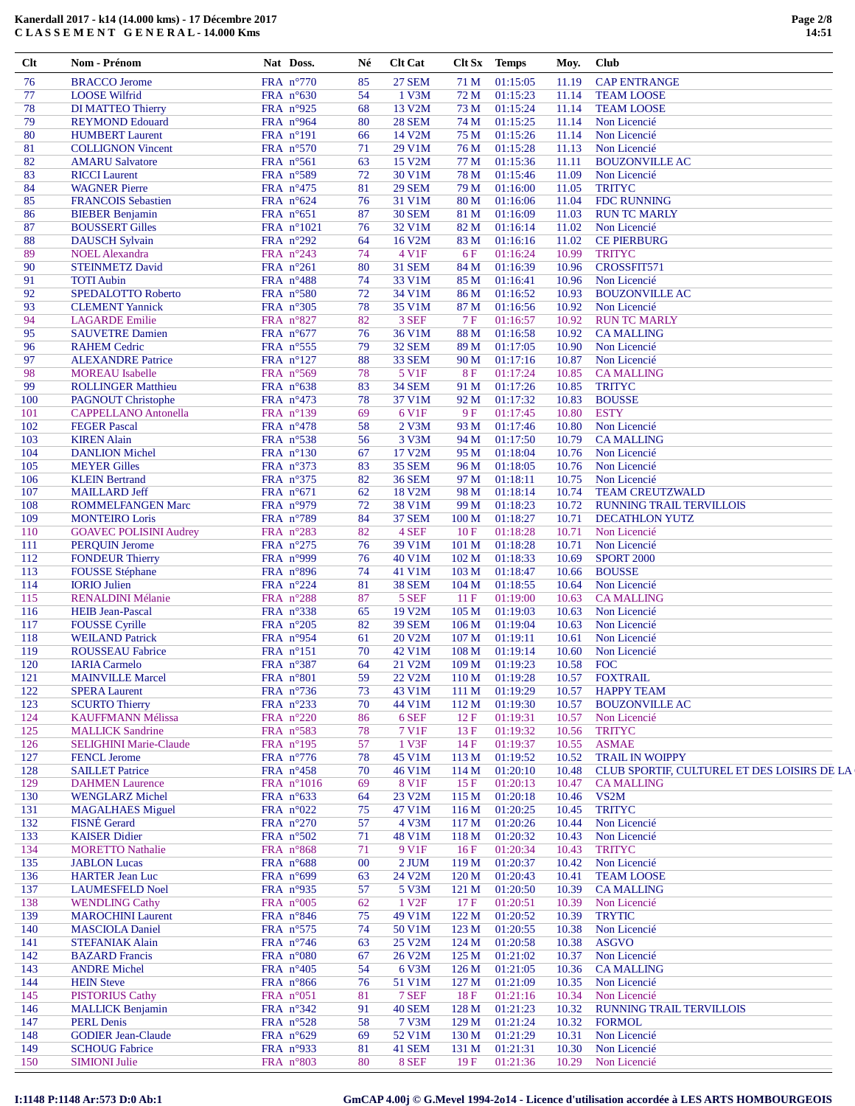| 77<br><b>LOOSE Wilfrid</b><br>FRA $n^{\circ}630$<br>54<br>1 V3M<br>01:15:23<br>72 M<br>11.14<br><b>TEAM LOOSE</b><br>FRA n°925<br>68<br>13 V2M<br>01:15:24<br>78<br>DI MATTEO Thierry<br>73 M<br>11.14<br><b>TEAM LOOSE</b><br>FRA n°964<br><b>REYMOND Edouard</b><br>80<br><b>28 SEM</b><br>74 M<br>01:15:25<br>11.14<br>Non Licencié<br>79<br>80<br><b>HUMBERT Laurent</b><br>FRA n°191<br>14 V2M<br>75 M<br>01:15:26<br>11.14<br>Non Licencié<br>66<br>FRA n°570<br>29 V1M<br><b>COLLIGNON Vincent</b><br>71<br>76 M<br>01:15:28<br>11.13<br>Non Licencié<br>81<br>FRA n°561<br>15 V2M<br>82<br><b>AMARU Salvatore</b><br>63<br>77 M<br>01:15:36<br>11.11<br><b>BOUZONVILLE AC</b><br>83<br>FRA n°589<br>72<br>30 V1M<br>78 M<br>01:15:46<br>11.09<br>Non Licencié<br><b>RICCI</b> Laurent<br>84<br><b>WAGNER Pierre</b><br>FRA n°475<br>81<br><b>29 SEM</b><br>79 M<br>01:16:00<br>11.05<br><b>TRITYC</b><br>FRA $n^{\circ}624$<br>76<br>31 V1M<br>11.04<br><b>FDC RUNNING</b><br>85<br><b>FRANCOIS Sebastien</b><br>80 M<br>01:16:06<br><b>BIEBER Benjamin</b><br>FRA $n^{\circ}651$<br>87<br><b>30 SEM</b><br>81 M<br>01:16:09<br>11.03<br><b>RUN TC MARLY</b><br>86<br>32 V1M<br><b>BOUSSERT Gilles</b><br>FRA n°1021<br>76<br>82 M<br>01:16:14<br>11.02<br>Non Licencié<br>87<br>FRA n°292<br>64<br>16 V2M<br>01:16:16<br>11.02<br><b>CE PIERBURG</b><br>88<br><b>DAUSCH Sylvain</b><br>83 M<br>4 V1F<br>89<br><b>NOEL Alexandra</b><br>FRA n°243<br>74<br>6F<br>01:16:24<br>10.99<br><b>TRITYC</b><br>90<br><b>STEINMETZ David</b><br>FRA $n^{\circ}261$<br>80<br><b>31 SEM</b><br>84 M<br>01:16:39<br>10.96<br>CROSSFIT571<br><b>TOTI Aubin</b><br>FRA n°488<br>74<br>33 V1M<br>85 M<br>01:16:41<br>10.96<br>Non Licencié<br>91<br>SPEDALOTTO Roberto<br>FRA n°580<br>72<br>34 V1M<br>01:16:52<br>10.93<br><b>BOUZONVILLE AC</b><br>92<br>86 M<br>FRA n°305<br><b>CLEMENT Yannick</b><br>78<br>35 V1M<br>87 M<br>01:16:56<br>10.92<br>Non Licencié<br>93<br>FRA n°827<br>94<br><b>LAGARDE</b> Emilie<br>82<br>3 SEF<br><b>7F</b><br>01:16:57<br>10.92<br><b>RUN TC MARLY</b><br>95<br><b>SAUVETRE Damien</b><br>FRA n°677<br>76<br>36 V1M<br>88 M<br>01:16:58<br>10.92<br><b>CA MALLING</b><br>FRA n°555<br>79<br>32 SEM<br>01:17:05<br>10.90<br>Non Licencié<br>96<br><b>RAHEM Cedric</b><br>89 M<br>FRA n°127<br><b>ALEXANDRE Patrice</b><br>88<br><b>33 SEM</b><br>01:17:16<br>10.87<br>Non Licencié<br>97<br>90 M<br><b>MOREAU</b> Isabelle<br>FRA n°569<br>78<br>5 V1F<br>8F<br>01:17:24<br>10.85<br><b>CA MALLING</b><br>98<br>99<br>FRA n°638<br>83<br><b>34 SEM</b><br>91 M<br>01:17:26<br>10.85<br><b>TRITYC</b><br><b>ROLLINGER Matthieu</b><br>FRA n°473<br><b>PAGNOUT Christophe</b><br>78<br>37 V1M<br>92 M<br>01:17:32<br>10.83<br><b>BOUSSE</b><br>100<br>FRA n°139<br>6 V1F<br><b>ESTY</b><br><b>CAPPELLANO</b> Antonella<br>69<br>9F<br>01:17:45<br>10.80<br>101<br><b>FEGER Pascal</b><br>FRA n°478<br>58<br>2 V3M<br>93 M<br>01:17:46<br>10.80<br>Non Licencié<br>102<br><b>KIREN Alain</b><br>FRA n°538<br>56<br>3 V3M<br>01:17:50<br>10.79<br>103<br>94 M<br><b>CAMALLING</b><br><b>DANLION Michel</b><br>FRA n°130<br>67<br>17 V2M<br>95 M<br>01:18:04<br>10.76<br>Non Licencié<br>104<br><b>MEYER Gilles</b><br>FRA n°373<br>83<br><b>35 SEM</b><br>96 M<br>01:18:05<br>10.76<br>Non Licencié<br>105<br><b>KLEIN Bertrand</b><br>FRA n°375<br>82<br><b>36 SEM</b><br>97 M<br>01:18:11<br>10.75<br>Non Licencié<br>106<br>FRA $n^{\circ}671$<br>62<br>18 V2M<br>98 M<br>01:18:14<br>10.74<br><b>TEAM CREUTZWALD</b><br>107<br><b>MAILLARD Jeff</b><br>FRA n°979<br>72<br>38 V1M<br>99 M<br>01:18:23<br>10.72<br><b>RUNNING TRAIL TERVILLOIS</b><br>108<br><b>ROMMELFANGEN Marc</b><br>FRA n°789<br>84<br><b>37 SEM</b><br>01:18:27<br>10.71<br>109<br><b>MONTEIRO</b> Loris<br>100 <sub>M</sub><br><b>DECATHLON YUTZ</b><br><b>GOAVEC POLISINI Audrey</b><br>FRA n°283<br>82<br>4 SEF<br>01:18:28<br>10.71<br>Non Licencié<br>110<br>10F<br>FRA n°275<br><b>PERQUIN Jerome</b><br>76<br>39 V1M<br>101 M<br>01:18:28<br>10.71<br>Non Licencié<br>111<br>FRA n°999<br><b>FONDEUR Thierry</b><br>76<br>40 V1M<br>102 M<br>01:18:33<br>10.69<br><b>SPORT 2000</b><br>112<br><b>FOUSSE</b> Stéphane<br>FRA n°896<br>74<br>41 V1M<br>01:18:47<br>10.66<br><b>BOUSSE</b><br>113<br>103 M<br>FRA n°224<br>81<br>38 SEM<br>01:18:55<br>Non Licencié<br>114<br><b>IORIO</b> Julien<br>104 <sub>M</sub><br>10.64<br>FRA n°288<br>87<br>RENALDINI Mélanie<br>5 SEF<br>11F<br>01:19:00<br>10.63<br><b>CAMALLING</b><br>115<br>FRA n°338<br>19 V2M<br>01:19:03<br>116<br><b>HEIB</b> Jean-Pascal<br>65<br>105 <sub>M</sub><br>10.63<br>Non Licencié<br>FRA n°205<br>82<br><b>39 SEM</b><br>01:19:04<br>10.63<br>Non Licencié<br>117<br><b>FOUSSE Cyrille</b><br>106 <sub>M</sub><br>FRA n°954<br><b>WEILAND Patrick</b><br>20 V2M<br>107 M<br>01:19:11<br>Non Licencié<br>118<br>61<br>10.61<br><b>ROUSSEAU Fabrice</b><br>FRA n°151<br>42 V1M<br>01:19:14<br>10.60<br>Non Licencié<br>119<br>70<br>108 <sub>M</sub><br>FRA n°387<br><b>FOC</b><br><b>IARIA</b> Carmelo<br>64<br>21 V2M<br>01:19:23<br>10.58<br>120<br>109 <sub>M</sub><br>FRA n°801<br>59<br>22 V2M<br>01:19:28<br><b>FOXTRAIL</b><br>121<br><b>MAINVILLE Marcel</b><br>110 <sub>M</sub><br>10.57<br>73<br>122<br>FRA n°736<br>43 V1M<br>01:19:29<br>10.57<br><b>HAPPY TEAM</b><br><b>SPERA Laurent</b><br>111 M<br>123<br><b>SCURTO Thierry</b><br>FRA n°233<br>70<br>44 V1M<br>01:19:30<br>10.57<br><b>BOUZONVILLE AC</b><br>112 M<br>KAUFFMANN Mélissa<br>FRA n°220<br>6 SEF<br>01:19:31<br>Non Licencié<br>124<br>86<br>12F<br>10.57<br>FRA n°583<br>125<br><b>MALLICK Sandrine</b><br>78<br>7 V1F<br>13F<br>01:19:32<br>10.56<br><b>TRITYC</b><br>FRA n°195<br>57<br>1 V3F<br>01:19:37<br>10.55<br><b>ASMAE</b><br>126<br><b>SELIGHINI Marie-Claude</b><br>14F<br>FRA $n^{\circ}776$<br>78<br>45 V1M<br><b>TRAIL IN WOIPPY</b><br>127<br><b>FENCL Jerome</b><br>113M<br>01:19:52<br>10.52<br>128<br><b>SAILLET Patrice</b><br>FRA $n^{\circ}458$<br>70<br>46 V1M<br>01:20:10<br>10.48<br>114M<br><b>DAHMEN Laurence</b><br>FRA n°1016<br>8 V1F<br>01:20:13<br>129<br>69<br>15F<br>10.47<br><b>CA MALLING</b><br>23 V2M<br>VS2M<br>130<br><b>WENGLARZ Michel</b><br>FRA $n^{\circ}633$<br>64<br>115M<br>01:20:18<br>10.46<br>FRA $n^{\circ}022$<br>47 V1M<br>01:20:25<br>10.45<br><b>TRITYC</b><br>131<br><b>MAGALHAES Miguel</b><br>75<br>116M<br><b>FISNÉ</b> Gerard<br>132<br>FRA $n^{\circ}270$<br>57<br>4 V3M<br>01:20:26<br>10.44<br>Non Licencié<br>117 <sub>M</sub><br>FRA $n^{\circ}502$<br>Non Licencié<br>133<br><b>KAISER</b> Didier<br>71<br>48 V1M<br>01:20:32<br>10.43<br>118 <sub>M</sub><br>FRA n°868<br>9 V1F<br><b>TRITYC</b><br>134<br><b>MORETTO Nathalie</b><br>71<br>16F<br>01:20:34<br>10.43<br>FRA n°688<br>135<br><b>JABLON</b> Lucas<br>00<br>2 JUM<br>119 <sub>M</sub><br>01:20:37<br>10.42<br>Non Licencié<br><b>HARTER Jean Luc</b><br>FRA $n^{\circ}699$<br>24 V2M<br>01:20:43<br><b>TEAM LOOSE</b><br>136<br>63<br>120 <sub>M</sub><br>10.41<br>FRA n°935<br>5 V3M<br>01:20:50<br><b>CAMALLING</b><br>137<br><b>LAUMESFELD Noel</b><br>57<br>121 M<br>10.39<br>FRA $n^{\circ}005$<br>1 V <sub>2F</sub><br>Non Licencié<br>138<br><b>WENDLING Cathy</b><br>62<br>17F<br>01:20:51<br>10.39<br>FRA n°846<br>49 V1M<br>10.39<br><b>TRYTIC</b><br>139<br><b>MAROCHINI</b> Laurent<br>75<br>122M<br>01:20:52<br>FRA n°575<br>Non Licencié<br>140<br><b>MASCIOLA Daniel</b><br>74<br>50 V1M<br>123M<br>01:20:55<br>10.38<br>FRA n°746<br>25 V2M<br>01:20:58<br>10.38<br><b>ASGVO</b><br>141<br><b>STEFANIAK Alain</b><br>63<br>124M<br>FRA $n^{\circ}080$<br>26 V2M<br>01:21:02<br>Non Licencié<br>142<br><b>BAZARD</b> Francis<br>67<br>125 <sub>M</sub><br>10.37<br>FRA $n^{\circ}405$<br>6 V3M<br>01:21:05<br>10.36<br><b>CAMALLING</b><br>143<br><b>ANDRE Michel</b><br>54<br>126 <sub>M</sub><br><b>HEIN Steve</b><br>FRA n°866<br>51 V1M<br>01:21:09<br>10.35<br>Non Licencié<br>144<br>76<br>127 <sub>M</sub><br><b>PISTORIUS Cathy</b><br>FRA n°051<br>7 SEF<br>10.34<br>Non Licencié<br>145<br>81<br>18F<br>01:21:16<br>FRA n°342<br>91<br>146<br><b>MALLICK Benjamin</b><br><b>40 SEM</b><br>128 <sub>M</sub><br>01:21:23<br>10.32<br><b>RUNNING TRAIL TERVILLOIS</b><br><b>PERL Denis</b><br>FRA n°528<br>7 V3M<br>01:21:24<br>10.32<br><b>FORMOL</b><br>147<br>58<br>129 <sub>M</sub><br><b>GODIER Jean-Claude</b><br>FRA $n^{\circ}629$<br>52 V1M<br>01:21:29<br>10.31<br>Non Licencié<br>148<br>69<br>130 <sub>M</sub><br><b>SCHOUG Fabrice</b><br>FRA n°933<br>Non Licencié<br>149<br>81<br>41 SEM<br>131 M<br>01:21:31<br>10.30<br><b>SIMIONI Julie</b><br>FRA n°803<br>80<br>8 SEF<br>01:21:36<br>10.29<br>Non Licencié<br>150<br>19F |    |                      |           |    |               |      |          |       |                                             |
|------------------------------------------------------------------------------------------------------------------------------------------------------------------------------------------------------------------------------------------------------------------------------------------------------------------------------------------------------------------------------------------------------------------------------------------------------------------------------------------------------------------------------------------------------------------------------------------------------------------------------------------------------------------------------------------------------------------------------------------------------------------------------------------------------------------------------------------------------------------------------------------------------------------------------------------------------------------------------------------------------------------------------------------------------------------------------------------------------------------------------------------------------------------------------------------------------------------------------------------------------------------------------------------------------------------------------------------------------------------------------------------------------------------------------------------------------------------------------------------------------------------------------------------------------------------------------------------------------------------------------------------------------------------------------------------------------------------------------------------------------------------------------------------------------------------------------------------------------------------------------------------------------------------------------------------------------------------------------------------------------------------------------------------------------------------------------------------------------------------------------------------------------------------------------------------------------------------------------------------------------------------------------------------------------------------------------------------------------------------------------------------------------------------------------------------------------------------------------------------------------------------------------------------------------------------------------------------------------------------------------------------------------------------------------------------------------------------------------------------------------------------------------------------------------------------------------------------------------------------------------------------------------------------------------------------------------------------------------------------------------------------------------------------------------------------------------------------------------------------------------------------------------------------------------------------------------------------------------------------------------------------------------------------------------------------------------------------------------------------------------------------------------------------------------------------------------------------------------------------------------------------------------------------------------------------------------------------------------------------------------------------------------------------------------------------------------------------------------------------------------------------------------------------------------------------------------------------------------------------------------------------------------------------------------------------------------------------------------------------------------------------------------------------------------------------------------------------------------------------------------------------------------------------------------------------------------------------------------------------------------------------------------------------------------------------------------------------------------------------------------------------------------------------------------------------------------------------------------------------------------------------------------------------------------------------------------------------------------------------------------------------------------------------------------------------------------------------------------------------------------------------------------------------------------------------------------------------------------------------------------------------------------------------------------------------------------------------------------------------------------------------------------------------------------------------------------------------------------------------------------------------------------------------------------------------------------------------------------------------------------------------------------------------------------------------------------------------------------------------------------------------------------------------------------------------------------------------------------------------------------------------------------------------------------------------------------------------------------------------------------------------------------------------------------------------------------------------------------------------------------------------------------------------------------------------------------------------------------------------------------------------------------------------------------------------------------------------------------------------------------------------------------------------------------------------------------------------------------------------------------------------------------------------------------------------------------------------------------------------------------------------------------------------------------------------------------------------------------------------------------------------------------------------------------------------------------------------------------------------------------------------------------------------------------------------------------------------------------------------------------------------------------------------------------------------------------------------------------------------------------------------------------------------------------------------------------------------------------------------------------------------------------------------------------------------------------------------------------------------------------------------------------------------------------------------------------------------------------------------------------------------------------------------------------------------------------------------------------------------------------------------------------------------------------------------------------------------------------------------------------------------------------------------------------------------------------------------------------------------------------------------------------------------------------------------------------------------------------------------------------------------------------------------------------------------------------------------------------------------------------------------------------------------------------------------------------------------------------------------------------------------------------------------------------------------------------------------------------------------------------------------------------------------------------------------------------------------------------------------------------------------------------------------------------------------------------------------------------------------------------------------------------------------------------------------------------------------------------------------------------------------------------------------------------------------------------------------------------------------------------------------------------------------------------------------------------------------------------------------------------------------------------------------------------------------------------------------------------------------------------------------------|----|----------------------|-----------|----|---------------|------|----------|-------|---------------------------------------------|
|                                                                                                                                                                                                                                                                                                                                                                                                                                                                                                                                                                                                                                                                                                                                                                                                                                                                                                                                                                                                                                                                                                                                                                                                                                                                                                                                                                                                                                                                                                                                                                                                                                                                                                                                                                                                                                                                                                                                                                                                                                                                                                                                                                                                                                                                                                                                                                                                                                                                                                                                                                                                                                                                                                                                                                                                                                                                                                                                                                                                                                                                                                                                                                                                                                                                                                                                                                                                                                                                                                                                                                                                                                                                                                                                                                                                                                                                                                                                                                                                                                                                                                                                                                                                                                                                                                                                                                                                                                                                                                                                                                                                                                                                                                                                                                                                                                                                                                                                                                                                                                                                                                                                                                                                                                                                                                                                                                                                                                                                                                                                                                                                                                                                                                                                                                                                                                                                                                                                                                                                                                                                                                                                                                                                                                                                                                                                                                                                                                                                                                                                                                                                                                                                                                                                                                                                                                                                                                                                                                                                                                                                                                                                                                                                                                                                                                                                                                                                                                                                                                                                                                                                                                                                                                                                                                                                                                                                                                                                                                                                                                                                                                                                                                                                                                                                                                                                                                                                                                                                                                                                                                                                                                                                                                                                                                        | 76 | <b>BRACCO</b> Jerome | FRA n°770 | 85 | <b>27 SEM</b> | 71 M | 01:15:05 | 11.19 | <b>CAP ENTRANGE</b>                         |
|                                                                                                                                                                                                                                                                                                                                                                                                                                                                                                                                                                                                                                                                                                                                                                                                                                                                                                                                                                                                                                                                                                                                                                                                                                                                                                                                                                                                                                                                                                                                                                                                                                                                                                                                                                                                                                                                                                                                                                                                                                                                                                                                                                                                                                                                                                                                                                                                                                                                                                                                                                                                                                                                                                                                                                                                                                                                                                                                                                                                                                                                                                                                                                                                                                                                                                                                                                                                                                                                                                                                                                                                                                                                                                                                                                                                                                                                                                                                                                                                                                                                                                                                                                                                                                                                                                                                                                                                                                                                                                                                                                                                                                                                                                                                                                                                                                                                                                                                                                                                                                                                                                                                                                                                                                                                                                                                                                                                                                                                                                                                                                                                                                                                                                                                                                                                                                                                                                                                                                                                                                                                                                                                                                                                                                                                                                                                                                                                                                                                                                                                                                                                                                                                                                                                                                                                                                                                                                                                                                                                                                                                                                                                                                                                                                                                                                                                                                                                                                                                                                                                                                                                                                                                                                                                                                                                                                                                                                                                                                                                                                                                                                                                                                                                                                                                                                                                                                                                                                                                                                                                                                                                                                                                                                                                                                        |    |                      |           |    |               |      |          |       |                                             |
|                                                                                                                                                                                                                                                                                                                                                                                                                                                                                                                                                                                                                                                                                                                                                                                                                                                                                                                                                                                                                                                                                                                                                                                                                                                                                                                                                                                                                                                                                                                                                                                                                                                                                                                                                                                                                                                                                                                                                                                                                                                                                                                                                                                                                                                                                                                                                                                                                                                                                                                                                                                                                                                                                                                                                                                                                                                                                                                                                                                                                                                                                                                                                                                                                                                                                                                                                                                                                                                                                                                                                                                                                                                                                                                                                                                                                                                                                                                                                                                                                                                                                                                                                                                                                                                                                                                                                                                                                                                                                                                                                                                                                                                                                                                                                                                                                                                                                                                                                                                                                                                                                                                                                                                                                                                                                                                                                                                                                                                                                                                                                                                                                                                                                                                                                                                                                                                                                                                                                                                                                                                                                                                                                                                                                                                                                                                                                                                                                                                                                                                                                                                                                                                                                                                                                                                                                                                                                                                                                                                                                                                                                                                                                                                                                                                                                                                                                                                                                                                                                                                                                                                                                                                                                                                                                                                                                                                                                                                                                                                                                                                                                                                                                                                                                                                                                                                                                                                                                                                                                                                                                                                                                                                                                                                                                                        |    |                      |           |    |               |      |          |       |                                             |
|                                                                                                                                                                                                                                                                                                                                                                                                                                                                                                                                                                                                                                                                                                                                                                                                                                                                                                                                                                                                                                                                                                                                                                                                                                                                                                                                                                                                                                                                                                                                                                                                                                                                                                                                                                                                                                                                                                                                                                                                                                                                                                                                                                                                                                                                                                                                                                                                                                                                                                                                                                                                                                                                                                                                                                                                                                                                                                                                                                                                                                                                                                                                                                                                                                                                                                                                                                                                                                                                                                                                                                                                                                                                                                                                                                                                                                                                                                                                                                                                                                                                                                                                                                                                                                                                                                                                                                                                                                                                                                                                                                                                                                                                                                                                                                                                                                                                                                                                                                                                                                                                                                                                                                                                                                                                                                                                                                                                                                                                                                                                                                                                                                                                                                                                                                                                                                                                                                                                                                                                                                                                                                                                                                                                                                                                                                                                                                                                                                                                                                                                                                                                                                                                                                                                                                                                                                                                                                                                                                                                                                                                                                                                                                                                                                                                                                                                                                                                                                                                                                                                                                                                                                                                                                                                                                                                                                                                                                                                                                                                                                                                                                                                                                                                                                                                                                                                                                                                                                                                                                                                                                                                                                                                                                                                                                        |    |                      |           |    |               |      |          |       |                                             |
|                                                                                                                                                                                                                                                                                                                                                                                                                                                                                                                                                                                                                                                                                                                                                                                                                                                                                                                                                                                                                                                                                                                                                                                                                                                                                                                                                                                                                                                                                                                                                                                                                                                                                                                                                                                                                                                                                                                                                                                                                                                                                                                                                                                                                                                                                                                                                                                                                                                                                                                                                                                                                                                                                                                                                                                                                                                                                                                                                                                                                                                                                                                                                                                                                                                                                                                                                                                                                                                                                                                                                                                                                                                                                                                                                                                                                                                                                                                                                                                                                                                                                                                                                                                                                                                                                                                                                                                                                                                                                                                                                                                                                                                                                                                                                                                                                                                                                                                                                                                                                                                                                                                                                                                                                                                                                                                                                                                                                                                                                                                                                                                                                                                                                                                                                                                                                                                                                                                                                                                                                                                                                                                                                                                                                                                                                                                                                                                                                                                                                                                                                                                                                                                                                                                                                                                                                                                                                                                                                                                                                                                                                                                                                                                                                                                                                                                                                                                                                                                                                                                                                                                                                                                                                                                                                                                                                                                                                                                                                                                                                                                                                                                                                                                                                                                                                                                                                                                                                                                                                                                                                                                                                                                                                                                                                                        |    |                      |           |    |               |      |          |       |                                             |
|                                                                                                                                                                                                                                                                                                                                                                                                                                                                                                                                                                                                                                                                                                                                                                                                                                                                                                                                                                                                                                                                                                                                                                                                                                                                                                                                                                                                                                                                                                                                                                                                                                                                                                                                                                                                                                                                                                                                                                                                                                                                                                                                                                                                                                                                                                                                                                                                                                                                                                                                                                                                                                                                                                                                                                                                                                                                                                                                                                                                                                                                                                                                                                                                                                                                                                                                                                                                                                                                                                                                                                                                                                                                                                                                                                                                                                                                                                                                                                                                                                                                                                                                                                                                                                                                                                                                                                                                                                                                                                                                                                                                                                                                                                                                                                                                                                                                                                                                                                                                                                                                                                                                                                                                                                                                                                                                                                                                                                                                                                                                                                                                                                                                                                                                                                                                                                                                                                                                                                                                                                                                                                                                                                                                                                                                                                                                                                                                                                                                                                                                                                                                                                                                                                                                                                                                                                                                                                                                                                                                                                                                                                                                                                                                                                                                                                                                                                                                                                                                                                                                                                                                                                                                                                                                                                                                                                                                                                                                                                                                                                                                                                                                                                                                                                                                                                                                                                                                                                                                                                                                                                                                                                                                                                                                                                        |    |                      |           |    |               |      |          |       |                                             |
|                                                                                                                                                                                                                                                                                                                                                                                                                                                                                                                                                                                                                                                                                                                                                                                                                                                                                                                                                                                                                                                                                                                                                                                                                                                                                                                                                                                                                                                                                                                                                                                                                                                                                                                                                                                                                                                                                                                                                                                                                                                                                                                                                                                                                                                                                                                                                                                                                                                                                                                                                                                                                                                                                                                                                                                                                                                                                                                                                                                                                                                                                                                                                                                                                                                                                                                                                                                                                                                                                                                                                                                                                                                                                                                                                                                                                                                                                                                                                                                                                                                                                                                                                                                                                                                                                                                                                                                                                                                                                                                                                                                                                                                                                                                                                                                                                                                                                                                                                                                                                                                                                                                                                                                                                                                                                                                                                                                                                                                                                                                                                                                                                                                                                                                                                                                                                                                                                                                                                                                                                                                                                                                                                                                                                                                                                                                                                                                                                                                                                                                                                                                                                                                                                                                                                                                                                                                                                                                                                                                                                                                                                                                                                                                                                                                                                                                                                                                                                                                                                                                                                                                                                                                                                                                                                                                                                                                                                                                                                                                                                                                                                                                                                                                                                                                                                                                                                                                                                                                                                                                                                                                                                                                                                                                                                                        |    |                      |           |    |               |      |          |       |                                             |
|                                                                                                                                                                                                                                                                                                                                                                                                                                                                                                                                                                                                                                                                                                                                                                                                                                                                                                                                                                                                                                                                                                                                                                                                                                                                                                                                                                                                                                                                                                                                                                                                                                                                                                                                                                                                                                                                                                                                                                                                                                                                                                                                                                                                                                                                                                                                                                                                                                                                                                                                                                                                                                                                                                                                                                                                                                                                                                                                                                                                                                                                                                                                                                                                                                                                                                                                                                                                                                                                                                                                                                                                                                                                                                                                                                                                                                                                                                                                                                                                                                                                                                                                                                                                                                                                                                                                                                                                                                                                                                                                                                                                                                                                                                                                                                                                                                                                                                                                                                                                                                                                                                                                                                                                                                                                                                                                                                                                                                                                                                                                                                                                                                                                                                                                                                                                                                                                                                                                                                                                                                                                                                                                                                                                                                                                                                                                                                                                                                                                                                                                                                                                                                                                                                                                                                                                                                                                                                                                                                                                                                                                                                                                                                                                                                                                                                                                                                                                                                                                                                                                                                                                                                                                                                                                                                                                                                                                                                                                                                                                                                                                                                                                                                                                                                                                                                                                                                                                                                                                                                                                                                                                                                                                                                                                                                        |    |                      |           |    |               |      |          |       |                                             |
|                                                                                                                                                                                                                                                                                                                                                                                                                                                                                                                                                                                                                                                                                                                                                                                                                                                                                                                                                                                                                                                                                                                                                                                                                                                                                                                                                                                                                                                                                                                                                                                                                                                                                                                                                                                                                                                                                                                                                                                                                                                                                                                                                                                                                                                                                                                                                                                                                                                                                                                                                                                                                                                                                                                                                                                                                                                                                                                                                                                                                                                                                                                                                                                                                                                                                                                                                                                                                                                                                                                                                                                                                                                                                                                                                                                                                                                                                                                                                                                                                                                                                                                                                                                                                                                                                                                                                                                                                                                                                                                                                                                                                                                                                                                                                                                                                                                                                                                                                                                                                                                                                                                                                                                                                                                                                                                                                                                                                                                                                                                                                                                                                                                                                                                                                                                                                                                                                                                                                                                                                                                                                                                                                                                                                                                                                                                                                                                                                                                                                                                                                                                                                                                                                                                                                                                                                                                                                                                                                                                                                                                                                                                                                                                                                                                                                                                                                                                                                                                                                                                                                                                                                                                                                                                                                                                                                                                                                                                                                                                                                                                                                                                                                                                                                                                                                                                                                                                                                                                                                                                                                                                                                                                                                                                                                                        |    |                      |           |    |               |      |          |       |                                             |
|                                                                                                                                                                                                                                                                                                                                                                                                                                                                                                                                                                                                                                                                                                                                                                                                                                                                                                                                                                                                                                                                                                                                                                                                                                                                                                                                                                                                                                                                                                                                                                                                                                                                                                                                                                                                                                                                                                                                                                                                                                                                                                                                                                                                                                                                                                                                                                                                                                                                                                                                                                                                                                                                                                                                                                                                                                                                                                                                                                                                                                                                                                                                                                                                                                                                                                                                                                                                                                                                                                                                                                                                                                                                                                                                                                                                                                                                                                                                                                                                                                                                                                                                                                                                                                                                                                                                                                                                                                                                                                                                                                                                                                                                                                                                                                                                                                                                                                                                                                                                                                                                                                                                                                                                                                                                                                                                                                                                                                                                                                                                                                                                                                                                                                                                                                                                                                                                                                                                                                                                                                                                                                                                                                                                                                                                                                                                                                                                                                                                                                                                                                                                                                                                                                                                                                                                                                                                                                                                                                                                                                                                                                                                                                                                                                                                                                                                                                                                                                                                                                                                                                                                                                                                                                                                                                                                                                                                                                                                                                                                                                                                                                                                                                                                                                                                                                                                                                                                                                                                                                                                                                                                                                                                                                                                                                        |    |                      |           |    |               |      |          |       |                                             |
|                                                                                                                                                                                                                                                                                                                                                                                                                                                                                                                                                                                                                                                                                                                                                                                                                                                                                                                                                                                                                                                                                                                                                                                                                                                                                                                                                                                                                                                                                                                                                                                                                                                                                                                                                                                                                                                                                                                                                                                                                                                                                                                                                                                                                                                                                                                                                                                                                                                                                                                                                                                                                                                                                                                                                                                                                                                                                                                                                                                                                                                                                                                                                                                                                                                                                                                                                                                                                                                                                                                                                                                                                                                                                                                                                                                                                                                                                                                                                                                                                                                                                                                                                                                                                                                                                                                                                                                                                                                                                                                                                                                                                                                                                                                                                                                                                                                                                                                                                                                                                                                                                                                                                                                                                                                                                                                                                                                                                                                                                                                                                                                                                                                                                                                                                                                                                                                                                                                                                                                                                                                                                                                                                                                                                                                                                                                                                                                                                                                                                                                                                                                                                                                                                                                                                                                                                                                                                                                                                                                                                                                                                                                                                                                                                                                                                                                                                                                                                                                                                                                                                                                                                                                                                                                                                                                                                                                                                                                                                                                                                                                                                                                                                                                                                                                                                                                                                                                                                                                                                                                                                                                                                                                                                                                                                                        |    |                      |           |    |               |      |          |       |                                             |
|                                                                                                                                                                                                                                                                                                                                                                                                                                                                                                                                                                                                                                                                                                                                                                                                                                                                                                                                                                                                                                                                                                                                                                                                                                                                                                                                                                                                                                                                                                                                                                                                                                                                                                                                                                                                                                                                                                                                                                                                                                                                                                                                                                                                                                                                                                                                                                                                                                                                                                                                                                                                                                                                                                                                                                                                                                                                                                                                                                                                                                                                                                                                                                                                                                                                                                                                                                                                                                                                                                                                                                                                                                                                                                                                                                                                                                                                                                                                                                                                                                                                                                                                                                                                                                                                                                                                                                                                                                                                                                                                                                                                                                                                                                                                                                                                                                                                                                                                                                                                                                                                                                                                                                                                                                                                                                                                                                                                                                                                                                                                                                                                                                                                                                                                                                                                                                                                                                                                                                                                                                                                                                                                                                                                                                                                                                                                                                                                                                                                                                                                                                                                                                                                                                                                                                                                                                                                                                                                                                                                                                                                                                                                                                                                                                                                                                                                                                                                                                                                                                                                                                                                                                                                                                                                                                                                                                                                                                                                                                                                                                                                                                                                                                                                                                                                                                                                                                                                                                                                                                                                                                                                                                                                                                                                                                        |    |                      |           |    |               |      |          |       |                                             |
|                                                                                                                                                                                                                                                                                                                                                                                                                                                                                                                                                                                                                                                                                                                                                                                                                                                                                                                                                                                                                                                                                                                                                                                                                                                                                                                                                                                                                                                                                                                                                                                                                                                                                                                                                                                                                                                                                                                                                                                                                                                                                                                                                                                                                                                                                                                                                                                                                                                                                                                                                                                                                                                                                                                                                                                                                                                                                                                                                                                                                                                                                                                                                                                                                                                                                                                                                                                                                                                                                                                                                                                                                                                                                                                                                                                                                                                                                                                                                                                                                                                                                                                                                                                                                                                                                                                                                                                                                                                                                                                                                                                                                                                                                                                                                                                                                                                                                                                                                                                                                                                                                                                                                                                                                                                                                                                                                                                                                                                                                                                                                                                                                                                                                                                                                                                                                                                                                                                                                                                                                                                                                                                                                                                                                                                                                                                                                                                                                                                                                                                                                                                                                                                                                                                                                                                                                                                                                                                                                                                                                                                                                                                                                                                                                                                                                                                                                                                                                                                                                                                                                                                                                                                                                                                                                                                                                                                                                                                                                                                                                                                                                                                                                                                                                                                                                                                                                                                                                                                                                                                                                                                                                                                                                                                                                                        |    |                      |           |    |               |      |          |       |                                             |
|                                                                                                                                                                                                                                                                                                                                                                                                                                                                                                                                                                                                                                                                                                                                                                                                                                                                                                                                                                                                                                                                                                                                                                                                                                                                                                                                                                                                                                                                                                                                                                                                                                                                                                                                                                                                                                                                                                                                                                                                                                                                                                                                                                                                                                                                                                                                                                                                                                                                                                                                                                                                                                                                                                                                                                                                                                                                                                                                                                                                                                                                                                                                                                                                                                                                                                                                                                                                                                                                                                                                                                                                                                                                                                                                                                                                                                                                                                                                                                                                                                                                                                                                                                                                                                                                                                                                                                                                                                                                                                                                                                                                                                                                                                                                                                                                                                                                                                                                                                                                                                                                                                                                                                                                                                                                                                                                                                                                                                                                                                                                                                                                                                                                                                                                                                                                                                                                                                                                                                                                                                                                                                                                                                                                                                                                                                                                                                                                                                                                                                                                                                                                                                                                                                                                                                                                                                                                                                                                                                                                                                                                                                                                                                                                                                                                                                                                                                                                                                                                                                                                                                                                                                                                                                                                                                                                                                                                                                                                                                                                                                                                                                                                                                                                                                                                                                                                                                                                                                                                                                                                                                                                                                                                                                                                                                        |    |                      |           |    |               |      |          |       |                                             |
|                                                                                                                                                                                                                                                                                                                                                                                                                                                                                                                                                                                                                                                                                                                                                                                                                                                                                                                                                                                                                                                                                                                                                                                                                                                                                                                                                                                                                                                                                                                                                                                                                                                                                                                                                                                                                                                                                                                                                                                                                                                                                                                                                                                                                                                                                                                                                                                                                                                                                                                                                                                                                                                                                                                                                                                                                                                                                                                                                                                                                                                                                                                                                                                                                                                                                                                                                                                                                                                                                                                                                                                                                                                                                                                                                                                                                                                                                                                                                                                                                                                                                                                                                                                                                                                                                                                                                                                                                                                                                                                                                                                                                                                                                                                                                                                                                                                                                                                                                                                                                                                                                                                                                                                                                                                                                                                                                                                                                                                                                                                                                                                                                                                                                                                                                                                                                                                                                                                                                                                                                                                                                                                                                                                                                                                                                                                                                                                                                                                                                                                                                                                                                                                                                                                                                                                                                                                                                                                                                                                                                                                                                                                                                                                                                                                                                                                                                                                                                                                                                                                                                                                                                                                                                                                                                                                                                                                                                                                                                                                                                                                                                                                                                                                                                                                                                                                                                                                                                                                                                                                                                                                                                                                                                                                                                                        |    |                      |           |    |               |      |          |       |                                             |
|                                                                                                                                                                                                                                                                                                                                                                                                                                                                                                                                                                                                                                                                                                                                                                                                                                                                                                                                                                                                                                                                                                                                                                                                                                                                                                                                                                                                                                                                                                                                                                                                                                                                                                                                                                                                                                                                                                                                                                                                                                                                                                                                                                                                                                                                                                                                                                                                                                                                                                                                                                                                                                                                                                                                                                                                                                                                                                                                                                                                                                                                                                                                                                                                                                                                                                                                                                                                                                                                                                                                                                                                                                                                                                                                                                                                                                                                                                                                                                                                                                                                                                                                                                                                                                                                                                                                                                                                                                                                                                                                                                                                                                                                                                                                                                                                                                                                                                                                                                                                                                                                                                                                                                                                                                                                                                                                                                                                                                                                                                                                                                                                                                                                                                                                                                                                                                                                                                                                                                                                                                                                                                                                                                                                                                                                                                                                                                                                                                                                                                                                                                                                                                                                                                                                                                                                                                                                                                                                                                                                                                                                                                                                                                                                                                                                                                                                                                                                                                                                                                                                                                                                                                                                                                                                                                                                                                                                                                                                                                                                                                                                                                                                                                                                                                                                                                                                                                                                                                                                                                                                                                                                                                                                                                                                                                        |    |                      |           |    |               |      |          |       |                                             |
|                                                                                                                                                                                                                                                                                                                                                                                                                                                                                                                                                                                                                                                                                                                                                                                                                                                                                                                                                                                                                                                                                                                                                                                                                                                                                                                                                                                                                                                                                                                                                                                                                                                                                                                                                                                                                                                                                                                                                                                                                                                                                                                                                                                                                                                                                                                                                                                                                                                                                                                                                                                                                                                                                                                                                                                                                                                                                                                                                                                                                                                                                                                                                                                                                                                                                                                                                                                                                                                                                                                                                                                                                                                                                                                                                                                                                                                                                                                                                                                                                                                                                                                                                                                                                                                                                                                                                                                                                                                                                                                                                                                                                                                                                                                                                                                                                                                                                                                                                                                                                                                                                                                                                                                                                                                                                                                                                                                                                                                                                                                                                                                                                                                                                                                                                                                                                                                                                                                                                                                                                                                                                                                                                                                                                                                                                                                                                                                                                                                                                                                                                                                                                                                                                                                                                                                                                                                                                                                                                                                                                                                                                                                                                                                                                                                                                                                                                                                                                                                                                                                                                                                                                                                                                                                                                                                                                                                                                                                                                                                                                                                                                                                                                                                                                                                                                                                                                                                                                                                                                                                                                                                                                                                                                                                                                                        |    |                      |           |    |               |      |          |       |                                             |
|                                                                                                                                                                                                                                                                                                                                                                                                                                                                                                                                                                                                                                                                                                                                                                                                                                                                                                                                                                                                                                                                                                                                                                                                                                                                                                                                                                                                                                                                                                                                                                                                                                                                                                                                                                                                                                                                                                                                                                                                                                                                                                                                                                                                                                                                                                                                                                                                                                                                                                                                                                                                                                                                                                                                                                                                                                                                                                                                                                                                                                                                                                                                                                                                                                                                                                                                                                                                                                                                                                                                                                                                                                                                                                                                                                                                                                                                                                                                                                                                                                                                                                                                                                                                                                                                                                                                                                                                                                                                                                                                                                                                                                                                                                                                                                                                                                                                                                                                                                                                                                                                                                                                                                                                                                                                                                                                                                                                                                                                                                                                                                                                                                                                                                                                                                                                                                                                                                                                                                                                                                                                                                                                                                                                                                                                                                                                                                                                                                                                                                                                                                                                                                                                                                                                                                                                                                                                                                                                                                                                                                                                                                                                                                                                                                                                                                                                                                                                                                                                                                                                                                                                                                                                                                                                                                                                                                                                                                                                                                                                                                                                                                                                                                                                                                                                                                                                                                                                                                                                                                                                                                                                                                                                                                                                                                        |    |                      |           |    |               |      |          |       |                                             |
|                                                                                                                                                                                                                                                                                                                                                                                                                                                                                                                                                                                                                                                                                                                                                                                                                                                                                                                                                                                                                                                                                                                                                                                                                                                                                                                                                                                                                                                                                                                                                                                                                                                                                                                                                                                                                                                                                                                                                                                                                                                                                                                                                                                                                                                                                                                                                                                                                                                                                                                                                                                                                                                                                                                                                                                                                                                                                                                                                                                                                                                                                                                                                                                                                                                                                                                                                                                                                                                                                                                                                                                                                                                                                                                                                                                                                                                                                                                                                                                                                                                                                                                                                                                                                                                                                                                                                                                                                                                                                                                                                                                                                                                                                                                                                                                                                                                                                                                                                                                                                                                                                                                                                                                                                                                                                                                                                                                                                                                                                                                                                                                                                                                                                                                                                                                                                                                                                                                                                                                                                                                                                                                                                                                                                                                                                                                                                                                                                                                                                                                                                                                                                                                                                                                                                                                                                                                                                                                                                                                                                                                                                                                                                                                                                                                                                                                                                                                                                                                                                                                                                                                                                                                                                                                                                                                                                                                                                                                                                                                                                                                                                                                                                                                                                                                                                                                                                                                                                                                                                                                                                                                                                                                                                                                                                                        |    |                      |           |    |               |      |          |       |                                             |
|                                                                                                                                                                                                                                                                                                                                                                                                                                                                                                                                                                                                                                                                                                                                                                                                                                                                                                                                                                                                                                                                                                                                                                                                                                                                                                                                                                                                                                                                                                                                                                                                                                                                                                                                                                                                                                                                                                                                                                                                                                                                                                                                                                                                                                                                                                                                                                                                                                                                                                                                                                                                                                                                                                                                                                                                                                                                                                                                                                                                                                                                                                                                                                                                                                                                                                                                                                                                                                                                                                                                                                                                                                                                                                                                                                                                                                                                                                                                                                                                                                                                                                                                                                                                                                                                                                                                                                                                                                                                                                                                                                                                                                                                                                                                                                                                                                                                                                                                                                                                                                                                                                                                                                                                                                                                                                                                                                                                                                                                                                                                                                                                                                                                                                                                                                                                                                                                                                                                                                                                                                                                                                                                                                                                                                                                                                                                                                                                                                                                                                                                                                                                                                                                                                                                                                                                                                                                                                                                                                                                                                                                                                                                                                                                                                                                                                                                                                                                                                                                                                                                                                                                                                                                                                                                                                                                                                                                                                                                                                                                                                                                                                                                                                                                                                                                                                                                                                                                                                                                                                                                                                                                                                                                                                                                                                        |    |                      |           |    |               |      |          |       |                                             |
|                                                                                                                                                                                                                                                                                                                                                                                                                                                                                                                                                                                                                                                                                                                                                                                                                                                                                                                                                                                                                                                                                                                                                                                                                                                                                                                                                                                                                                                                                                                                                                                                                                                                                                                                                                                                                                                                                                                                                                                                                                                                                                                                                                                                                                                                                                                                                                                                                                                                                                                                                                                                                                                                                                                                                                                                                                                                                                                                                                                                                                                                                                                                                                                                                                                                                                                                                                                                                                                                                                                                                                                                                                                                                                                                                                                                                                                                                                                                                                                                                                                                                                                                                                                                                                                                                                                                                                                                                                                                                                                                                                                                                                                                                                                                                                                                                                                                                                                                                                                                                                                                                                                                                                                                                                                                                                                                                                                                                                                                                                                                                                                                                                                                                                                                                                                                                                                                                                                                                                                                                                                                                                                                                                                                                                                                                                                                                                                                                                                                                                                                                                                                                                                                                                                                                                                                                                                                                                                                                                                                                                                                                                                                                                                                                                                                                                                                                                                                                                                                                                                                                                                                                                                                                                                                                                                                                                                                                                                                                                                                                                                                                                                                                                                                                                                                                                                                                                                                                                                                                                                                                                                                                                                                                                                                                                        |    |                      |           |    |               |      |          |       |                                             |
|                                                                                                                                                                                                                                                                                                                                                                                                                                                                                                                                                                                                                                                                                                                                                                                                                                                                                                                                                                                                                                                                                                                                                                                                                                                                                                                                                                                                                                                                                                                                                                                                                                                                                                                                                                                                                                                                                                                                                                                                                                                                                                                                                                                                                                                                                                                                                                                                                                                                                                                                                                                                                                                                                                                                                                                                                                                                                                                                                                                                                                                                                                                                                                                                                                                                                                                                                                                                                                                                                                                                                                                                                                                                                                                                                                                                                                                                                                                                                                                                                                                                                                                                                                                                                                                                                                                                                                                                                                                                                                                                                                                                                                                                                                                                                                                                                                                                                                                                                                                                                                                                                                                                                                                                                                                                                                                                                                                                                                                                                                                                                                                                                                                                                                                                                                                                                                                                                                                                                                                                                                                                                                                                                                                                                                                                                                                                                                                                                                                                                                                                                                                                                                                                                                                                                                                                                                                                                                                                                                                                                                                                                                                                                                                                                                                                                                                                                                                                                                                                                                                                                                                                                                                                                                                                                                                                                                                                                                                                                                                                                                                                                                                                                                                                                                                                                                                                                                                                                                                                                                                                                                                                                                                                                                                                                                        |    |                      |           |    |               |      |          |       |                                             |
|                                                                                                                                                                                                                                                                                                                                                                                                                                                                                                                                                                                                                                                                                                                                                                                                                                                                                                                                                                                                                                                                                                                                                                                                                                                                                                                                                                                                                                                                                                                                                                                                                                                                                                                                                                                                                                                                                                                                                                                                                                                                                                                                                                                                                                                                                                                                                                                                                                                                                                                                                                                                                                                                                                                                                                                                                                                                                                                                                                                                                                                                                                                                                                                                                                                                                                                                                                                                                                                                                                                                                                                                                                                                                                                                                                                                                                                                                                                                                                                                                                                                                                                                                                                                                                                                                                                                                                                                                                                                                                                                                                                                                                                                                                                                                                                                                                                                                                                                                                                                                                                                                                                                                                                                                                                                                                                                                                                                                                                                                                                                                                                                                                                                                                                                                                                                                                                                                                                                                                                                                                                                                                                                                                                                                                                                                                                                                                                                                                                                                                                                                                                                                                                                                                                                                                                                                                                                                                                                                                                                                                                                                                                                                                                                                                                                                                                                                                                                                                                                                                                                                                                                                                                                                                                                                                                                                                                                                                                                                                                                                                                                                                                                                                                                                                                                                                                                                                                                                                                                                                                                                                                                                                                                                                                                                                        |    |                      |           |    |               |      |          |       |                                             |
|                                                                                                                                                                                                                                                                                                                                                                                                                                                                                                                                                                                                                                                                                                                                                                                                                                                                                                                                                                                                                                                                                                                                                                                                                                                                                                                                                                                                                                                                                                                                                                                                                                                                                                                                                                                                                                                                                                                                                                                                                                                                                                                                                                                                                                                                                                                                                                                                                                                                                                                                                                                                                                                                                                                                                                                                                                                                                                                                                                                                                                                                                                                                                                                                                                                                                                                                                                                                                                                                                                                                                                                                                                                                                                                                                                                                                                                                                                                                                                                                                                                                                                                                                                                                                                                                                                                                                                                                                                                                                                                                                                                                                                                                                                                                                                                                                                                                                                                                                                                                                                                                                                                                                                                                                                                                                                                                                                                                                                                                                                                                                                                                                                                                                                                                                                                                                                                                                                                                                                                                                                                                                                                                                                                                                                                                                                                                                                                                                                                                                                                                                                                                                                                                                                                                                                                                                                                                                                                                                                                                                                                                                                                                                                                                                                                                                                                                                                                                                                                                                                                                                                                                                                                                                                                                                                                                                                                                                                                                                                                                                                                                                                                                                                                                                                                                                                                                                                                                                                                                                                                                                                                                                                                                                                                                                                        |    |                      |           |    |               |      |          |       |                                             |
|                                                                                                                                                                                                                                                                                                                                                                                                                                                                                                                                                                                                                                                                                                                                                                                                                                                                                                                                                                                                                                                                                                                                                                                                                                                                                                                                                                                                                                                                                                                                                                                                                                                                                                                                                                                                                                                                                                                                                                                                                                                                                                                                                                                                                                                                                                                                                                                                                                                                                                                                                                                                                                                                                                                                                                                                                                                                                                                                                                                                                                                                                                                                                                                                                                                                                                                                                                                                                                                                                                                                                                                                                                                                                                                                                                                                                                                                                                                                                                                                                                                                                                                                                                                                                                                                                                                                                                                                                                                                                                                                                                                                                                                                                                                                                                                                                                                                                                                                                                                                                                                                                                                                                                                                                                                                                                                                                                                                                                                                                                                                                                                                                                                                                                                                                                                                                                                                                                                                                                                                                                                                                                                                                                                                                                                                                                                                                                                                                                                                                                                                                                                                                                                                                                                                                                                                                                                                                                                                                                                                                                                                                                                                                                                                                                                                                                                                                                                                                                                                                                                                                                                                                                                                                                                                                                                                                                                                                                                                                                                                                                                                                                                                                                                                                                                                                                                                                                                                                                                                                                                                                                                                                                                                                                                                                                        |    |                      |           |    |               |      |          |       |                                             |
|                                                                                                                                                                                                                                                                                                                                                                                                                                                                                                                                                                                                                                                                                                                                                                                                                                                                                                                                                                                                                                                                                                                                                                                                                                                                                                                                                                                                                                                                                                                                                                                                                                                                                                                                                                                                                                                                                                                                                                                                                                                                                                                                                                                                                                                                                                                                                                                                                                                                                                                                                                                                                                                                                                                                                                                                                                                                                                                                                                                                                                                                                                                                                                                                                                                                                                                                                                                                                                                                                                                                                                                                                                                                                                                                                                                                                                                                                                                                                                                                                                                                                                                                                                                                                                                                                                                                                                                                                                                                                                                                                                                                                                                                                                                                                                                                                                                                                                                                                                                                                                                                                                                                                                                                                                                                                                                                                                                                                                                                                                                                                                                                                                                                                                                                                                                                                                                                                                                                                                                                                                                                                                                                                                                                                                                                                                                                                                                                                                                                                                                                                                                                                                                                                                                                                                                                                                                                                                                                                                                                                                                                                                                                                                                                                                                                                                                                                                                                                                                                                                                                                                                                                                                                                                                                                                                                                                                                                                                                                                                                                                                                                                                                                                                                                                                                                                                                                                                                                                                                                                                                                                                                                                                                                                                                                                        |    |                      |           |    |               |      |          |       |                                             |
|                                                                                                                                                                                                                                                                                                                                                                                                                                                                                                                                                                                                                                                                                                                                                                                                                                                                                                                                                                                                                                                                                                                                                                                                                                                                                                                                                                                                                                                                                                                                                                                                                                                                                                                                                                                                                                                                                                                                                                                                                                                                                                                                                                                                                                                                                                                                                                                                                                                                                                                                                                                                                                                                                                                                                                                                                                                                                                                                                                                                                                                                                                                                                                                                                                                                                                                                                                                                                                                                                                                                                                                                                                                                                                                                                                                                                                                                                                                                                                                                                                                                                                                                                                                                                                                                                                                                                                                                                                                                                                                                                                                                                                                                                                                                                                                                                                                                                                                                                                                                                                                                                                                                                                                                                                                                                                                                                                                                                                                                                                                                                                                                                                                                                                                                                                                                                                                                                                                                                                                                                                                                                                                                                                                                                                                                                                                                                                                                                                                                                                                                                                                                                                                                                                                                                                                                                                                                                                                                                                                                                                                                                                                                                                                                                                                                                                                                                                                                                                                                                                                                                                                                                                                                                                                                                                                                                                                                                                                                                                                                                                                                                                                                                                                                                                                                                                                                                                                                                                                                                                                                                                                                                                                                                                                                                                        |    |                      |           |    |               |      |          |       |                                             |
|                                                                                                                                                                                                                                                                                                                                                                                                                                                                                                                                                                                                                                                                                                                                                                                                                                                                                                                                                                                                                                                                                                                                                                                                                                                                                                                                                                                                                                                                                                                                                                                                                                                                                                                                                                                                                                                                                                                                                                                                                                                                                                                                                                                                                                                                                                                                                                                                                                                                                                                                                                                                                                                                                                                                                                                                                                                                                                                                                                                                                                                                                                                                                                                                                                                                                                                                                                                                                                                                                                                                                                                                                                                                                                                                                                                                                                                                                                                                                                                                                                                                                                                                                                                                                                                                                                                                                                                                                                                                                                                                                                                                                                                                                                                                                                                                                                                                                                                                                                                                                                                                                                                                                                                                                                                                                                                                                                                                                                                                                                                                                                                                                                                                                                                                                                                                                                                                                                                                                                                                                                                                                                                                                                                                                                                                                                                                                                                                                                                                                                                                                                                                                                                                                                                                                                                                                                                                                                                                                                                                                                                                                                                                                                                                                                                                                                                                                                                                                                                                                                                                                                                                                                                                                                                                                                                                                                                                                                                                                                                                                                                                                                                                                                                                                                                                                                                                                                                                                                                                                                                                                                                                                                                                                                                                                                        |    |                      |           |    |               |      |          |       |                                             |
|                                                                                                                                                                                                                                                                                                                                                                                                                                                                                                                                                                                                                                                                                                                                                                                                                                                                                                                                                                                                                                                                                                                                                                                                                                                                                                                                                                                                                                                                                                                                                                                                                                                                                                                                                                                                                                                                                                                                                                                                                                                                                                                                                                                                                                                                                                                                                                                                                                                                                                                                                                                                                                                                                                                                                                                                                                                                                                                                                                                                                                                                                                                                                                                                                                                                                                                                                                                                                                                                                                                                                                                                                                                                                                                                                                                                                                                                                                                                                                                                                                                                                                                                                                                                                                                                                                                                                                                                                                                                                                                                                                                                                                                                                                                                                                                                                                                                                                                                                                                                                                                                                                                                                                                                                                                                                                                                                                                                                                                                                                                                                                                                                                                                                                                                                                                                                                                                                                                                                                                                                                                                                                                                                                                                                                                                                                                                                                                                                                                                                                                                                                                                                                                                                                                                                                                                                                                                                                                                                                                                                                                                                                                                                                                                                                                                                                                                                                                                                                                                                                                                                                                                                                                                                                                                                                                                                                                                                                                                                                                                                                                                                                                                                                                                                                                                                                                                                                                                                                                                                                                                                                                                                                                                                                                                                                        |    |                      |           |    |               |      |          |       |                                             |
|                                                                                                                                                                                                                                                                                                                                                                                                                                                                                                                                                                                                                                                                                                                                                                                                                                                                                                                                                                                                                                                                                                                                                                                                                                                                                                                                                                                                                                                                                                                                                                                                                                                                                                                                                                                                                                                                                                                                                                                                                                                                                                                                                                                                                                                                                                                                                                                                                                                                                                                                                                                                                                                                                                                                                                                                                                                                                                                                                                                                                                                                                                                                                                                                                                                                                                                                                                                                                                                                                                                                                                                                                                                                                                                                                                                                                                                                                                                                                                                                                                                                                                                                                                                                                                                                                                                                                                                                                                                                                                                                                                                                                                                                                                                                                                                                                                                                                                                                                                                                                                                                                                                                                                                                                                                                                                                                                                                                                                                                                                                                                                                                                                                                                                                                                                                                                                                                                                                                                                                                                                                                                                                                                                                                                                                                                                                                                                                                                                                                                                                                                                                                                                                                                                                                                                                                                                                                                                                                                                                                                                                                                                                                                                                                                                                                                                                                                                                                                                                                                                                                                                                                                                                                                                                                                                                                                                                                                                                                                                                                                                                                                                                                                                                                                                                                                                                                                                                                                                                                                                                                                                                                                                                                                                                                                                        |    |                      |           |    |               |      |          |       |                                             |
|                                                                                                                                                                                                                                                                                                                                                                                                                                                                                                                                                                                                                                                                                                                                                                                                                                                                                                                                                                                                                                                                                                                                                                                                                                                                                                                                                                                                                                                                                                                                                                                                                                                                                                                                                                                                                                                                                                                                                                                                                                                                                                                                                                                                                                                                                                                                                                                                                                                                                                                                                                                                                                                                                                                                                                                                                                                                                                                                                                                                                                                                                                                                                                                                                                                                                                                                                                                                                                                                                                                                                                                                                                                                                                                                                                                                                                                                                                                                                                                                                                                                                                                                                                                                                                                                                                                                                                                                                                                                                                                                                                                                                                                                                                                                                                                                                                                                                                                                                                                                                                                                                                                                                                                                                                                                                                                                                                                                                                                                                                                                                                                                                                                                                                                                                                                                                                                                                                                                                                                                                                                                                                                                                                                                                                                                                                                                                                                                                                                                                                                                                                                                                                                                                                                                                                                                                                                                                                                                                                                                                                                                                                                                                                                                                                                                                                                                                                                                                                                                                                                                                                                                                                                                                                                                                                                                                                                                                                                                                                                                                                                                                                                                                                                                                                                                                                                                                                                                                                                                                                                                                                                                                                                                                                                                                                        |    |                      |           |    |               |      |          |       |                                             |
|                                                                                                                                                                                                                                                                                                                                                                                                                                                                                                                                                                                                                                                                                                                                                                                                                                                                                                                                                                                                                                                                                                                                                                                                                                                                                                                                                                                                                                                                                                                                                                                                                                                                                                                                                                                                                                                                                                                                                                                                                                                                                                                                                                                                                                                                                                                                                                                                                                                                                                                                                                                                                                                                                                                                                                                                                                                                                                                                                                                                                                                                                                                                                                                                                                                                                                                                                                                                                                                                                                                                                                                                                                                                                                                                                                                                                                                                                                                                                                                                                                                                                                                                                                                                                                                                                                                                                                                                                                                                                                                                                                                                                                                                                                                                                                                                                                                                                                                                                                                                                                                                                                                                                                                                                                                                                                                                                                                                                                                                                                                                                                                                                                                                                                                                                                                                                                                                                                                                                                                                                                                                                                                                                                                                                                                                                                                                                                                                                                                                                                                                                                                                                                                                                                                                                                                                                                                                                                                                                                                                                                                                                                                                                                                                                                                                                                                                                                                                                                                                                                                                                                                                                                                                                                                                                                                                                                                                                                                                                                                                                                                                                                                                                                                                                                                                                                                                                                                                                                                                                                                                                                                                                                                                                                                                                                        |    |                      |           |    |               |      |          |       |                                             |
|                                                                                                                                                                                                                                                                                                                                                                                                                                                                                                                                                                                                                                                                                                                                                                                                                                                                                                                                                                                                                                                                                                                                                                                                                                                                                                                                                                                                                                                                                                                                                                                                                                                                                                                                                                                                                                                                                                                                                                                                                                                                                                                                                                                                                                                                                                                                                                                                                                                                                                                                                                                                                                                                                                                                                                                                                                                                                                                                                                                                                                                                                                                                                                                                                                                                                                                                                                                                                                                                                                                                                                                                                                                                                                                                                                                                                                                                                                                                                                                                                                                                                                                                                                                                                                                                                                                                                                                                                                                                                                                                                                                                                                                                                                                                                                                                                                                                                                                                                                                                                                                                                                                                                                                                                                                                                                                                                                                                                                                                                                                                                                                                                                                                                                                                                                                                                                                                                                                                                                                                                                                                                                                                                                                                                                                                                                                                                                                                                                                                                                                                                                                                                                                                                                                                                                                                                                                                                                                                                                                                                                                                                                                                                                                                                                                                                                                                                                                                                                                                                                                                                                                                                                                                                                                                                                                                                                                                                                                                                                                                                                                                                                                                                                                                                                                                                                                                                                                                                                                                                                                                                                                                                                                                                                                                                                        |    |                      |           |    |               |      |          |       |                                             |
|                                                                                                                                                                                                                                                                                                                                                                                                                                                                                                                                                                                                                                                                                                                                                                                                                                                                                                                                                                                                                                                                                                                                                                                                                                                                                                                                                                                                                                                                                                                                                                                                                                                                                                                                                                                                                                                                                                                                                                                                                                                                                                                                                                                                                                                                                                                                                                                                                                                                                                                                                                                                                                                                                                                                                                                                                                                                                                                                                                                                                                                                                                                                                                                                                                                                                                                                                                                                                                                                                                                                                                                                                                                                                                                                                                                                                                                                                                                                                                                                                                                                                                                                                                                                                                                                                                                                                                                                                                                                                                                                                                                                                                                                                                                                                                                                                                                                                                                                                                                                                                                                                                                                                                                                                                                                                                                                                                                                                                                                                                                                                                                                                                                                                                                                                                                                                                                                                                                                                                                                                                                                                                                                                                                                                                                                                                                                                                                                                                                                                                                                                                                                                                                                                                                                                                                                                                                                                                                                                                                                                                                                                                                                                                                                                                                                                                                                                                                                                                                                                                                                                                                                                                                                                                                                                                                                                                                                                                                                                                                                                                                                                                                                                                                                                                                                                                                                                                                                                                                                                                                                                                                                                                                                                                                                                                        |    |                      |           |    |               |      |          |       |                                             |
|                                                                                                                                                                                                                                                                                                                                                                                                                                                                                                                                                                                                                                                                                                                                                                                                                                                                                                                                                                                                                                                                                                                                                                                                                                                                                                                                                                                                                                                                                                                                                                                                                                                                                                                                                                                                                                                                                                                                                                                                                                                                                                                                                                                                                                                                                                                                                                                                                                                                                                                                                                                                                                                                                                                                                                                                                                                                                                                                                                                                                                                                                                                                                                                                                                                                                                                                                                                                                                                                                                                                                                                                                                                                                                                                                                                                                                                                                                                                                                                                                                                                                                                                                                                                                                                                                                                                                                                                                                                                                                                                                                                                                                                                                                                                                                                                                                                                                                                                                                                                                                                                                                                                                                                                                                                                                                                                                                                                                                                                                                                                                                                                                                                                                                                                                                                                                                                                                                                                                                                                                                                                                                                                                                                                                                                                                                                                                                                                                                                                                                                                                                                                                                                                                                                                                                                                                                                                                                                                                                                                                                                                                                                                                                                                                                                                                                                                                                                                                                                                                                                                                                                                                                                                                                                                                                                                                                                                                                                                                                                                                                                                                                                                                                                                                                                                                                                                                                                                                                                                                                                                                                                                                                                                                                                                                                        |    |                      |           |    |               |      |          |       |                                             |
|                                                                                                                                                                                                                                                                                                                                                                                                                                                                                                                                                                                                                                                                                                                                                                                                                                                                                                                                                                                                                                                                                                                                                                                                                                                                                                                                                                                                                                                                                                                                                                                                                                                                                                                                                                                                                                                                                                                                                                                                                                                                                                                                                                                                                                                                                                                                                                                                                                                                                                                                                                                                                                                                                                                                                                                                                                                                                                                                                                                                                                                                                                                                                                                                                                                                                                                                                                                                                                                                                                                                                                                                                                                                                                                                                                                                                                                                                                                                                                                                                                                                                                                                                                                                                                                                                                                                                                                                                                                                                                                                                                                                                                                                                                                                                                                                                                                                                                                                                                                                                                                                                                                                                                                                                                                                                                                                                                                                                                                                                                                                                                                                                                                                                                                                                                                                                                                                                                                                                                                                                                                                                                                                                                                                                                                                                                                                                                                                                                                                                                                                                                                                                                                                                                                                                                                                                                                                                                                                                                                                                                                                                                                                                                                                                                                                                                                                                                                                                                                                                                                                                                                                                                                                                                                                                                                                                                                                                                                                                                                                                                                                                                                                                                                                                                                                                                                                                                                                                                                                                                                                                                                                                                                                                                                                                                        |    |                      |           |    |               |      |          |       |                                             |
|                                                                                                                                                                                                                                                                                                                                                                                                                                                                                                                                                                                                                                                                                                                                                                                                                                                                                                                                                                                                                                                                                                                                                                                                                                                                                                                                                                                                                                                                                                                                                                                                                                                                                                                                                                                                                                                                                                                                                                                                                                                                                                                                                                                                                                                                                                                                                                                                                                                                                                                                                                                                                                                                                                                                                                                                                                                                                                                                                                                                                                                                                                                                                                                                                                                                                                                                                                                                                                                                                                                                                                                                                                                                                                                                                                                                                                                                                                                                                                                                                                                                                                                                                                                                                                                                                                                                                                                                                                                                                                                                                                                                                                                                                                                                                                                                                                                                                                                                                                                                                                                                                                                                                                                                                                                                                                                                                                                                                                                                                                                                                                                                                                                                                                                                                                                                                                                                                                                                                                                                                                                                                                                                                                                                                                                                                                                                                                                                                                                                                                                                                                                                                                                                                                                                                                                                                                                                                                                                                                                                                                                                                                                                                                                                                                                                                                                                                                                                                                                                                                                                                                                                                                                                                                                                                                                                                                                                                                                                                                                                                                                                                                                                                                                                                                                                                                                                                                                                                                                                                                                                                                                                                                                                                                                                                                        |    |                      |           |    |               |      |          |       |                                             |
|                                                                                                                                                                                                                                                                                                                                                                                                                                                                                                                                                                                                                                                                                                                                                                                                                                                                                                                                                                                                                                                                                                                                                                                                                                                                                                                                                                                                                                                                                                                                                                                                                                                                                                                                                                                                                                                                                                                                                                                                                                                                                                                                                                                                                                                                                                                                                                                                                                                                                                                                                                                                                                                                                                                                                                                                                                                                                                                                                                                                                                                                                                                                                                                                                                                                                                                                                                                                                                                                                                                                                                                                                                                                                                                                                                                                                                                                                                                                                                                                                                                                                                                                                                                                                                                                                                                                                                                                                                                                                                                                                                                                                                                                                                                                                                                                                                                                                                                                                                                                                                                                                                                                                                                                                                                                                                                                                                                                                                                                                                                                                                                                                                                                                                                                                                                                                                                                                                                                                                                                                                                                                                                                                                                                                                                                                                                                                                                                                                                                                                                                                                                                                                                                                                                                                                                                                                                                                                                                                                                                                                                                                                                                                                                                                                                                                                                                                                                                                                                                                                                                                                                                                                                                                                                                                                                                                                                                                                                                                                                                                                                                                                                                                                                                                                                                                                                                                                                                                                                                                                                                                                                                                                                                                                                                                                        |    |                      |           |    |               |      |          |       |                                             |
|                                                                                                                                                                                                                                                                                                                                                                                                                                                                                                                                                                                                                                                                                                                                                                                                                                                                                                                                                                                                                                                                                                                                                                                                                                                                                                                                                                                                                                                                                                                                                                                                                                                                                                                                                                                                                                                                                                                                                                                                                                                                                                                                                                                                                                                                                                                                                                                                                                                                                                                                                                                                                                                                                                                                                                                                                                                                                                                                                                                                                                                                                                                                                                                                                                                                                                                                                                                                                                                                                                                                                                                                                                                                                                                                                                                                                                                                                                                                                                                                                                                                                                                                                                                                                                                                                                                                                                                                                                                                                                                                                                                                                                                                                                                                                                                                                                                                                                                                                                                                                                                                                                                                                                                                                                                                                                                                                                                                                                                                                                                                                                                                                                                                                                                                                                                                                                                                                                                                                                                                                                                                                                                                                                                                                                                                                                                                                                                                                                                                                                                                                                                                                                                                                                                                                                                                                                                                                                                                                                                                                                                                                                                                                                                                                                                                                                                                                                                                                                                                                                                                                                                                                                                                                                                                                                                                                                                                                                                                                                                                                                                                                                                                                                                                                                                                                                                                                                                                                                                                                                                                                                                                                                                                                                                                                                        |    |                      |           |    |               |      |          |       |                                             |
|                                                                                                                                                                                                                                                                                                                                                                                                                                                                                                                                                                                                                                                                                                                                                                                                                                                                                                                                                                                                                                                                                                                                                                                                                                                                                                                                                                                                                                                                                                                                                                                                                                                                                                                                                                                                                                                                                                                                                                                                                                                                                                                                                                                                                                                                                                                                                                                                                                                                                                                                                                                                                                                                                                                                                                                                                                                                                                                                                                                                                                                                                                                                                                                                                                                                                                                                                                                                                                                                                                                                                                                                                                                                                                                                                                                                                                                                                                                                                                                                                                                                                                                                                                                                                                                                                                                                                                                                                                                                                                                                                                                                                                                                                                                                                                                                                                                                                                                                                                                                                                                                                                                                                                                                                                                                                                                                                                                                                                                                                                                                                                                                                                                                                                                                                                                                                                                                                                                                                                                                                                                                                                                                                                                                                                                                                                                                                                                                                                                                                                                                                                                                                                                                                                                                                                                                                                                                                                                                                                                                                                                                                                                                                                                                                                                                                                                                                                                                                                                                                                                                                                                                                                                                                                                                                                                                                                                                                                                                                                                                                                                                                                                                                                                                                                                                                                                                                                                                                                                                                                                                                                                                                                                                                                                                                                        |    |                      |           |    |               |      |          |       |                                             |
|                                                                                                                                                                                                                                                                                                                                                                                                                                                                                                                                                                                                                                                                                                                                                                                                                                                                                                                                                                                                                                                                                                                                                                                                                                                                                                                                                                                                                                                                                                                                                                                                                                                                                                                                                                                                                                                                                                                                                                                                                                                                                                                                                                                                                                                                                                                                                                                                                                                                                                                                                                                                                                                                                                                                                                                                                                                                                                                                                                                                                                                                                                                                                                                                                                                                                                                                                                                                                                                                                                                                                                                                                                                                                                                                                                                                                                                                                                                                                                                                                                                                                                                                                                                                                                                                                                                                                                                                                                                                                                                                                                                                                                                                                                                                                                                                                                                                                                                                                                                                                                                                                                                                                                                                                                                                                                                                                                                                                                                                                                                                                                                                                                                                                                                                                                                                                                                                                                                                                                                                                                                                                                                                                                                                                                                                                                                                                                                                                                                                                                                                                                                                                                                                                                                                                                                                                                                                                                                                                                                                                                                                                                                                                                                                                                                                                                                                                                                                                                                                                                                                                                                                                                                                                                                                                                                                                                                                                                                                                                                                                                                                                                                                                                                                                                                                                                                                                                                                                                                                                                                                                                                                                                                                                                                                                                        |    |                      |           |    |               |      |          |       |                                             |
|                                                                                                                                                                                                                                                                                                                                                                                                                                                                                                                                                                                                                                                                                                                                                                                                                                                                                                                                                                                                                                                                                                                                                                                                                                                                                                                                                                                                                                                                                                                                                                                                                                                                                                                                                                                                                                                                                                                                                                                                                                                                                                                                                                                                                                                                                                                                                                                                                                                                                                                                                                                                                                                                                                                                                                                                                                                                                                                                                                                                                                                                                                                                                                                                                                                                                                                                                                                                                                                                                                                                                                                                                                                                                                                                                                                                                                                                                                                                                                                                                                                                                                                                                                                                                                                                                                                                                                                                                                                                                                                                                                                                                                                                                                                                                                                                                                                                                                                                                                                                                                                                                                                                                                                                                                                                                                                                                                                                                                                                                                                                                                                                                                                                                                                                                                                                                                                                                                                                                                                                                                                                                                                                                                                                                                                                                                                                                                                                                                                                                                                                                                                                                                                                                                                                                                                                                                                                                                                                                                                                                                                                                                                                                                                                                                                                                                                                                                                                                                                                                                                                                                                                                                                                                                                                                                                                                                                                                                                                                                                                                                                                                                                                                                                                                                                                                                                                                                                                                                                                                                                                                                                                                                                                                                                                                                        |    |                      |           |    |               |      |          |       |                                             |
|                                                                                                                                                                                                                                                                                                                                                                                                                                                                                                                                                                                                                                                                                                                                                                                                                                                                                                                                                                                                                                                                                                                                                                                                                                                                                                                                                                                                                                                                                                                                                                                                                                                                                                                                                                                                                                                                                                                                                                                                                                                                                                                                                                                                                                                                                                                                                                                                                                                                                                                                                                                                                                                                                                                                                                                                                                                                                                                                                                                                                                                                                                                                                                                                                                                                                                                                                                                                                                                                                                                                                                                                                                                                                                                                                                                                                                                                                                                                                                                                                                                                                                                                                                                                                                                                                                                                                                                                                                                                                                                                                                                                                                                                                                                                                                                                                                                                                                                                                                                                                                                                                                                                                                                                                                                                                                                                                                                                                                                                                                                                                                                                                                                                                                                                                                                                                                                                                                                                                                                                                                                                                                                                                                                                                                                                                                                                                                                                                                                                                                                                                                                                                                                                                                                                                                                                                                                                                                                                                                                                                                                                                                                                                                                                                                                                                                                                                                                                                                                                                                                                                                                                                                                                                                                                                                                                                                                                                                                                                                                                                                                                                                                                                                                                                                                                                                                                                                                                                                                                                                                                                                                                                                                                                                                                                                        |    |                      |           |    |               |      |          |       |                                             |
|                                                                                                                                                                                                                                                                                                                                                                                                                                                                                                                                                                                                                                                                                                                                                                                                                                                                                                                                                                                                                                                                                                                                                                                                                                                                                                                                                                                                                                                                                                                                                                                                                                                                                                                                                                                                                                                                                                                                                                                                                                                                                                                                                                                                                                                                                                                                                                                                                                                                                                                                                                                                                                                                                                                                                                                                                                                                                                                                                                                                                                                                                                                                                                                                                                                                                                                                                                                                                                                                                                                                                                                                                                                                                                                                                                                                                                                                                                                                                                                                                                                                                                                                                                                                                                                                                                                                                                                                                                                                                                                                                                                                                                                                                                                                                                                                                                                                                                                                                                                                                                                                                                                                                                                                                                                                                                                                                                                                                                                                                                                                                                                                                                                                                                                                                                                                                                                                                                                                                                                                                                                                                                                                                                                                                                                                                                                                                                                                                                                                                                                                                                                                                                                                                                                                                                                                                                                                                                                                                                                                                                                                                                                                                                                                                                                                                                                                                                                                                                                                                                                                                                                                                                                                                                                                                                                                                                                                                                                                                                                                                                                                                                                                                                                                                                                                                                                                                                                                                                                                                                                                                                                                                                                                                                                                                                        |    |                      |           |    |               |      |          |       |                                             |
|                                                                                                                                                                                                                                                                                                                                                                                                                                                                                                                                                                                                                                                                                                                                                                                                                                                                                                                                                                                                                                                                                                                                                                                                                                                                                                                                                                                                                                                                                                                                                                                                                                                                                                                                                                                                                                                                                                                                                                                                                                                                                                                                                                                                                                                                                                                                                                                                                                                                                                                                                                                                                                                                                                                                                                                                                                                                                                                                                                                                                                                                                                                                                                                                                                                                                                                                                                                                                                                                                                                                                                                                                                                                                                                                                                                                                                                                                                                                                                                                                                                                                                                                                                                                                                                                                                                                                                                                                                                                                                                                                                                                                                                                                                                                                                                                                                                                                                                                                                                                                                                                                                                                                                                                                                                                                                                                                                                                                                                                                                                                                                                                                                                                                                                                                                                                                                                                                                                                                                                                                                                                                                                                                                                                                                                                                                                                                                                                                                                                                                                                                                                                                                                                                                                                                                                                                                                                                                                                                                                                                                                                                                                                                                                                                                                                                                                                                                                                                                                                                                                                                                                                                                                                                                                                                                                                                                                                                                                                                                                                                                                                                                                                                                                                                                                                                                                                                                                                                                                                                                                                                                                                                                                                                                                                                                        |    |                      |           |    |               |      |          |       |                                             |
|                                                                                                                                                                                                                                                                                                                                                                                                                                                                                                                                                                                                                                                                                                                                                                                                                                                                                                                                                                                                                                                                                                                                                                                                                                                                                                                                                                                                                                                                                                                                                                                                                                                                                                                                                                                                                                                                                                                                                                                                                                                                                                                                                                                                                                                                                                                                                                                                                                                                                                                                                                                                                                                                                                                                                                                                                                                                                                                                                                                                                                                                                                                                                                                                                                                                                                                                                                                                                                                                                                                                                                                                                                                                                                                                                                                                                                                                                                                                                                                                                                                                                                                                                                                                                                                                                                                                                                                                                                                                                                                                                                                                                                                                                                                                                                                                                                                                                                                                                                                                                                                                                                                                                                                                                                                                                                                                                                                                                                                                                                                                                                                                                                                                                                                                                                                                                                                                                                                                                                                                                                                                                                                                                                                                                                                                                                                                                                                                                                                                                                                                                                                                                                                                                                                                                                                                                                                                                                                                                                                                                                                                                                                                                                                                                                                                                                                                                                                                                                                                                                                                                                                                                                                                                                                                                                                                                                                                                                                                                                                                                                                                                                                                                                                                                                                                                                                                                                                                                                                                                                                                                                                                                                                                                                                                                                        |    |                      |           |    |               |      |          |       |                                             |
|                                                                                                                                                                                                                                                                                                                                                                                                                                                                                                                                                                                                                                                                                                                                                                                                                                                                                                                                                                                                                                                                                                                                                                                                                                                                                                                                                                                                                                                                                                                                                                                                                                                                                                                                                                                                                                                                                                                                                                                                                                                                                                                                                                                                                                                                                                                                                                                                                                                                                                                                                                                                                                                                                                                                                                                                                                                                                                                                                                                                                                                                                                                                                                                                                                                                                                                                                                                                                                                                                                                                                                                                                                                                                                                                                                                                                                                                                                                                                                                                                                                                                                                                                                                                                                                                                                                                                                                                                                                                                                                                                                                                                                                                                                                                                                                                                                                                                                                                                                                                                                                                                                                                                                                                                                                                                                                                                                                                                                                                                                                                                                                                                                                                                                                                                                                                                                                                                                                                                                                                                                                                                                                                                                                                                                                                                                                                                                                                                                                                                                                                                                                                                                                                                                                                                                                                                                                                                                                                                                                                                                                                                                                                                                                                                                                                                                                                                                                                                                                                                                                                                                                                                                                                                                                                                                                                                                                                                                                                                                                                                                                                                                                                                                                                                                                                                                                                                                                                                                                                                                                                                                                                                                                                                                                                                                        |    |                      |           |    |               |      |          |       |                                             |
|                                                                                                                                                                                                                                                                                                                                                                                                                                                                                                                                                                                                                                                                                                                                                                                                                                                                                                                                                                                                                                                                                                                                                                                                                                                                                                                                                                                                                                                                                                                                                                                                                                                                                                                                                                                                                                                                                                                                                                                                                                                                                                                                                                                                                                                                                                                                                                                                                                                                                                                                                                                                                                                                                                                                                                                                                                                                                                                                                                                                                                                                                                                                                                                                                                                                                                                                                                                                                                                                                                                                                                                                                                                                                                                                                                                                                                                                                                                                                                                                                                                                                                                                                                                                                                                                                                                                                                                                                                                                                                                                                                                                                                                                                                                                                                                                                                                                                                                                                                                                                                                                                                                                                                                                                                                                                                                                                                                                                                                                                                                                                                                                                                                                                                                                                                                                                                                                                                                                                                                                                                                                                                                                                                                                                                                                                                                                                                                                                                                                                                                                                                                                                                                                                                                                                                                                                                                                                                                                                                                                                                                                                                                                                                                                                                                                                                                                                                                                                                                                                                                                                                                                                                                                                                                                                                                                                                                                                                                                                                                                                                                                                                                                                                                                                                                                                                                                                                                                                                                                                                                                                                                                                                                                                                                                                                        |    |                      |           |    |               |      |          |       |                                             |
|                                                                                                                                                                                                                                                                                                                                                                                                                                                                                                                                                                                                                                                                                                                                                                                                                                                                                                                                                                                                                                                                                                                                                                                                                                                                                                                                                                                                                                                                                                                                                                                                                                                                                                                                                                                                                                                                                                                                                                                                                                                                                                                                                                                                                                                                                                                                                                                                                                                                                                                                                                                                                                                                                                                                                                                                                                                                                                                                                                                                                                                                                                                                                                                                                                                                                                                                                                                                                                                                                                                                                                                                                                                                                                                                                                                                                                                                                                                                                                                                                                                                                                                                                                                                                                                                                                                                                                                                                                                                                                                                                                                                                                                                                                                                                                                                                                                                                                                                                                                                                                                                                                                                                                                                                                                                                                                                                                                                                                                                                                                                                                                                                                                                                                                                                                                                                                                                                                                                                                                                                                                                                                                                                                                                                                                                                                                                                                                                                                                                                                                                                                                                                                                                                                                                                                                                                                                                                                                                                                                                                                                                                                                                                                                                                                                                                                                                                                                                                                                                                                                                                                                                                                                                                                                                                                                                                                                                                                                                                                                                                                                                                                                                                                                                                                                                                                                                                                                                                                                                                                                                                                                                                                                                                                                                                                        |    |                      |           |    |               |      |          |       |                                             |
|                                                                                                                                                                                                                                                                                                                                                                                                                                                                                                                                                                                                                                                                                                                                                                                                                                                                                                                                                                                                                                                                                                                                                                                                                                                                                                                                                                                                                                                                                                                                                                                                                                                                                                                                                                                                                                                                                                                                                                                                                                                                                                                                                                                                                                                                                                                                                                                                                                                                                                                                                                                                                                                                                                                                                                                                                                                                                                                                                                                                                                                                                                                                                                                                                                                                                                                                                                                                                                                                                                                                                                                                                                                                                                                                                                                                                                                                                                                                                                                                                                                                                                                                                                                                                                                                                                                                                                                                                                                                                                                                                                                                                                                                                                                                                                                                                                                                                                                                                                                                                                                                                                                                                                                                                                                                                                                                                                                                                                                                                                                                                                                                                                                                                                                                                                                                                                                                                                                                                                                                                                                                                                                                                                                                                                                                                                                                                                                                                                                                                                                                                                                                                                                                                                                                                                                                                                                                                                                                                                                                                                                                                                                                                                                                                                                                                                                                                                                                                                                                                                                                                                                                                                                                                                                                                                                                                                                                                                                                                                                                                                                                                                                                                                                                                                                                                                                                                                                                                                                                                                                                                                                                                                                                                                                                                                        |    |                      |           |    |               |      |          |       |                                             |
|                                                                                                                                                                                                                                                                                                                                                                                                                                                                                                                                                                                                                                                                                                                                                                                                                                                                                                                                                                                                                                                                                                                                                                                                                                                                                                                                                                                                                                                                                                                                                                                                                                                                                                                                                                                                                                                                                                                                                                                                                                                                                                                                                                                                                                                                                                                                                                                                                                                                                                                                                                                                                                                                                                                                                                                                                                                                                                                                                                                                                                                                                                                                                                                                                                                                                                                                                                                                                                                                                                                                                                                                                                                                                                                                                                                                                                                                                                                                                                                                                                                                                                                                                                                                                                                                                                                                                                                                                                                                                                                                                                                                                                                                                                                                                                                                                                                                                                                                                                                                                                                                                                                                                                                                                                                                                                                                                                                                                                                                                                                                                                                                                                                                                                                                                                                                                                                                                                                                                                                                                                                                                                                                                                                                                                                                                                                                                                                                                                                                                                                                                                                                                                                                                                                                                                                                                                                                                                                                                                                                                                                                                                                                                                                                                                                                                                                                                                                                                                                                                                                                                                                                                                                                                                                                                                                                                                                                                                                                                                                                                                                                                                                                                                                                                                                                                                                                                                                                                                                                                                                                                                                                                                                                                                                                                                        |    |                      |           |    |               |      |          |       |                                             |
|                                                                                                                                                                                                                                                                                                                                                                                                                                                                                                                                                                                                                                                                                                                                                                                                                                                                                                                                                                                                                                                                                                                                                                                                                                                                                                                                                                                                                                                                                                                                                                                                                                                                                                                                                                                                                                                                                                                                                                                                                                                                                                                                                                                                                                                                                                                                                                                                                                                                                                                                                                                                                                                                                                                                                                                                                                                                                                                                                                                                                                                                                                                                                                                                                                                                                                                                                                                                                                                                                                                                                                                                                                                                                                                                                                                                                                                                                                                                                                                                                                                                                                                                                                                                                                                                                                                                                                                                                                                                                                                                                                                                                                                                                                                                                                                                                                                                                                                                                                                                                                                                                                                                                                                                                                                                                                                                                                                                                                                                                                                                                                                                                                                                                                                                                                                                                                                                                                                                                                                                                                                                                                                                                                                                                                                                                                                                                                                                                                                                                                                                                                                                                                                                                                                                                                                                                                                                                                                                                                                                                                                                                                                                                                                                                                                                                                                                                                                                                                                                                                                                                                                                                                                                                                                                                                                                                                                                                                                                                                                                                                                                                                                                                                                                                                                                                                                                                                                                                                                                                                                                                                                                                                                                                                                                                                        |    |                      |           |    |               |      |          |       |                                             |
|                                                                                                                                                                                                                                                                                                                                                                                                                                                                                                                                                                                                                                                                                                                                                                                                                                                                                                                                                                                                                                                                                                                                                                                                                                                                                                                                                                                                                                                                                                                                                                                                                                                                                                                                                                                                                                                                                                                                                                                                                                                                                                                                                                                                                                                                                                                                                                                                                                                                                                                                                                                                                                                                                                                                                                                                                                                                                                                                                                                                                                                                                                                                                                                                                                                                                                                                                                                                                                                                                                                                                                                                                                                                                                                                                                                                                                                                                                                                                                                                                                                                                                                                                                                                                                                                                                                                                                                                                                                                                                                                                                                                                                                                                                                                                                                                                                                                                                                                                                                                                                                                                                                                                                                                                                                                                                                                                                                                                                                                                                                                                                                                                                                                                                                                                                                                                                                                                                                                                                                                                                                                                                                                                                                                                                                                                                                                                                                                                                                                                                                                                                                                                                                                                                                                                                                                                                                                                                                                                                                                                                                                                                                                                                                                                                                                                                                                                                                                                                                                                                                                                                                                                                                                                                                                                                                                                                                                                                                                                                                                                                                                                                                                                                                                                                                                                                                                                                                                                                                                                                                                                                                                                                                                                                                                                                        |    |                      |           |    |               |      |          |       |                                             |
|                                                                                                                                                                                                                                                                                                                                                                                                                                                                                                                                                                                                                                                                                                                                                                                                                                                                                                                                                                                                                                                                                                                                                                                                                                                                                                                                                                                                                                                                                                                                                                                                                                                                                                                                                                                                                                                                                                                                                                                                                                                                                                                                                                                                                                                                                                                                                                                                                                                                                                                                                                                                                                                                                                                                                                                                                                                                                                                                                                                                                                                                                                                                                                                                                                                                                                                                                                                                                                                                                                                                                                                                                                                                                                                                                                                                                                                                                                                                                                                                                                                                                                                                                                                                                                                                                                                                                                                                                                                                                                                                                                                                                                                                                                                                                                                                                                                                                                                                                                                                                                                                                                                                                                                                                                                                                                                                                                                                                                                                                                                                                                                                                                                                                                                                                                                                                                                                                                                                                                                                                                                                                                                                                                                                                                                                                                                                                                                                                                                                                                                                                                                                                                                                                                                                                                                                                                                                                                                                                                                                                                                                                                                                                                                                                                                                                                                                                                                                                                                                                                                                                                                                                                                                                                                                                                                                                                                                                                                                                                                                                                                                                                                                                                                                                                                                                                                                                                                                                                                                                                                                                                                                                                                                                                                                                                        |    |                      |           |    |               |      |          |       |                                             |
|                                                                                                                                                                                                                                                                                                                                                                                                                                                                                                                                                                                                                                                                                                                                                                                                                                                                                                                                                                                                                                                                                                                                                                                                                                                                                                                                                                                                                                                                                                                                                                                                                                                                                                                                                                                                                                                                                                                                                                                                                                                                                                                                                                                                                                                                                                                                                                                                                                                                                                                                                                                                                                                                                                                                                                                                                                                                                                                                                                                                                                                                                                                                                                                                                                                                                                                                                                                                                                                                                                                                                                                                                                                                                                                                                                                                                                                                                                                                                                                                                                                                                                                                                                                                                                                                                                                                                                                                                                                                                                                                                                                                                                                                                                                                                                                                                                                                                                                                                                                                                                                                                                                                                                                                                                                                                                                                                                                                                                                                                                                                                                                                                                                                                                                                                                                                                                                                                                                                                                                                                                                                                                                                                                                                                                                                                                                                                                                                                                                                                                                                                                                                                                                                                                                                                                                                                                                                                                                                                                                                                                                                                                                                                                                                                                                                                                                                                                                                                                                                                                                                                                                                                                                                                                                                                                                                                                                                                                                                                                                                                                                                                                                                                                                                                                                                                                                                                                                                                                                                                                                                                                                                                                                                                                                                                                        |    |                      |           |    |               |      |          |       |                                             |
|                                                                                                                                                                                                                                                                                                                                                                                                                                                                                                                                                                                                                                                                                                                                                                                                                                                                                                                                                                                                                                                                                                                                                                                                                                                                                                                                                                                                                                                                                                                                                                                                                                                                                                                                                                                                                                                                                                                                                                                                                                                                                                                                                                                                                                                                                                                                                                                                                                                                                                                                                                                                                                                                                                                                                                                                                                                                                                                                                                                                                                                                                                                                                                                                                                                                                                                                                                                                                                                                                                                                                                                                                                                                                                                                                                                                                                                                                                                                                                                                                                                                                                                                                                                                                                                                                                                                                                                                                                                                                                                                                                                                                                                                                                                                                                                                                                                                                                                                                                                                                                                                                                                                                                                                                                                                                                                                                                                                                                                                                                                                                                                                                                                                                                                                                                                                                                                                                                                                                                                                                                                                                                                                                                                                                                                                                                                                                                                                                                                                                                                                                                                                                                                                                                                                                                                                                                                                                                                                                                                                                                                                                                                                                                                                                                                                                                                                                                                                                                                                                                                                                                                                                                                                                                                                                                                                                                                                                                                                                                                                                                                                                                                                                                                                                                                                                                                                                                                                                                                                                                                                                                                                                                                                                                                                                                        |    |                      |           |    |               |      |          |       |                                             |
|                                                                                                                                                                                                                                                                                                                                                                                                                                                                                                                                                                                                                                                                                                                                                                                                                                                                                                                                                                                                                                                                                                                                                                                                                                                                                                                                                                                                                                                                                                                                                                                                                                                                                                                                                                                                                                                                                                                                                                                                                                                                                                                                                                                                                                                                                                                                                                                                                                                                                                                                                                                                                                                                                                                                                                                                                                                                                                                                                                                                                                                                                                                                                                                                                                                                                                                                                                                                                                                                                                                                                                                                                                                                                                                                                                                                                                                                                                                                                                                                                                                                                                                                                                                                                                                                                                                                                                                                                                                                                                                                                                                                                                                                                                                                                                                                                                                                                                                                                                                                                                                                                                                                                                                                                                                                                                                                                                                                                                                                                                                                                                                                                                                                                                                                                                                                                                                                                                                                                                                                                                                                                                                                                                                                                                                                                                                                                                                                                                                                                                                                                                                                                                                                                                                                                                                                                                                                                                                                                                                                                                                                                                                                                                                                                                                                                                                                                                                                                                                                                                                                                                                                                                                                                                                                                                                                                                                                                                                                                                                                                                                                                                                                                                                                                                                                                                                                                                                                                                                                                                                                                                                                                                                                                                                                                                        |    |                      |           |    |               |      |          |       |                                             |
|                                                                                                                                                                                                                                                                                                                                                                                                                                                                                                                                                                                                                                                                                                                                                                                                                                                                                                                                                                                                                                                                                                                                                                                                                                                                                                                                                                                                                                                                                                                                                                                                                                                                                                                                                                                                                                                                                                                                                                                                                                                                                                                                                                                                                                                                                                                                                                                                                                                                                                                                                                                                                                                                                                                                                                                                                                                                                                                                                                                                                                                                                                                                                                                                                                                                                                                                                                                                                                                                                                                                                                                                                                                                                                                                                                                                                                                                                                                                                                                                                                                                                                                                                                                                                                                                                                                                                                                                                                                                                                                                                                                                                                                                                                                                                                                                                                                                                                                                                                                                                                                                                                                                                                                                                                                                                                                                                                                                                                                                                                                                                                                                                                                                                                                                                                                                                                                                                                                                                                                                                                                                                                                                                                                                                                                                                                                                                                                                                                                                                                                                                                                                                                                                                                                                                                                                                                                                                                                                                                                                                                                                                                                                                                                                                                                                                                                                                                                                                                                                                                                                                                                                                                                                                                                                                                                                                                                                                                                                                                                                                                                                                                                                                                                                                                                                                                                                                                                                                                                                                                                                                                                                                                                                                                                                                                        |    |                      |           |    |               |      |          |       |                                             |
|                                                                                                                                                                                                                                                                                                                                                                                                                                                                                                                                                                                                                                                                                                                                                                                                                                                                                                                                                                                                                                                                                                                                                                                                                                                                                                                                                                                                                                                                                                                                                                                                                                                                                                                                                                                                                                                                                                                                                                                                                                                                                                                                                                                                                                                                                                                                                                                                                                                                                                                                                                                                                                                                                                                                                                                                                                                                                                                                                                                                                                                                                                                                                                                                                                                                                                                                                                                                                                                                                                                                                                                                                                                                                                                                                                                                                                                                                                                                                                                                                                                                                                                                                                                                                                                                                                                                                                                                                                                                                                                                                                                                                                                                                                                                                                                                                                                                                                                                                                                                                                                                                                                                                                                                                                                                                                                                                                                                                                                                                                                                                                                                                                                                                                                                                                                                                                                                                                                                                                                                                                                                                                                                                                                                                                                                                                                                                                                                                                                                                                                                                                                                                                                                                                                                                                                                                                                                                                                                                                                                                                                                                                                                                                                                                                                                                                                                                                                                                                                                                                                                                                                                                                                                                                                                                                                                                                                                                                                                                                                                                                                                                                                                                                                                                                                                                                                                                                                                                                                                                                                                                                                                                                                                                                                                                                        |    |                      |           |    |               |      |          |       |                                             |
|                                                                                                                                                                                                                                                                                                                                                                                                                                                                                                                                                                                                                                                                                                                                                                                                                                                                                                                                                                                                                                                                                                                                                                                                                                                                                                                                                                                                                                                                                                                                                                                                                                                                                                                                                                                                                                                                                                                                                                                                                                                                                                                                                                                                                                                                                                                                                                                                                                                                                                                                                                                                                                                                                                                                                                                                                                                                                                                                                                                                                                                                                                                                                                                                                                                                                                                                                                                                                                                                                                                                                                                                                                                                                                                                                                                                                                                                                                                                                                                                                                                                                                                                                                                                                                                                                                                                                                                                                                                                                                                                                                                                                                                                                                                                                                                                                                                                                                                                                                                                                                                                                                                                                                                                                                                                                                                                                                                                                                                                                                                                                                                                                                                                                                                                                                                                                                                                                                                                                                                                                                                                                                                                                                                                                                                                                                                                                                                                                                                                                                                                                                                                                                                                                                                                                                                                                                                                                                                                                                                                                                                                                                                                                                                                                                                                                                                                                                                                                                                                                                                                                                                                                                                                                                                                                                                                                                                                                                                                                                                                                                                                                                                                                                                                                                                                                                                                                                                                                                                                                                                                                                                                                                                                                                                                                                        |    |                      |           |    |               |      |          |       |                                             |
|                                                                                                                                                                                                                                                                                                                                                                                                                                                                                                                                                                                                                                                                                                                                                                                                                                                                                                                                                                                                                                                                                                                                                                                                                                                                                                                                                                                                                                                                                                                                                                                                                                                                                                                                                                                                                                                                                                                                                                                                                                                                                                                                                                                                                                                                                                                                                                                                                                                                                                                                                                                                                                                                                                                                                                                                                                                                                                                                                                                                                                                                                                                                                                                                                                                                                                                                                                                                                                                                                                                                                                                                                                                                                                                                                                                                                                                                                                                                                                                                                                                                                                                                                                                                                                                                                                                                                                                                                                                                                                                                                                                                                                                                                                                                                                                                                                                                                                                                                                                                                                                                                                                                                                                                                                                                                                                                                                                                                                                                                                                                                                                                                                                                                                                                                                                                                                                                                                                                                                                                                                                                                                                                                                                                                                                                                                                                                                                                                                                                                                                                                                                                                                                                                                                                                                                                                                                                                                                                                                                                                                                                                                                                                                                                                                                                                                                                                                                                                                                                                                                                                                                                                                                                                                                                                                                                                                                                                                                                                                                                                                                                                                                                                                                                                                                                                                                                                                                                                                                                                                                                                                                                                                                                                                                                                                        |    |                      |           |    |               |      |          |       |                                             |
|                                                                                                                                                                                                                                                                                                                                                                                                                                                                                                                                                                                                                                                                                                                                                                                                                                                                                                                                                                                                                                                                                                                                                                                                                                                                                                                                                                                                                                                                                                                                                                                                                                                                                                                                                                                                                                                                                                                                                                                                                                                                                                                                                                                                                                                                                                                                                                                                                                                                                                                                                                                                                                                                                                                                                                                                                                                                                                                                                                                                                                                                                                                                                                                                                                                                                                                                                                                                                                                                                                                                                                                                                                                                                                                                                                                                                                                                                                                                                                                                                                                                                                                                                                                                                                                                                                                                                                                                                                                                                                                                                                                                                                                                                                                                                                                                                                                                                                                                                                                                                                                                                                                                                                                                                                                                                                                                                                                                                                                                                                                                                                                                                                                                                                                                                                                                                                                                                                                                                                                                                                                                                                                                                                                                                                                                                                                                                                                                                                                                                                                                                                                                                                                                                                                                                                                                                                                                                                                                                                                                                                                                                                                                                                                                                                                                                                                                                                                                                                                                                                                                                                                                                                                                                                                                                                                                                                                                                                                                                                                                                                                                                                                                                                                                                                                                                                                                                                                                                                                                                                                                                                                                                                                                                                                                                                        |    |                      |           |    |               |      |          |       |                                             |
|                                                                                                                                                                                                                                                                                                                                                                                                                                                                                                                                                                                                                                                                                                                                                                                                                                                                                                                                                                                                                                                                                                                                                                                                                                                                                                                                                                                                                                                                                                                                                                                                                                                                                                                                                                                                                                                                                                                                                                                                                                                                                                                                                                                                                                                                                                                                                                                                                                                                                                                                                                                                                                                                                                                                                                                                                                                                                                                                                                                                                                                                                                                                                                                                                                                                                                                                                                                                                                                                                                                                                                                                                                                                                                                                                                                                                                                                                                                                                                                                                                                                                                                                                                                                                                                                                                                                                                                                                                                                                                                                                                                                                                                                                                                                                                                                                                                                                                                                                                                                                                                                                                                                                                                                                                                                                                                                                                                                                                                                                                                                                                                                                                                                                                                                                                                                                                                                                                                                                                                                                                                                                                                                                                                                                                                                                                                                                                                                                                                                                                                                                                                                                                                                                                                                                                                                                                                                                                                                                                                                                                                                                                                                                                                                                                                                                                                                                                                                                                                                                                                                                                                                                                                                                                                                                                                                                                                                                                                                                                                                                                                                                                                                                                                                                                                                                                                                                                                                                                                                                                                                                                                                                                                                                                                                                                        |    |                      |           |    |               |      |          |       |                                             |
|                                                                                                                                                                                                                                                                                                                                                                                                                                                                                                                                                                                                                                                                                                                                                                                                                                                                                                                                                                                                                                                                                                                                                                                                                                                                                                                                                                                                                                                                                                                                                                                                                                                                                                                                                                                                                                                                                                                                                                                                                                                                                                                                                                                                                                                                                                                                                                                                                                                                                                                                                                                                                                                                                                                                                                                                                                                                                                                                                                                                                                                                                                                                                                                                                                                                                                                                                                                                                                                                                                                                                                                                                                                                                                                                                                                                                                                                                                                                                                                                                                                                                                                                                                                                                                                                                                                                                                                                                                                                                                                                                                                                                                                                                                                                                                                                                                                                                                                                                                                                                                                                                                                                                                                                                                                                                                                                                                                                                                                                                                                                                                                                                                                                                                                                                                                                                                                                                                                                                                                                                                                                                                                                                                                                                                                                                                                                                                                                                                                                                                                                                                                                                                                                                                                                                                                                                                                                                                                                                                                                                                                                                                                                                                                                                                                                                                                                                                                                                                                                                                                                                                                                                                                                                                                                                                                                                                                                                                                                                                                                                                                                                                                                                                                                                                                                                                                                                                                                                                                                                                                                                                                                                                                                                                                                                                        |    |                      |           |    |               |      |          |       | CLUB SPORTIF, CULTUREL ET DES LOISIRS DE LA |
|                                                                                                                                                                                                                                                                                                                                                                                                                                                                                                                                                                                                                                                                                                                                                                                                                                                                                                                                                                                                                                                                                                                                                                                                                                                                                                                                                                                                                                                                                                                                                                                                                                                                                                                                                                                                                                                                                                                                                                                                                                                                                                                                                                                                                                                                                                                                                                                                                                                                                                                                                                                                                                                                                                                                                                                                                                                                                                                                                                                                                                                                                                                                                                                                                                                                                                                                                                                                                                                                                                                                                                                                                                                                                                                                                                                                                                                                                                                                                                                                                                                                                                                                                                                                                                                                                                                                                                                                                                                                                                                                                                                                                                                                                                                                                                                                                                                                                                                                                                                                                                                                                                                                                                                                                                                                                                                                                                                                                                                                                                                                                                                                                                                                                                                                                                                                                                                                                                                                                                                                                                                                                                                                                                                                                                                                                                                                                                                                                                                                                                                                                                                                                                                                                                                                                                                                                                                                                                                                                                                                                                                                                                                                                                                                                                                                                                                                                                                                                                                                                                                                                                                                                                                                                                                                                                                                                                                                                                                                                                                                                                                                                                                                                                                                                                                                                                                                                                                                                                                                                                                                                                                                                                                                                                                                                                        |    |                      |           |    |               |      |          |       |                                             |
|                                                                                                                                                                                                                                                                                                                                                                                                                                                                                                                                                                                                                                                                                                                                                                                                                                                                                                                                                                                                                                                                                                                                                                                                                                                                                                                                                                                                                                                                                                                                                                                                                                                                                                                                                                                                                                                                                                                                                                                                                                                                                                                                                                                                                                                                                                                                                                                                                                                                                                                                                                                                                                                                                                                                                                                                                                                                                                                                                                                                                                                                                                                                                                                                                                                                                                                                                                                                                                                                                                                                                                                                                                                                                                                                                                                                                                                                                                                                                                                                                                                                                                                                                                                                                                                                                                                                                                                                                                                                                                                                                                                                                                                                                                                                                                                                                                                                                                                                                                                                                                                                                                                                                                                                                                                                                                                                                                                                                                                                                                                                                                                                                                                                                                                                                                                                                                                                                                                                                                                                                                                                                                                                                                                                                                                                                                                                                                                                                                                                                                                                                                                                                                                                                                                                                                                                                                                                                                                                                                                                                                                                                                                                                                                                                                                                                                                                                                                                                                                                                                                                                                                                                                                                                                                                                                                                                                                                                                                                                                                                                                                                                                                                                                                                                                                                                                                                                                                                                                                                                                                                                                                                                                                                                                                                                                        |    |                      |           |    |               |      |          |       |                                             |
|                                                                                                                                                                                                                                                                                                                                                                                                                                                                                                                                                                                                                                                                                                                                                                                                                                                                                                                                                                                                                                                                                                                                                                                                                                                                                                                                                                                                                                                                                                                                                                                                                                                                                                                                                                                                                                                                                                                                                                                                                                                                                                                                                                                                                                                                                                                                                                                                                                                                                                                                                                                                                                                                                                                                                                                                                                                                                                                                                                                                                                                                                                                                                                                                                                                                                                                                                                                                                                                                                                                                                                                                                                                                                                                                                                                                                                                                                                                                                                                                                                                                                                                                                                                                                                                                                                                                                                                                                                                                                                                                                                                                                                                                                                                                                                                                                                                                                                                                                                                                                                                                                                                                                                                                                                                                                                                                                                                                                                                                                                                                                                                                                                                                                                                                                                                                                                                                                                                                                                                                                                                                                                                                                                                                                                                                                                                                                                                                                                                                                                                                                                                                                                                                                                                                                                                                                                                                                                                                                                                                                                                                                                                                                                                                                                                                                                                                                                                                                                                                                                                                                                                                                                                                                                                                                                                                                                                                                                                                                                                                                                                                                                                                                                                                                                                                                                                                                                                                                                                                                                                                                                                                                                                                                                                                                                        |    |                      |           |    |               |      |          |       |                                             |
|                                                                                                                                                                                                                                                                                                                                                                                                                                                                                                                                                                                                                                                                                                                                                                                                                                                                                                                                                                                                                                                                                                                                                                                                                                                                                                                                                                                                                                                                                                                                                                                                                                                                                                                                                                                                                                                                                                                                                                                                                                                                                                                                                                                                                                                                                                                                                                                                                                                                                                                                                                                                                                                                                                                                                                                                                                                                                                                                                                                                                                                                                                                                                                                                                                                                                                                                                                                                                                                                                                                                                                                                                                                                                                                                                                                                                                                                                                                                                                                                                                                                                                                                                                                                                                                                                                                                                                                                                                                                                                                                                                                                                                                                                                                                                                                                                                                                                                                                                                                                                                                                                                                                                                                                                                                                                                                                                                                                                                                                                                                                                                                                                                                                                                                                                                                                                                                                                                                                                                                                                                                                                                                                                                                                                                                                                                                                                                                                                                                                                                                                                                                                                                                                                                                                                                                                                                                                                                                                                                                                                                                                                                                                                                                                                                                                                                                                                                                                                                                                                                                                                                                                                                                                                                                                                                                                                                                                                                                                                                                                                                                                                                                                                                                                                                                                                                                                                                                                                                                                                                                                                                                                                                                                                                                                                                        |    |                      |           |    |               |      |          |       |                                             |
|                                                                                                                                                                                                                                                                                                                                                                                                                                                                                                                                                                                                                                                                                                                                                                                                                                                                                                                                                                                                                                                                                                                                                                                                                                                                                                                                                                                                                                                                                                                                                                                                                                                                                                                                                                                                                                                                                                                                                                                                                                                                                                                                                                                                                                                                                                                                                                                                                                                                                                                                                                                                                                                                                                                                                                                                                                                                                                                                                                                                                                                                                                                                                                                                                                                                                                                                                                                                                                                                                                                                                                                                                                                                                                                                                                                                                                                                                                                                                                                                                                                                                                                                                                                                                                                                                                                                                                                                                                                                                                                                                                                                                                                                                                                                                                                                                                                                                                                                                                                                                                                                                                                                                                                                                                                                                                                                                                                                                                                                                                                                                                                                                                                                                                                                                                                                                                                                                                                                                                                                                                                                                                                                                                                                                                                                                                                                                                                                                                                                                                                                                                                                                                                                                                                                                                                                                                                                                                                                                                                                                                                                                                                                                                                                                                                                                                                                                                                                                                                                                                                                                                                                                                                                                                                                                                                                                                                                                                                                                                                                                                                                                                                                                                                                                                                                                                                                                                                                                                                                                                                                                                                                                                                                                                                                                                        |    |                      |           |    |               |      |          |       |                                             |
|                                                                                                                                                                                                                                                                                                                                                                                                                                                                                                                                                                                                                                                                                                                                                                                                                                                                                                                                                                                                                                                                                                                                                                                                                                                                                                                                                                                                                                                                                                                                                                                                                                                                                                                                                                                                                                                                                                                                                                                                                                                                                                                                                                                                                                                                                                                                                                                                                                                                                                                                                                                                                                                                                                                                                                                                                                                                                                                                                                                                                                                                                                                                                                                                                                                                                                                                                                                                                                                                                                                                                                                                                                                                                                                                                                                                                                                                                                                                                                                                                                                                                                                                                                                                                                                                                                                                                                                                                                                                                                                                                                                                                                                                                                                                                                                                                                                                                                                                                                                                                                                                                                                                                                                                                                                                                                                                                                                                                                                                                                                                                                                                                                                                                                                                                                                                                                                                                                                                                                                                                                                                                                                                                                                                                                                                                                                                                                                                                                                                                                                                                                                                                                                                                                                                                                                                                                                                                                                                                                                                                                                                                                                                                                                                                                                                                                                                                                                                                                                                                                                                                                                                                                                                                                                                                                                                                                                                                                                                                                                                                                                                                                                                                                                                                                                                                                                                                                                                                                                                                                                                                                                                                                                                                                                                                                        |    |                      |           |    |               |      |          |       |                                             |
|                                                                                                                                                                                                                                                                                                                                                                                                                                                                                                                                                                                                                                                                                                                                                                                                                                                                                                                                                                                                                                                                                                                                                                                                                                                                                                                                                                                                                                                                                                                                                                                                                                                                                                                                                                                                                                                                                                                                                                                                                                                                                                                                                                                                                                                                                                                                                                                                                                                                                                                                                                                                                                                                                                                                                                                                                                                                                                                                                                                                                                                                                                                                                                                                                                                                                                                                                                                                                                                                                                                                                                                                                                                                                                                                                                                                                                                                                                                                                                                                                                                                                                                                                                                                                                                                                                                                                                                                                                                                                                                                                                                                                                                                                                                                                                                                                                                                                                                                                                                                                                                                                                                                                                                                                                                                                                                                                                                                                                                                                                                                                                                                                                                                                                                                                                                                                                                                                                                                                                                                                                                                                                                                                                                                                                                                                                                                                                                                                                                                                                                                                                                                                                                                                                                                                                                                                                                                                                                                                                                                                                                                                                                                                                                                                                                                                                                                                                                                                                                                                                                                                                                                                                                                                                                                                                                                                                                                                                                                                                                                                                                                                                                                                                                                                                                                                                                                                                                                                                                                                                                                                                                                                                                                                                                                                                        |    |                      |           |    |               |      |          |       |                                             |
|                                                                                                                                                                                                                                                                                                                                                                                                                                                                                                                                                                                                                                                                                                                                                                                                                                                                                                                                                                                                                                                                                                                                                                                                                                                                                                                                                                                                                                                                                                                                                                                                                                                                                                                                                                                                                                                                                                                                                                                                                                                                                                                                                                                                                                                                                                                                                                                                                                                                                                                                                                                                                                                                                                                                                                                                                                                                                                                                                                                                                                                                                                                                                                                                                                                                                                                                                                                                                                                                                                                                                                                                                                                                                                                                                                                                                                                                                                                                                                                                                                                                                                                                                                                                                                                                                                                                                                                                                                                                                                                                                                                                                                                                                                                                                                                                                                                                                                                                                                                                                                                                                                                                                                                                                                                                                                                                                                                                                                                                                                                                                                                                                                                                                                                                                                                                                                                                                                                                                                                                                                                                                                                                                                                                                                                                                                                                                                                                                                                                                                                                                                                                                                                                                                                                                                                                                                                                                                                                                                                                                                                                                                                                                                                                                                                                                                                                                                                                                                                                                                                                                                                                                                                                                                                                                                                                                                                                                                                                                                                                                                                                                                                                                                                                                                                                                                                                                                                                                                                                                                                                                                                                                                                                                                                                                                        |    |                      |           |    |               |      |          |       |                                             |
|                                                                                                                                                                                                                                                                                                                                                                                                                                                                                                                                                                                                                                                                                                                                                                                                                                                                                                                                                                                                                                                                                                                                                                                                                                                                                                                                                                                                                                                                                                                                                                                                                                                                                                                                                                                                                                                                                                                                                                                                                                                                                                                                                                                                                                                                                                                                                                                                                                                                                                                                                                                                                                                                                                                                                                                                                                                                                                                                                                                                                                                                                                                                                                                                                                                                                                                                                                                                                                                                                                                                                                                                                                                                                                                                                                                                                                                                                                                                                                                                                                                                                                                                                                                                                                                                                                                                                                                                                                                                                                                                                                                                                                                                                                                                                                                                                                                                                                                                                                                                                                                                                                                                                                                                                                                                                                                                                                                                                                                                                                                                                                                                                                                                                                                                                                                                                                                                                                                                                                                                                                                                                                                                                                                                                                                                                                                                                                                                                                                                                                                                                                                                                                                                                                                                                                                                                                                                                                                                                                                                                                                                                                                                                                                                                                                                                                                                                                                                                                                                                                                                                                                                                                                                                                                                                                                                                                                                                                                                                                                                                                                                                                                                                                                                                                                                                                                                                                                                                                                                                                                                                                                                                                                                                                                                                                        |    |                      |           |    |               |      |          |       |                                             |
|                                                                                                                                                                                                                                                                                                                                                                                                                                                                                                                                                                                                                                                                                                                                                                                                                                                                                                                                                                                                                                                                                                                                                                                                                                                                                                                                                                                                                                                                                                                                                                                                                                                                                                                                                                                                                                                                                                                                                                                                                                                                                                                                                                                                                                                                                                                                                                                                                                                                                                                                                                                                                                                                                                                                                                                                                                                                                                                                                                                                                                                                                                                                                                                                                                                                                                                                                                                                                                                                                                                                                                                                                                                                                                                                                                                                                                                                                                                                                                                                                                                                                                                                                                                                                                                                                                                                                                                                                                                                                                                                                                                                                                                                                                                                                                                                                                                                                                                                                                                                                                                                                                                                                                                                                                                                                                                                                                                                                                                                                                                                                                                                                                                                                                                                                                                                                                                                                                                                                                                                                                                                                                                                                                                                                                                                                                                                                                                                                                                                                                                                                                                                                                                                                                                                                                                                                                                                                                                                                                                                                                                                                                                                                                                                                                                                                                                                                                                                                                                                                                                                                                                                                                                                                                                                                                                                                                                                                                                                                                                                                                                                                                                                                                                                                                                                                                                                                                                                                                                                                                                                                                                                                                                                                                                                                                        |    |                      |           |    |               |      |          |       |                                             |
|                                                                                                                                                                                                                                                                                                                                                                                                                                                                                                                                                                                                                                                                                                                                                                                                                                                                                                                                                                                                                                                                                                                                                                                                                                                                                                                                                                                                                                                                                                                                                                                                                                                                                                                                                                                                                                                                                                                                                                                                                                                                                                                                                                                                                                                                                                                                                                                                                                                                                                                                                                                                                                                                                                                                                                                                                                                                                                                                                                                                                                                                                                                                                                                                                                                                                                                                                                                                                                                                                                                                                                                                                                                                                                                                                                                                                                                                                                                                                                                                                                                                                                                                                                                                                                                                                                                                                                                                                                                                                                                                                                                                                                                                                                                                                                                                                                                                                                                                                                                                                                                                                                                                                                                                                                                                                                                                                                                                                                                                                                                                                                                                                                                                                                                                                                                                                                                                                                                                                                                                                                                                                                                                                                                                                                                                                                                                                                                                                                                                                                                                                                                                                                                                                                                                                                                                                                                                                                                                                                                                                                                                                                                                                                                                                                                                                                                                                                                                                                                                                                                                                                                                                                                                                                                                                                                                                                                                                                                                                                                                                                                                                                                                                                                                                                                                                                                                                                                                                                                                                                                                                                                                                                                                                                                                                                        |    |                      |           |    |               |      |          |       |                                             |
|                                                                                                                                                                                                                                                                                                                                                                                                                                                                                                                                                                                                                                                                                                                                                                                                                                                                                                                                                                                                                                                                                                                                                                                                                                                                                                                                                                                                                                                                                                                                                                                                                                                                                                                                                                                                                                                                                                                                                                                                                                                                                                                                                                                                                                                                                                                                                                                                                                                                                                                                                                                                                                                                                                                                                                                                                                                                                                                                                                                                                                                                                                                                                                                                                                                                                                                                                                                                                                                                                                                                                                                                                                                                                                                                                                                                                                                                                                                                                                                                                                                                                                                                                                                                                                                                                                                                                                                                                                                                                                                                                                                                                                                                                                                                                                                                                                                                                                                                                                                                                                                                                                                                                                                                                                                                                                                                                                                                                                                                                                                                                                                                                                                                                                                                                                                                                                                                                                                                                                                                                                                                                                                                                                                                                                                                                                                                                                                                                                                                                                                                                                                                                                                                                                                                                                                                                                                                                                                                                                                                                                                                                                                                                                                                                                                                                                                                                                                                                                                                                                                                                                                                                                                                                                                                                                                                                                                                                                                                                                                                                                                                                                                                                                                                                                                                                                                                                                                                                                                                                                                                                                                                                                                                                                                                                                        |    |                      |           |    |               |      |          |       |                                             |
|                                                                                                                                                                                                                                                                                                                                                                                                                                                                                                                                                                                                                                                                                                                                                                                                                                                                                                                                                                                                                                                                                                                                                                                                                                                                                                                                                                                                                                                                                                                                                                                                                                                                                                                                                                                                                                                                                                                                                                                                                                                                                                                                                                                                                                                                                                                                                                                                                                                                                                                                                                                                                                                                                                                                                                                                                                                                                                                                                                                                                                                                                                                                                                                                                                                                                                                                                                                                                                                                                                                                                                                                                                                                                                                                                                                                                                                                                                                                                                                                                                                                                                                                                                                                                                                                                                                                                                                                                                                                                                                                                                                                                                                                                                                                                                                                                                                                                                                                                                                                                                                                                                                                                                                                                                                                                                                                                                                                                                                                                                                                                                                                                                                                                                                                                                                                                                                                                                                                                                                                                                                                                                                                                                                                                                                                                                                                                                                                                                                                                                                                                                                                                                                                                                                                                                                                                                                                                                                                                                                                                                                                                                                                                                                                                                                                                                                                                                                                                                                                                                                                                                                                                                                                                                                                                                                                                                                                                                                                                                                                                                                                                                                                                                                                                                                                                                                                                                                                                                                                                                                                                                                                                                                                                                                                                                        |    |                      |           |    |               |      |          |       |                                             |
|                                                                                                                                                                                                                                                                                                                                                                                                                                                                                                                                                                                                                                                                                                                                                                                                                                                                                                                                                                                                                                                                                                                                                                                                                                                                                                                                                                                                                                                                                                                                                                                                                                                                                                                                                                                                                                                                                                                                                                                                                                                                                                                                                                                                                                                                                                                                                                                                                                                                                                                                                                                                                                                                                                                                                                                                                                                                                                                                                                                                                                                                                                                                                                                                                                                                                                                                                                                                                                                                                                                                                                                                                                                                                                                                                                                                                                                                                                                                                                                                                                                                                                                                                                                                                                                                                                                                                                                                                                                                                                                                                                                                                                                                                                                                                                                                                                                                                                                                                                                                                                                                                                                                                                                                                                                                                                                                                                                                                                                                                                                                                                                                                                                                                                                                                                                                                                                                                                                                                                                                                                                                                                                                                                                                                                                                                                                                                                                                                                                                                                                                                                                                                                                                                                                                                                                                                                                                                                                                                                                                                                                                                                                                                                                                                                                                                                                                                                                                                                                                                                                                                                                                                                                                                                                                                                                                                                                                                                                                                                                                                                                                                                                                                                                                                                                                                                                                                                                                                                                                                                                                                                                                                                                                                                                                                                        |    |                      |           |    |               |      |          |       |                                             |
|                                                                                                                                                                                                                                                                                                                                                                                                                                                                                                                                                                                                                                                                                                                                                                                                                                                                                                                                                                                                                                                                                                                                                                                                                                                                                                                                                                                                                                                                                                                                                                                                                                                                                                                                                                                                                                                                                                                                                                                                                                                                                                                                                                                                                                                                                                                                                                                                                                                                                                                                                                                                                                                                                                                                                                                                                                                                                                                                                                                                                                                                                                                                                                                                                                                                                                                                                                                                                                                                                                                                                                                                                                                                                                                                                                                                                                                                                                                                                                                                                                                                                                                                                                                                                                                                                                                                                                                                                                                                                                                                                                                                                                                                                                                                                                                                                                                                                                                                                                                                                                                                                                                                                                                                                                                                                                                                                                                                                                                                                                                                                                                                                                                                                                                                                                                                                                                                                                                                                                                                                                                                                                                                                                                                                                                                                                                                                                                                                                                                                                                                                                                                                                                                                                                                                                                                                                                                                                                                                                                                                                                                                                                                                                                                                                                                                                                                                                                                                                                                                                                                                                                                                                                                                                                                                                                                                                                                                                                                                                                                                                                                                                                                                                                                                                                                                                                                                                                                                                                                                                                                                                                                                                                                                                                                                                        |    |                      |           |    |               |      |          |       |                                             |
|                                                                                                                                                                                                                                                                                                                                                                                                                                                                                                                                                                                                                                                                                                                                                                                                                                                                                                                                                                                                                                                                                                                                                                                                                                                                                                                                                                                                                                                                                                                                                                                                                                                                                                                                                                                                                                                                                                                                                                                                                                                                                                                                                                                                                                                                                                                                                                                                                                                                                                                                                                                                                                                                                                                                                                                                                                                                                                                                                                                                                                                                                                                                                                                                                                                                                                                                                                                                                                                                                                                                                                                                                                                                                                                                                                                                                                                                                                                                                                                                                                                                                                                                                                                                                                                                                                                                                                                                                                                                                                                                                                                                                                                                                                                                                                                                                                                                                                                                                                                                                                                                                                                                                                                                                                                                                                                                                                                                                                                                                                                                                                                                                                                                                                                                                                                                                                                                                                                                                                                                                                                                                                                                                                                                                                                                                                                                                                                                                                                                                                                                                                                                                                                                                                                                                                                                                                                                                                                                                                                                                                                                                                                                                                                                                                                                                                                                                                                                                                                                                                                                                                                                                                                                                                                                                                                                                                                                                                                                                                                                                                                                                                                                                                                                                                                                                                                                                                                                                                                                                                                                                                                                                                                                                                                                                                        |    |                      |           |    |               |      |          |       |                                             |
|                                                                                                                                                                                                                                                                                                                                                                                                                                                                                                                                                                                                                                                                                                                                                                                                                                                                                                                                                                                                                                                                                                                                                                                                                                                                                                                                                                                                                                                                                                                                                                                                                                                                                                                                                                                                                                                                                                                                                                                                                                                                                                                                                                                                                                                                                                                                                                                                                                                                                                                                                                                                                                                                                                                                                                                                                                                                                                                                                                                                                                                                                                                                                                                                                                                                                                                                                                                                                                                                                                                                                                                                                                                                                                                                                                                                                                                                                                                                                                                                                                                                                                                                                                                                                                                                                                                                                                                                                                                                                                                                                                                                                                                                                                                                                                                                                                                                                                                                                                                                                                                                                                                                                                                                                                                                                                                                                                                                                                                                                                                                                                                                                                                                                                                                                                                                                                                                                                                                                                                                                                                                                                                                                                                                                                                                                                                                                                                                                                                                                                                                                                                                                                                                                                                                                                                                                                                                                                                                                                                                                                                                                                                                                                                                                                                                                                                                                                                                                                                                                                                                                                                                                                                                                                                                                                                                                                                                                                                                                                                                                                                                                                                                                                                                                                                                                                                                                                                                                                                                                                                                                                                                                                                                                                                                                                        |    |                      |           |    |               |      |          |       |                                             |
|                                                                                                                                                                                                                                                                                                                                                                                                                                                                                                                                                                                                                                                                                                                                                                                                                                                                                                                                                                                                                                                                                                                                                                                                                                                                                                                                                                                                                                                                                                                                                                                                                                                                                                                                                                                                                                                                                                                                                                                                                                                                                                                                                                                                                                                                                                                                                                                                                                                                                                                                                                                                                                                                                                                                                                                                                                                                                                                                                                                                                                                                                                                                                                                                                                                                                                                                                                                                                                                                                                                                                                                                                                                                                                                                                                                                                                                                                                                                                                                                                                                                                                                                                                                                                                                                                                                                                                                                                                                                                                                                                                                                                                                                                                                                                                                                                                                                                                                                                                                                                                                                                                                                                                                                                                                                                                                                                                                                                                                                                                                                                                                                                                                                                                                                                                                                                                                                                                                                                                                                                                                                                                                                                                                                                                                                                                                                                                                                                                                                                                                                                                                                                                                                                                                                                                                                                                                                                                                                                                                                                                                                                                                                                                                                                                                                                                                                                                                                                                                                                                                                                                                                                                                                                                                                                                                                                                                                                                                                                                                                                                                                                                                                                                                                                                                                                                                                                                                                                                                                                                                                                                                                                                                                                                                                                                        |    |                      |           |    |               |      |          |       |                                             |
|                                                                                                                                                                                                                                                                                                                                                                                                                                                                                                                                                                                                                                                                                                                                                                                                                                                                                                                                                                                                                                                                                                                                                                                                                                                                                                                                                                                                                                                                                                                                                                                                                                                                                                                                                                                                                                                                                                                                                                                                                                                                                                                                                                                                                                                                                                                                                                                                                                                                                                                                                                                                                                                                                                                                                                                                                                                                                                                                                                                                                                                                                                                                                                                                                                                                                                                                                                                                                                                                                                                                                                                                                                                                                                                                                                                                                                                                                                                                                                                                                                                                                                                                                                                                                                                                                                                                                                                                                                                                                                                                                                                                                                                                                                                                                                                                                                                                                                                                                                                                                                                                                                                                                                                                                                                                                                                                                                                                                                                                                                                                                                                                                                                                                                                                                                                                                                                                                                                                                                                                                                                                                                                                                                                                                                                                                                                                                                                                                                                                                                                                                                                                                                                                                                                                                                                                                                                                                                                                                                                                                                                                                                                                                                                                                                                                                                                                                                                                                                                                                                                                                                                                                                                                                                                                                                                                                                                                                                                                                                                                                                                                                                                                                                                                                                                                                                                                                                                                                                                                                                                                                                                                                                                                                                                                                                        |    |                      |           |    |               |      |          |       |                                             |
|                                                                                                                                                                                                                                                                                                                                                                                                                                                                                                                                                                                                                                                                                                                                                                                                                                                                                                                                                                                                                                                                                                                                                                                                                                                                                                                                                                                                                                                                                                                                                                                                                                                                                                                                                                                                                                                                                                                                                                                                                                                                                                                                                                                                                                                                                                                                                                                                                                                                                                                                                                                                                                                                                                                                                                                                                                                                                                                                                                                                                                                                                                                                                                                                                                                                                                                                                                                                                                                                                                                                                                                                                                                                                                                                                                                                                                                                                                                                                                                                                                                                                                                                                                                                                                                                                                                                                                                                                                                                                                                                                                                                                                                                                                                                                                                                                                                                                                                                                                                                                                                                                                                                                                                                                                                                                                                                                                                                                                                                                                                                                                                                                                                                                                                                                                                                                                                                                                                                                                                                                                                                                                                                                                                                                                                                                                                                                                                                                                                                                                                                                                                                                                                                                                                                                                                                                                                                                                                                                                                                                                                                                                                                                                                                                                                                                                                                                                                                                                                                                                                                                                                                                                                                                                                                                                                                                                                                                                                                                                                                                                                                                                                                                                                                                                                                                                                                                                                                                                                                                                                                                                                                                                                                                                                                                                        |    |                      |           |    |               |      |          |       |                                             |
|                                                                                                                                                                                                                                                                                                                                                                                                                                                                                                                                                                                                                                                                                                                                                                                                                                                                                                                                                                                                                                                                                                                                                                                                                                                                                                                                                                                                                                                                                                                                                                                                                                                                                                                                                                                                                                                                                                                                                                                                                                                                                                                                                                                                                                                                                                                                                                                                                                                                                                                                                                                                                                                                                                                                                                                                                                                                                                                                                                                                                                                                                                                                                                                                                                                                                                                                                                                                                                                                                                                                                                                                                                                                                                                                                                                                                                                                                                                                                                                                                                                                                                                                                                                                                                                                                                                                                                                                                                                                                                                                                                                                                                                                                                                                                                                                                                                                                                                                                                                                                                                                                                                                                                                                                                                                                                                                                                                                                                                                                                                                                                                                                                                                                                                                                                                                                                                                                                                                                                                                                                                                                                                                                                                                                                                                                                                                                                                                                                                                                                                                                                                                                                                                                                                                                                                                                                                                                                                                                                                                                                                                                                                                                                                                                                                                                                                                                                                                                                                                                                                                                                                                                                                                                                                                                                                                                                                                                                                                                                                                                                                                                                                                                                                                                                                                                                                                                                                                                                                                                                                                                                                                                                                                                                                                                                        |    |                      |           |    |               |      |          |       |                                             |
|                                                                                                                                                                                                                                                                                                                                                                                                                                                                                                                                                                                                                                                                                                                                                                                                                                                                                                                                                                                                                                                                                                                                                                                                                                                                                                                                                                                                                                                                                                                                                                                                                                                                                                                                                                                                                                                                                                                                                                                                                                                                                                                                                                                                                                                                                                                                                                                                                                                                                                                                                                                                                                                                                                                                                                                                                                                                                                                                                                                                                                                                                                                                                                                                                                                                                                                                                                                                                                                                                                                                                                                                                                                                                                                                                                                                                                                                                                                                                                                                                                                                                                                                                                                                                                                                                                                                                                                                                                                                                                                                                                                                                                                                                                                                                                                                                                                                                                                                                                                                                                                                                                                                                                                                                                                                                                                                                                                                                                                                                                                                                                                                                                                                                                                                                                                                                                                                                                                                                                                                                                                                                                                                                                                                                                                                                                                                                                                                                                                                                                                                                                                                                                                                                                                                                                                                                                                                                                                                                                                                                                                                                                                                                                                                                                                                                                                                                                                                                                                                                                                                                                                                                                                                                                                                                                                                                                                                                                                                                                                                                                                                                                                                                                                                                                                                                                                                                                                                                                                                                                                                                                                                                                                                                                                                                                        |    |                      |           |    |               |      |          |       |                                             |
|                                                                                                                                                                                                                                                                                                                                                                                                                                                                                                                                                                                                                                                                                                                                                                                                                                                                                                                                                                                                                                                                                                                                                                                                                                                                                                                                                                                                                                                                                                                                                                                                                                                                                                                                                                                                                                                                                                                                                                                                                                                                                                                                                                                                                                                                                                                                                                                                                                                                                                                                                                                                                                                                                                                                                                                                                                                                                                                                                                                                                                                                                                                                                                                                                                                                                                                                                                                                                                                                                                                                                                                                                                                                                                                                                                                                                                                                                                                                                                                                                                                                                                                                                                                                                                                                                                                                                                                                                                                                                                                                                                                                                                                                                                                                                                                                                                                                                                                                                                                                                                                                                                                                                                                                                                                                                                                                                                                                                                                                                                                                                                                                                                                                                                                                                                                                                                                                                                                                                                                                                                                                                                                                                                                                                                                                                                                                                                                                                                                                                                                                                                                                                                                                                                                                                                                                                                                                                                                                                                                                                                                                                                                                                                                                                                                                                                                                                                                                                                                                                                                                                                                                                                                                                                                                                                                                                                                                                                                                                                                                                                                                                                                                                                                                                                                                                                                                                                                                                                                                                                                                                                                                                                                                                                                                                                        |    |                      |           |    |               |      |          |       |                                             |
|                                                                                                                                                                                                                                                                                                                                                                                                                                                                                                                                                                                                                                                                                                                                                                                                                                                                                                                                                                                                                                                                                                                                                                                                                                                                                                                                                                                                                                                                                                                                                                                                                                                                                                                                                                                                                                                                                                                                                                                                                                                                                                                                                                                                                                                                                                                                                                                                                                                                                                                                                                                                                                                                                                                                                                                                                                                                                                                                                                                                                                                                                                                                                                                                                                                                                                                                                                                                                                                                                                                                                                                                                                                                                                                                                                                                                                                                                                                                                                                                                                                                                                                                                                                                                                                                                                                                                                                                                                                                                                                                                                                                                                                                                                                                                                                                                                                                                                                                                                                                                                                                                                                                                                                                                                                                                                                                                                                                                                                                                                                                                                                                                                                                                                                                                                                                                                                                                                                                                                                                                                                                                                                                                                                                                                                                                                                                                                                                                                                                                                                                                                                                                                                                                                                                                                                                                                                                                                                                                                                                                                                                                                                                                                                                                                                                                                                                                                                                                                                                                                                                                                                                                                                                                                                                                                                                                                                                                                                                                                                                                                                                                                                                                                                                                                                                                                                                                                                                                                                                                                                                                                                                                                                                                                                                                                        |    |                      |           |    |               |      |          |       |                                             |
|                                                                                                                                                                                                                                                                                                                                                                                                                                                                                                                                                                                                                                                                                                                                                                                                                                                                                                                                                                                                                                                                                                                                                                                                                                                                                                                                                                                                                                                                                                                                                                                                                                                                                                                                                                                                                                                                                                                                                                                                                                                                                                                                                                                                                                                                                                                                                                                                                                                                                                                                                                                                                                                                                                                                                                                                                                                                                                                                                                                                                                                                                                                                                                                                                                                                                                                                                                                                                                                                                                                                                                                                                                                                                                                                                                                                                                                                                                                                                                                                                                                                                                                                                                                                                                                                                                                                                                                                                                                                                                                                                                                                                                                                                                                                                                                                                                                                                                                                                                                                                                                                                                                                                                                                                                                                                                                                                                                                                                                                                                                                                                                                                                                                                                                                                                                                                                                                                                                                                                                                                                                                                                                                                                                                                                                                                                                                                                                                                                                                                                                                                                                                                                                                                                                                                                                                                                                                                                                                                                                                                                                                                                                                                                                                                                                                                                                                                                                                                                                                                                                                                                                                                                                                                                                                                                                                                                                                                                                                                                                                                                                                                                                                                                                                                                                                                                                                                                                                                                                                                                                                                                                                                                                                                                                                                                        |    |                      |           |    |               |      |          |       |                                             |
|                                                                                                                                                                                                                                                                                                                                                                                                                                                                                                                                                                                                                                                                                                                                                                                                                                                                                                                                                                                                                                                                                                                                                                                                                                                                                                                                                                                                                                                                                                                                                                                                                                                                                                                                                                                                                                                                                                                                                                                                                                                                                                                                                                                                                                                                                                                                                                                                                                                                                                                                                                                                                                                                                                                                                                                                                                                                                                                                                                                                                                                                                                                                                                                                                                                                                                                                                                                                                                                                                                                                                                                                                                                                                                                                                                                                                                                                                                                                                                                                                                                                                                                                                                                                                                                                                                                                                                                                                                                                                                                                                                                                                                                                                                                                                                                                                                                                                                                                                                                                                                                                                                                                                                                                                                                                                                                                                                                                                                                                                                                                                                                                                                                                                                                                                                                                                                                                                                                                                                                                                                                                                                                                                                                                                                                                                                                                                                                                                                                                                                                                                                                                                                                                                                                                                                                                                                                                                                                                                                                                                                                                                                                                                                                                                                                                                                                                                                                                                                                                                                                                                                                                                                                                                                                                                                                                                                                                                                                                                                                                                                                                                                                                                                                                                                                                                                                                                                                                                                                                                                                                                                                                                                                                                                                                                                        |    |                      |           |    |               |      |          |       |                                             |
|                                                                                                                                                                                                                                                                                                                                                                                                                                                                                                                                                                                                                                                                                                                                                                                                                                                                                                                                                                                                                                                                                                                                                                                                                                                                                                                                                                                                                                                                                                                                                                                                                                                                                                                                                                                                                                                                                                                                                                                                                                                                                                                                                                                                                                                                                                                                                                                                                                                                                                                                                                                                                                                                                                                                                                                                                                                                                                                                                                                                                                                                                                                                                                                                                                                                                                                                                                                                                                                                                                                                                                                                                                                                                                                                                                                                                                                                                                                                                                                                                                                                                                                                                                                                                                                                                                                                                                                                                                                                                                                                                                                                                                                                                                                                                                                                                                                                                                                                                                                                                                                                                                                                                                                                                                                                                                                                                                                                                                                                                                                                                                                                                                                                                                                                                                                                                                                                                                                                                                                                                                                                                                                                                                                                                                                                                                                                                                                                                                                                                                                                                                                                                                                                                                                                                                                                                                                                                                                                                                                                                                                                                                                                                                                                                                                                                                                                                                                                                                                                                                                                                                                                                                                                                                                                                                                                                                                                                                                                                                                                                                                                                                                                                                                                                                                                                                                                                                                                                                                                                                                                                                                                                                                                                                                                                                        |    |                      |           |    |               |      |          |       |                                             |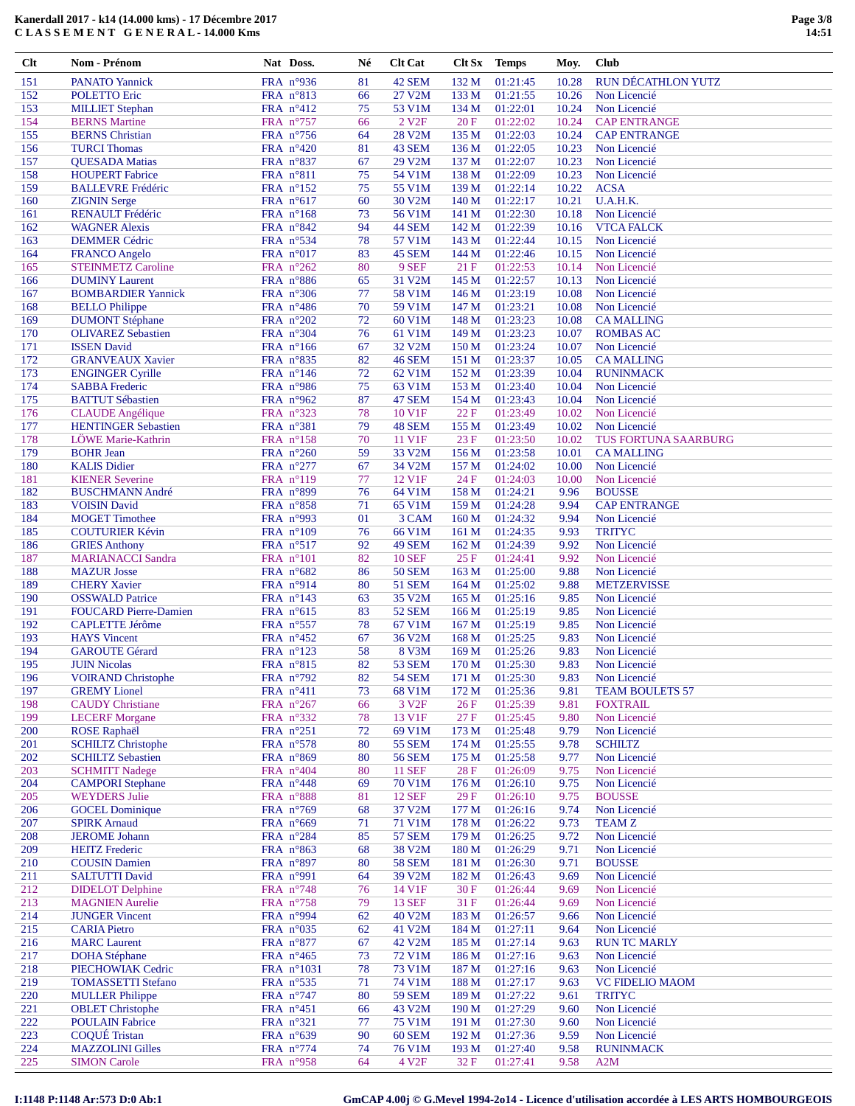| 151        | <b>PANATO Yannick</b>                              | FRA nº936                                | 81       | 42 SEM                         | 132M             | 01:21:45             | 10.28          | RUN DÉCATHLON YUTZ                   |
|------------|----------------------------------------------------|------------------------------------------|----------|--------------------------------|------------------|----------------------|----------------|--------------------------------------|
| 152        | POLETTO Eric                                       | FRA $n^{\circ}813$                       | 66       | 27 V2M                         | 133 M            | 01:21:55             | 10.26          | Non Licencié                         |
| 153        | <b>MILLIET</b> Stephan                             | FRA $n^{\circ}412$                       | 75       | 53 V1M                         | 134 M            | 01:22:01             | 10.24          | Non Licencié                         |
| 154        | <b>BERNS Martine</b>                               | FRA n°757                                | 66       | 2 V <sub>2F</sub>              | 20F              | 01:22:02             | 10.24          | <b>CAP ENTRANGE</b>                  |
| 155        | <b>BERNS</b> Christian                             | FRA $n^{\circ}$ 756                      | 64       | 28 V2M                         | 135 M            | 01:22:03             | 10.24          | <b>CAP ENTRANGE</b>                  |
| 156        | <b>TURCI Thomas</b>                                | FRA $n^{\circ}420$                       | 81       | 43 SEM                         | 136 M            | 01:22:05             | 10.23          | Non Licencié                         |
| 157<br>158 | <b>QUESADA Matias</b>                              | FRA n°837                                | 67<br>75 | 29 V2M                         | 137 M<br>138 M   | 01:22:07             | 10.23<br>10.23 | Non Licencié<br>Non Licencié         |
| 159        | <b>HOUPERT</b> Fabrice<br><b>BALLEVRE Frédéric</b> | FRA $n^{\circ}811$<br>FRA $n^{\circ}152$ | 75       | 54 V1M<br>55 V1M               | 139 M            | 01:22:09<br>01:22:14 | 10.22          | <b>ACSA</b>                          |
| 160        | <b>ZIGNIN Serge</b>                                | FRA $n^{\circ}617$                       | 60       | 30 V2M                         | 140 M            | 01:22:17             | 10.21          | U.A.H.K.                             |
| 161        | RENAULT Frédéric                                   | FRA n°168                                | 73       | 56 V1M                         | 141 M            | 01:22:30             | 10.18          | Non Licencié                         |
| 162        | <b>WAGNER Alexis</b>                               | FRA $n^{\circ}842$                       | 94       | 44 SEM                         | 142 M            | 01:22:39             | 10.16          | <b>VTCA FALCK</b>                    |
| 163        | <b>DEMMER Cédric</b>                               | FRA $n^{\circ}$ 534                      | 78       | 57 V1M                         | 143 M            | 01:22:44             | 10.15          | Non Licencié                         |
| 164        | <b>FRANCO</b> Angelo                               | FRA $n^{\circ}017$                       | 83       | 45 SEM                         | 144 M            | 01:22:46             | 10.15          | Non Licencié                         |
| 165        | <b>STEINMETZ Caroline</b>                          | FRA $n^{\circ}262$                       | 80       | 9 SEF                          | 21F              | 01:22:53             | 10.14          | Non Licencié                         |
| 166        | <b>DUMINY Laurent</b>                              | FRA n°886                                | 65       | 31 V2M                         | 145 M            | 01:22:57             | 10.13          | Non Licencié                         |
| 167        | <b>BOMBARDIER Yannick</b>                          | FRA n°306                                | 77       | 58 V1M                         | 146 M            | 01:23:19             | 10.08          | Non Licencié                         |
| 168        | <b>BELLO Philippe</b>                              | FRA $n^{\circ}486$                       | 70       | 59 V1M                         | 147 M            | 01:23:21             | 10.08          | Non Licencié                         |
| 169        | <b>DUMONT Stéphane</b>                             | FRA $n^{\circ}202$                       | 72       | 60 V1M                         | 148 M            | 01:23:23             | 10.08          | <b>CAMALLING</b>                     |
| 170        | <b>OLIVAREZ Sebastien</b>                          | FRA $n^{\circ}304$                       | 76       | 61 V1M                         | 149 M            | 01:23:23             | 10.07          | <b>ROMBAS AC</b>                     |
| 171        | <b>ISSEN</b> David                                 | FRA $n^{\circ}166$                       | 67       | 32 V2M                         | 150 <sub>M</sub> | 01:23:24             | 10.07          | Non Licencié                         |
| 172<br>173 | <b>GRANVEAUX Xavier</b>                            | FRA $n^{\circ}835$                       | 82<br>72 | <b>46 SEM</b><br>62 V1M        | 151 M<br>152 M   | 01:23:37<br>01:23:39 | 10.05<br>10.04 | <b>CAMALLING</b><br><b>RUNINMACK</b> |
| 174        | <b>ENGINGER Cyrille</b><br><b>SABBA</b> Frederic   | FRA $n^{\circ}146$<br>FRA n°986          | 75       | 63 V1M                         | 153 M            | 01:23:40             | 10.04          | Non Licencié                         |
| 175        | <b>BATTUT Sébastien</b>                            | FRA n°962                                | 87       | 47 SEM                         | 154 M            | 01:23:43             | 10.04          | Non Licencié                         |
| 176        | <b>CLAUDE</b> Angélique                            | FRA n°323                                | 78       | 10 V1F                         | 22F              | 01:23:49             | 10.02          | Non Licencié                         |
| 177        | <b>HENTINGER Sebastien</b>                         | FRA n°381                                | 79       | 48 SEM                         | 155 M            | 01:23:49             | 10.02          | Non Licencié                         |
| 178        | LÖWE Marie-Kathrin                                 | FRA $n^{\circ}158$                       | 70       | 11 V1F                         | 23F              | 01:23:50             | 10.02          | TUS FORTUNA SAARBURG                 |
| 179        | <b>BOHR Jean</b>                                   | FRA n°260                                | 59       | 33 V2M                         | 156 M            | 01:23:58             | 10.01          | <b>CAMALLING</b>                     |
| 180        | <b>KALIS Didier</b>                                | FRA n°277                                | 67       | 34 V2M                         | 157 M            | 01:24:02             | 10.00          | Non Licencié                         |
| 181        | <b>KIENER Severine</b>                             | FRA $n^{\circ}119$                       | 77       | 12 V1F                         | 24 F             | 01:24:03             | 10.00          | Non Licencié                         |
| 182        | <b>BUSCHMANN André</b>                             | FRA n°899                                | 76       | 64 V1M                         | 158 M            | 01:24:21             | 9.96           | <b>BOUSSE</b>                        |
| 183        | <b>VOISIN David</b>                                | FRA $n^{\circ}858$                       | 71       | 65 V1M                         | 159 M            | 01:24:28             | 9.94           | <b>CAP ENTRANGE</b>                  |
| 184        | <b>MOGET</b> Timothee                              | FRA $n°993$                              | 01       | 3 CAM                          | 160 <sub>M</sub> | 01:24:32             | 9.94           | Non Licencié                         |
| 185        | <b>COUTURIER Kévin</b>                             | FRA $n^{\circ}109$                       | 76       | 66 V1M                         | 161 <sub>M</sub> | 01:24:35             | 9.93           | <b>TRITYC</b>                        |
| 186        | <b>GRIES Anthony</b>                               | FRA $n^{\circ}517$                       | 92       | 49 SEM                         | 162 M            | 01:24:39             | 9.92           | Non Licencié                         |
| 187        | <b>MARIANACCI Sandra</b>                           | FRA $n^{\circ}101$                       | 82       | <b>10 SEF</b>                  | 25F              | 01:24:41             | 9.92           | Non Licencié                         |
| 188<br>189 | <b>MAZUR</b> Josse                                 | FRA $n^{\circ}682$                       | 86       | <b>50 SEM</b>                  | 163 M            | 01:25:00             | 9.88           | Non Licencié<br><b>METZERVISSE</b>   |
| 190        | <b>CHERY Xavier</b><br><b>OSSWALD Patrice</b>      | FRA nº914<br>FRA $n^{\circ}143$          | 80<br>63 | <b>51 SEM</b><br>35 V2M        | 164 M<br>165 M   | 01:25:02<br>01:25:16 | 9.88<br>9.85   | Non Licencié                         |
| 191        | <b>FOUCARD Pierre-Damien</b>                       | FRA $n^{\circ}615$                       | 83       | <b>52 SEM</b>                  | 166 <sub>M</sub> | 01:25:19             | 9.85           | Non Licencié                         |
| 192        | <b>CAPLETTE Jérôme</b>                             | FRA n°557                                | 78       | 67 V1M                         | 167 M            | 01:25:19             | 9.85           | Non Licencié                         |
| 193        | <b>HAYS</b> Vincent                                | FRA $n^{\circ}452$                       | 67       | 36 V2M                         | 168 M            | 01:25:25             | 9.83           | Non Licencié                         |
| 194        | <b>GAROUTE Gérard</b>                              | FRA $n^{\circ}123$                       | 58       | 8 V3M                          | 169 M            | 01:25:26             | 9.83           | Non Licencié                         |
| 195        | <b>JUIN Nicolas</b>                                | FRA n°815                                | 82       | <b>53 SEM</b>                  | 170 M            | 01:25:30             | 9.83           | Non Licencié                         |
| 196        | <b>VOIRAND Christophe</b>                          | FRA n°792                                | 82       | <b>54 SEM</b>                  | 171 M            | 01:25:30             | 9.83           | Non Licencié                         |
| 197        | <b>GREMY</b> Lionel                                | FRA $n^{\circ}411$                       | 73       | 68 V1M                         | 172 M            | 01:25:36             | 9.81           | <b>TEAM BOULETS 57</b>               |
| 198        | <b>CAUDY</b> Christiane                            | FRA n°267                                | 66       | 3 V <sub>2F</sub>              | 26F              | 01:25:39             | 9.81           | <b>FOXTRAIL</b>                      |
| 199        | <b>LECERF</b> Morgane                              | FRA n°332                                | 78       | 13 V1F                         | 27 F             | 01:25:45             | 9.80           | Non Licencié                         |
| 200        | <b>ROSE Raphaël</b>                                | FRA n°251                                | 72       | 69 V1M                         | 173 M            | 01:25:48             | 9.79           | Non Licencié                         |
| 201        | <b>SCHILTZ</b> Christophe                          | FRA n°578                                | 80       | <b>55 SEM</b>                  | 174 M            | 01:25:55             | 9.78           | <b>SCHILTZ</b>                       |
| 202<br>203 | <b>SCHILTZ Sebastien</b><br><b>SCHMITT Nadege</b>  | FRA $n^{\circ}869$<br>FRA $n^{\circ}404$ | 80<br>80 | <b>56 SEM</b><br><b>11 SEF</b> | 175 M<br>28 F    | 01:25:58<br>01:26:09 | 9.77<br>9.75   | Non Licencié<br>Non Licencié         |
| 204        | <b>CAMPORI</b> Stephane                            | FRA n°448                                | 69       | 70 V1M                         | 176M             | 01:26:10             | 9.75           | Non Licencié                         |
| 205        | <b>WEYDERS</b> Julie                               | FRA n°888                                | 81       | <b>12 SEF</b>                  | 29F              | 01:26:10             | 9.75           | <b>BOUSSE</b>                        |
| 206        | <b>GOCEL Dominique</b>                             | FRA $n^{\circ}$ 769                      | 68       | 37 V2M                         | 177 M            | 01:26:16             | 9.74           | Non Licencié                         |
| 207        | <b>SPIRK Arnaud</b>                                | FRA n°669                                | 71       | 71 V1M                         | 178 M            | 01:26:22             | 9.73           | <b>TEAM Z</b>                        |
| 208        | <b>JEROME</b> Johann                               | FRA n°284                                | 85       | <b>57 SEM</b>                  | 179 M            | 01:26:25             | 9.72           | Non Licencié                         |
| 209        | <b>HEITZ</b> Frederic                              | FRA $n^{\circ}863$                       | 68       | 38 V2M                         | 180 <sub>M</sub> | 01:26:29             | 9.71           | Non Licencié                         |
| 210        | <b>COUSIN Damien</b>                               | FRA n°897                                | 80       | <b>58 SEM</b>                  | 181 M            | 01:26:30             | 9.71           | <b>BOUSSE</b>                        |
| 211        | <b>SALTUTTI David</b>                              | FRA n°991                                | 64       | 39 V2M                         | 182 M            | 01:26:43             | 9.69           | Non Licencié                         |
| 212        | <b>DIDELOT</b> Delphine                            | FRA $n^{\circ}$ 748                      | 76       | 14 V1F                         | 30F              | 01:26:44             | 9.69           | Non Licencié                         |
| 213        | <b>MAGNIEN</b> Aurelie                             | FRA $n^{\circ}$ 758                      | 79       | <b>13 SEF</b>                  | 31 F             | 01:26:44             | 9.69           | Non Licencié                         |
| 214        | <b>JUNGER Vincent</b>                              | FRA n°994                                | 62       | 40 V2M                         | 183 M            | 01:26:57             | 9.66           | Non Licencié                         |
| 215        | <b>CARIA Pietro</b>                                | FRA $n^{\circ}035$                       | 62       | 41 V2M                         | 184 M            | 01:27:11             | 9.64           | Non Licencié                         |
| 216<br>217 | <b>MARC</b> Laurent<br><b>DOHA</b> Stéphane        | FRA $n^{\circ}877$<br>FRA $n^{\circ}465$ | 67<br>73 | 42 V2M<br>72 V1M               | 185 M<br>186 M   | 01:27:14<br>01:27:16 | 9.63<br>9.63   | <b>RUN TC MARLY</b><br>Non Licencié  |
| 218        | PIECHOWIAK Cedric                                  | FRA $n^{\circ}1031$                      | 78       | 73 V1M                         | 187 M            | 01:27:16             | 9.63           | Non Licencié                         |
| 219        | <b>TOMASSETTI Stefano</b>                          | FRA $n^{\circ}$ 535                      | 71       | 74 V1M                         | 188 M            | 01:27:17             | 9.63           | <b>VC FIDELIO MAOM</b>               |
| 220        | <b>MULLER Philippe</b>                             | FRA $n^{\circ}$ 747                      | 80       | <b>59 SEM</b>                  | 189 M            | 01:27:22             | 9.61           | <b>TRITYC</b>                        |
| 221        | <b>OBLET</b> Christophe                            | FRA n°451                                | 66       | 43 V2M                         | 190 <sub>M</sub> | 01:27:29             | 9.60           | Non Licencié                         |
| 222        | <b>POULAIN Fabrice</b>                             | FRA n°321                                | 77       | <b>75 V1M</b>                  | 191 M            | 01:27:30             | 9.60           | Non Licencié                         |
| 223        | <b>COQUÉ Tristan</b>                               | FRA $n^{\circ}639$                       | 90       | 60 SEM                         | 192 M            | 01:27:36             | 9.59           | Non Licencié                         |
| 224        | <b>MAZZOLINI Gilles</b>                            | FRA $n^{\circ}$ 774                      | 74       | 76 V1M                         | 193 M            | 01:27:40             | 9.58           | <b>RUNINMACK</b>                     |
| 225        | <b>SIMON Carole</b>                                | FRA n°958                                | 64       | 4 V <sub>2F</sub>              | 32 F             | 01:27:41             | 9.58           | A2M                                  |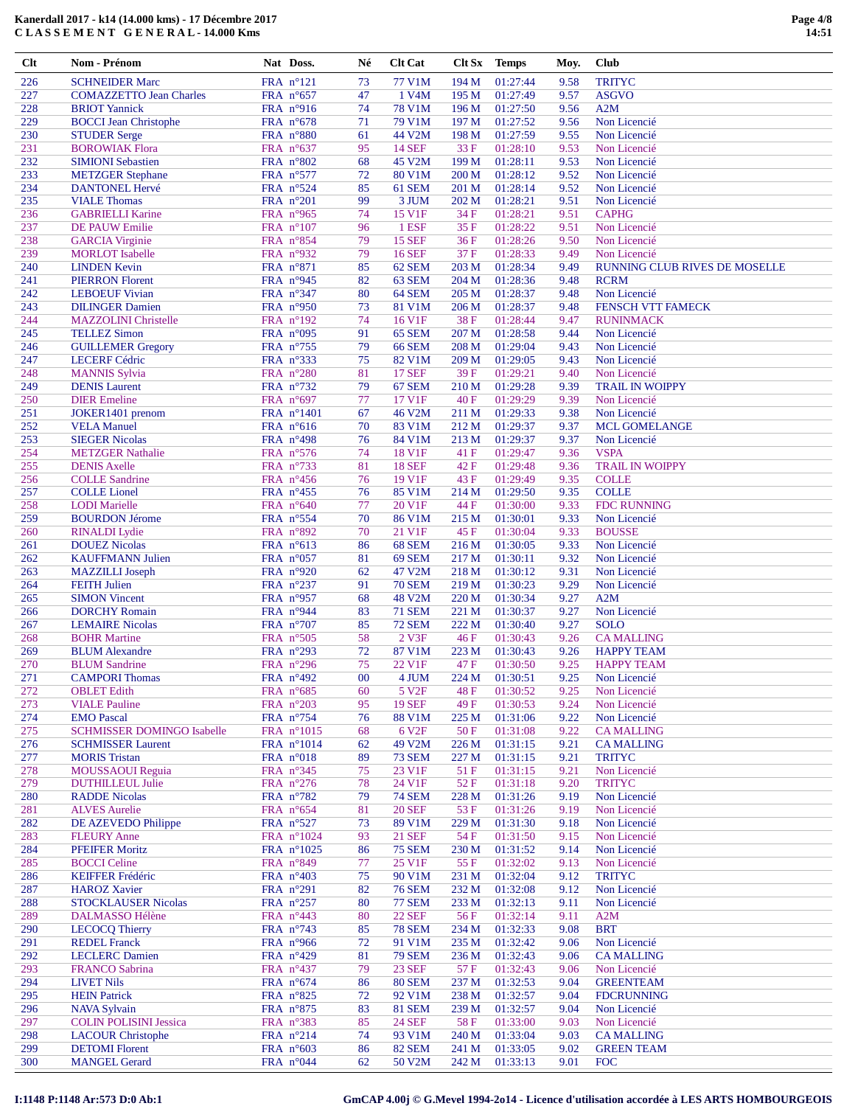| 226        | <b>SCHNEIDER Marc</b>                            | FRA n°121                       | 73       | 77 V1M                         | 194 M          | 01:27:44             | 9.58         | <b>TRITYC</b>                 |
|------------|--------------------------------------------------|---------------------------------|----------|--------------------------------|----------------|----------------------|--------------|-------------------------------|
| 227        | <b>COMAZZETTO Jean Charles</b>                   | FRA n°657                       | 47       | 1 V4M                          | 195 M          | 01:27:49             | 9.57         | <b>ASGVO</b>                  |
| 228        | <b>BRIOT</b> Yannick                             | FRA $n^{\circ}916$              | 74       | <b>78 V1M</b>                  | 196 M          | 01:27:50             | 9.56         | A2M                           |
| 229        | <b>BOCCI</b> Jean Christophe                     | FRA n°678                       | 71       | 79 V1M                         | 197 M          | 01:27:52             | 9.56         | Non Licencié                  |
| 230        | <b>STUDER Serge</b>                              | FRA n°880                       | 61       | 44 V2M                         | 198 M          | 01:27:59             | 9.55         | Non Licencié                  |
| 231        | <b>BOROWIAK Flora</b>                            | FRA $n^{\circ}637$              | 95       | <b>14 SEF</b>                  | 33 F           | 01:28:10             | 9.53         | Non Licencié                  |
| 232        | <b>SIMIONI</b> Sebastien                         | FRA n°802                       | 68       | 45 V2M                         | 199 M          | 01:28:11             | 9.53         | Non Licencié                  |
| 233        | <b>METZGER Stephane</b>                          | FRA n°577                       | 72       | 80 V1M                         | 200 M          | 01:28:12             | 9.52         | Non Licencié                  |
| 234        | <b>DANTONEL Hervé</b>                            | FRA $n^{\circ}524$              | 85       | 61 SEM                         | 201 M          | 01:28:14             | 9.52         | Non Licencié                  |
| 235        | <b>VIALE Thomas</b>                              | FRA n°201                       | 99       | 3 JUM                          | 202 M          | 01:28:21             | 9.51         | Non Licencié                  |
| 236        | <b>GABRIELLI Karine</b>                          | FRA n°965                       | 74       | 15 V1F                         | 34 F           | 01:28:21             | 9.51         | <b>CAPHG</b>                  |
| 237        | DE PAUW Emilie                                   | FRA n°107                       | 96       | 1 ESF                          | 35F            | 01:28:22             | 9.51         | Non Licencié                  |
| 238<br>239 | <b>GARCIA</b> Virginie<br><b>MORLOT</b> Isabelle | FRA $n^{\circ}854$<br>FRA nº932 | 79<br>79 | <b>15 SEF</b><br><b>16 SEF</b> | 36F<br>37 F    | 01:28:26<br>01:28:33 | 9.50<br>9.49 | Non Licencié<br>Non Licencié  |
| 240        | <b>LINDEN Kevin</b>                              | FRA n°871                       | 85       |                                | 203 M          | 01:28:34             | 9.49         | RUNNING CLUB RIVES DE MOSELLE |
| 241        | <b>PIERRON Florent</b>                           | FRA nº945                       | 82       | 62 SEM<br>63 SEM               | 204 M          | 01:28:36             | 9.48         | <b>RCRM</b>                   |
| 242        | <b>LEBOEUF Vivian</b>                            | FRA n°347                       | 80       | 64 SEM                         | 205 M          | 01:28:37             | 9.48         | Non Licencié                  |
| 243        | <b>DILINGER Damien</b>                           | FRA $n^{\circ}950$              | 73       | 81 V1M                         | 206 M          | 01:28:37             | 9.48         | FENSCH VTT FAMECK             |
| 244        | <b>MAZZOLINI</b> Christelle                      | FRA n°192                       | 74       | 16 V1F                         | 38F            | 01:28:44             | 9.47         | <b>RUNINMACK</b>              |
| 245        | <b>TELLEZ Simon</b>                              | FRA n°095                       | 91       | 65 SEM                         | 207 M          | 01:28:58             | 9.44         | Non Licencié                  |
| 246        | <b>GUILLEMER Gregory</b>                         | FRA $n^{\circ}$ 755             | 79       | <b>66 SEM</b>                  | 208 M          | 01:29:04             | 9.43         | Non Licencié                  |
| 247        | <b>LECERF Cédric</b>                             | FRA n°333                       | 75       | 82 V1M                         | 209 M          | 01:29:05             | 9.43         | Non Licencié                  |
| 248        | <b>MANNIS Sylvia</b>                             | FRA n°280                       | 81       | <b>17 SEF</b>                  | 39F            | 01:29:21             | 9.40         | Non Licencié                  |
| 249        | <b>DENIS</b> Laurent                             | FRA n°732                       | 79       | 67 SEM                         | 210 M          | 01:29:28             | 9.39         | <b>TRAIL IN WOIPPY</b>        |
| 250        | <b>DIER</b> Emeline                              | FRA n°697                       | 77       | 17 V1F                         | 40F            | 01:29:29             | 9.39         | Non Licencié                  |
| 251        | JOKER1401 prenom                                 | FRA n°1401                      | 67       | 46 V2M                         | 211 M          | 01:29:33             | 9.38         | Non Licencié                  |
| 252        | <b>VELA Manuel</b>                               | FRA $n^{\circ}616$              | 70       | 83 V1M                         | 212 M          | 01:29:37             | 9.37         | <b>MCL GOMELANGE</b>          |
| 253        | <b>SIEGER Nicolas</b>                            | FRA $n^{\circ}498$              | 76       | 84 V1M                         | 213 M          | 01:29:37             | 9.37         | Non Licencié                  |
| 254        | <b>METZGER</b> Nathalie                          | FRA n°576                       | 74       | 18 V1F                         | 41 F           | 01:29:47             | 9.36         | <b>VSPA</b>                   |
| 255        | <b>DENIS Axelle</b>                              | FRA n°733                       | 81       | <b>18 SEF</b>                  | 42F            | 01:29:48             | 9.36         | <b>TRAIL IN WOIPPY</b>        |
| 256        | <b>COLLE Sandrine</b>                            | FRA $n^{\circ}456$              | 76       | 19 V1F                         | 43 F           | 01:29:49             | 9.35         | <b>COLLE</b>                  |
| 257        | <b>COLLE</b> Lionel                              | FRA n°455                       | 76       | 85 V1M                         | 214 M          | 01:29:50             | 9.35         | <b>COLLE</b>                  |
| 258        | <b>LODI</b> Marielle                             | FRA n°640                       | 77       | 20 V1F                         | 44 F           | 01:30:00             | 9.33         | <b>FDC RUNNING</b>            |
| 259        | <b>BOURDON Jérome</b>                            | FRA n°554                       | 70       | 86 V1M                         | 215 M          | 01:30:01             | 9.33         | Non Licencié                  |
| 260        | <b>RINALDI</b> Lydie                             | FRA n°892                       | 70       | 21 V1F                         | 45 F           | 01:30:04             | 9.33         | <b>BOUSSE</b>                 |
| 261        | <b>DOUEZ Nicolas</b>                             | FRA $n^{\circ}613$              | 86       | 68 SEM                         | 216 M          | 01:30:05             | 9.33         | Non Licencié                  |
| 262        | <b>KAUFFMANN Julien</b>                          | FRA $n^{\circ}057$              | 81       | 69 SEM                         | 217 M          | 01:30:11             | 9.32         | Non Licencié                  |
| 263<br>264 | <b>MAZZILLI</b> Joseph<br><b>FEITH</b> Julien    | FRA n°920<br>FRA n°237          | 62<br>91 | 47 V2M<br><b>70 SEM</b>        | 218 M<br>219 M | 01:30:12<br>01:30:23 | 9.31<br>9.29 | Non Licencié<br>Non Licencié  |
| 265        | <b>SIMON Vincent</b>                             | FRA n°957                       | 68       | 48 V2M                         | 220 M          | 01:30:34             | 9.27         | A2M                           |
| 266        | <b>DORCHY</b> Romain                             | FRA $n^{\circ}$ 944             | 83       | <b>71 SEM</b>                  | 221 M          | 01:30:37             | 9.27         | Non Licencié                  |
| 267        | <b>LEMAIRE</b> Nicolas                           | FRA n°707                       | 85       | <b>72 SEM</b>                  | 222 M          | 01:30:40             | 9.27         | <b>SOLO</b>                   |
| 268        | <b>BOHR Martine</b>                              | FRA $n^{\circ}505$              | 58       | 2 V3F                          | 46F            | 01:30:43             | 9.26         | <b>CAMALLING</b>              |
| 269        | <b>BLUM</b> Alexandre                            | FRA n°293                       | 72       | 87 V1M                         | 223 M          | 01:30:43             | 9.26         | <b>HAPPY TEAM</b>             |
| 270        | <b>BLUM</b> Sandrine                             | FRA n°296                       | 75       | 22 V1F                         | 47 F           | 01:30:50             | 9.25         | <b>HAPPY TEAM</b>             |
| 271        | <b>CAMPORI</b> Thomas                            | FRA n°492                       | 00       | 4 JUM                          | 224 M          | 01:30:51             | 9.25         | Non Licencié                  |
| 272        | <b>OBLET</b> Edith                               | FRA $n^{\circ}685$              | 60       | 5 V <sub>2F</sub>              | 48F            | 01:30:52             | 9.25         | Non Licencié                  |
| 273        | <b>VIALE Pauline</b>                             | FRA n°203                       | 95       | <b>19 SEF</b>                  | 49 F           | 01:30:53             | 9.24         | Non Licencié                  |
| 274        | <b>EMO</b> Pascal                                | FRA n°754                       | 76       | 88 V1M                         | 225 M          | 01:31:06             | 9.22         | Non Licencié                  |
| 275        | <b>SCHMISSER DOMINGO Isabelle</b>                | FRA n°1015                      | 68       | 6 V <sub>2F</sub>              | 50F            | 01:31:08             | 9.22         | <b>CAMALLING</b>              |
| 276        | <b>SCHMISSER Laurent</b>                         | FRA n°1014                      | 62       | 49 V2M                         | 226 M          | 01:31:15             | 9.21         | <b>CAMALLING</b>              |
| 277        | <b>MORIS</b> Tristan                             | FRA n°018                       | 89       | <b>73 SEM</b>                  | 227 M          | 01:31:15             | 9.21         | <b>TRITYC</b>                 |
| 278        | <b>MOUSSAOUI Reguia</b>                          | FRA n°345                       | 75       | 23 V1F                         | 51 F           | 01:31:15             | 9.21         | Non Licencié                  |
| 279        | <b>DUTHILLEUL Julie</b>                          | FRA n°276                       | 78       | 24 V1F                         | 52F            | 01:31:18             | 9.20         | <b>TRITYC</b>                 |
| 280        | <b>RADDE Nicolas</b>                             | FRA n°782                       | 79       | <b>74 SEM</b>                  | 228 M          | 01:31:26             | 9.19         | Non Licencié                  |
| 281        | <b>ALVES Aurelie</b>                             | FRA $n^{\circ}654$              | 81       | <b>20 SEF</b>                  | 53 F           | 01:31:26             | 9.19         | Non Licencié                  |
| 282        | DE AZEVEDO Philippe                              | FRA n°527                       | 73       | 89 V1M                         | 229 M          | 01:31:30             | 9.18         | Non Licencié                  |
| 283        | <b>FLEURY</b> Anne                               | FRA n°1024                      | 93       | <b>21 SEF</b>                  | 54 F           | 01:31:50             | 9.15         | Non Licencié                  |
| 284        | <b>PFEIFER Moritz</b>                            | FRA $n^{\circ}1025$             | 86       | <b>75 SEM</b>                  | 230 M          | 01:31:52             | 9.14         | Non Licencié                  |
| 285        | <b>BOCCI</b> Celine                              | FRA $n^{\circ}849$<br>FRA n°403 | 77       | 25 V1F                         | 55 F           | 01:32:02             | 9.13         | Non Licencié                  |
| 286<br>287 | <b>KEIFFER Frédéric</b><br><b>HAROZ Xavier</b>   | FRA $n^{\circ}291$              | 75<br>82 | 90 V1M<br><b>76 SEM</b>        | 231 M<br>232 M | 01:32:04<br>01:32:08 | 9.12<br>9.12 | <b>TRITYC</b><br>Non Licencié |
| 288        | <b>STOCKLAUSER Nicolas</b>                       | FRA $n^{\circ}257$              | 80       | <b>77 SEM</b>                  | 233 M          | 01:32:13             | 9.11         | Non Licencié                  |
| 289        | DALMASSO Hélène                                  | FRA $n^{\circ}443$              | 80       | <b>22 SEF</b>                  | 56F            | 01:32:14             | 9.11         | A2M                           |
| 290        | <b>LECOCQ Thierry</b>                            | FRA $n^{\circ}$ 743             | 85       | <b>78 SEM</b>                  | 234 M          | 01:32:33             | 9.08         | <b>BRT</b>                    |
| 291        | <b>REDEL Franck</b>                              | FRA $n^{\circ}$ 966             | 72       | 91 V1M                         | 235 M          | 01:32:42             | 9.06         | Non Licencié                  |
| 292        | <b>LECLERC</b> Damien                            | FRA n°429                       | 81       | <b>79 SEM</b>                  | 236 M          | 01:32:43             | 9.06         | <b>CAMALLING</b>              |
| 293        | <b>FRANCO Sabrina</b>                            | FRA $n^{\circ}437$              | 79       | <b>23 SEF</b>                  | 57 F           | 01:32:43             | 9.06         | Non Licencié                  |
| 294        | <b>LIVET Nils</b>                                | FRA $n^{\circ}674$              | 86       | <b>80 SEM</b>                  | 237 M          | 01:32:53             | 9.04         | <b>GREENTEAM</b>              |
| 295        | <b>HEIN Patrick</b>                              | FRA $n^{\circ}825$              | 72       | 92 V1M                         | 238 M          | 01:32:57             | 9.04         | <b>FDCRUNNING</b>             |
| 296        | <b>NAVA Sylvain</b>                              | FRA n°875                       | 83       | <b>81 SEM</b>                  | 239 M          | 01:32:57             | 9.04         | Non Licencié                  |
| 297        | <b>COLIN POLISINI Jessica</b>                    | FRA n°383                       | 85       | 24 SEF                         | 58 F           | 01:33:00             | 9.03         | Non Licencié                  |
| 298        | <b>LACOUR Christophe</b>                         | FRA n°214                       | 74       | 93 V1M                         | 240 M          | 01:33:04             | 9.03         | <b>CAMALLING</b>              |
| 299        | <b>DETOMI</b> Florent                            | FRA $n^{\circ}603$              | 86       | <b>82 SEM</b>                  | 241 M          | 01:33:05             | 9.02         | <b>GREEN TEAM</b>             |
| 300        | <b>MANGEL Gerard</b>                             | FRA $n^{\circ}044$              | 62       | 50 V2M                         | 242 M          | 01:33:13             | 9.01         | <b>FOC</b>                    |
|            |                                                  |                                 |          |                                |                |                      |              |                               |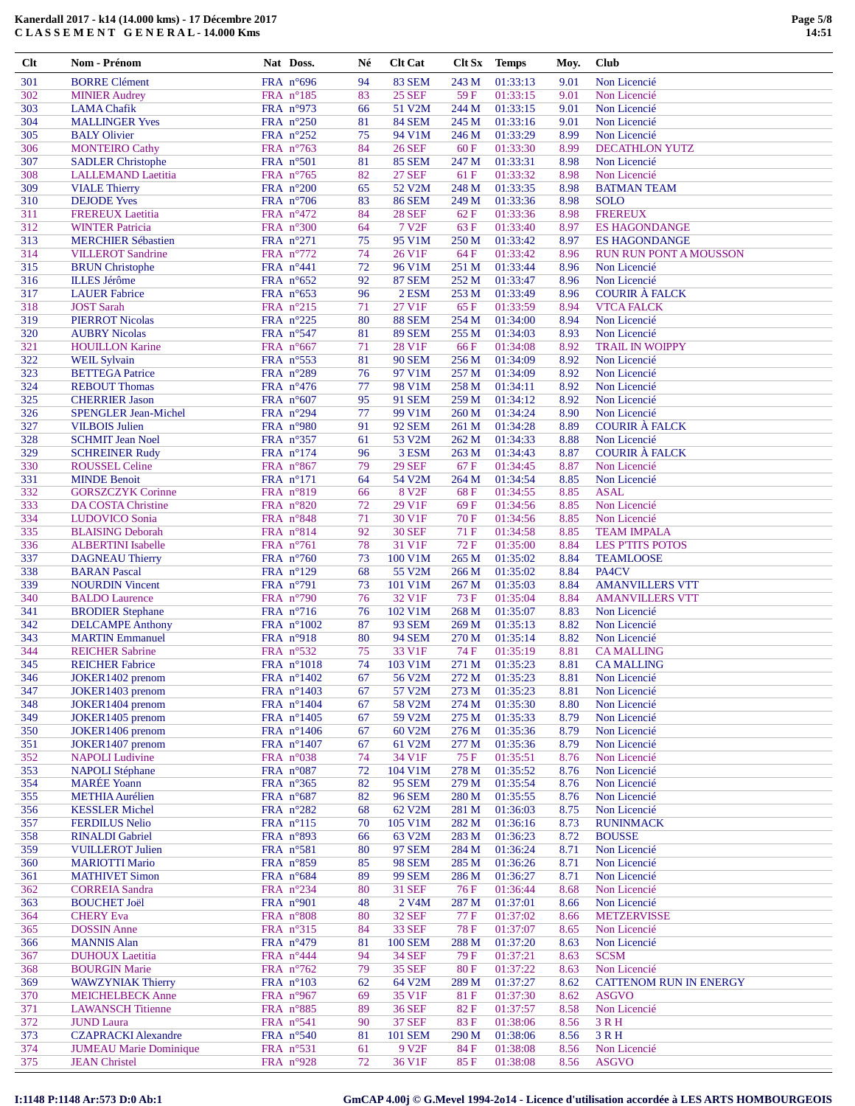| 301        | <b>BORRE Clément</b>                                  | FRA $n^{\circ}696$                       | 94       | <b>83 SEM</b>                  | 243 M          | 01:33:13             | 9.01         | Non Licencié                          |
|------------|-------------------------------------------------------|------------------------------------------|----------|--------------------------------|----------------|----------------------|--------------|---------------------------------------|
| 302        | <b>MINIER Audrey</b>                                  | FRA n°185                                | 83       | <b>25 SEF</b>                  | 59F            | 01:33:15             | 9.01         | Non Licencié                          |
| 303        | <b>LAMA</b> Chafik                                    | FRA n°973                                | 66       | 51 V2M                         | 244 M          | 01:33:15             | 9.01         | Non Licencié                          |
| 304        | <b>MALLINGER Yves</b>                                 | FRA n°250                                | 81       | <b>84 SEM</b>                  | 245 M          | 01:33:16             | 9.01         | Non Licencié                          |
| 305        | <b>BALY Olivier</b>                                   | FRA $n^{\circ}252$                       | 75       | 94 V1M                         | 246 M          | 01:33:29             | 8.99         | Non Licencié                          |
| 306<br>307 | <b>MONTEIRO Cathy</b>                                 | FRA n°763<br>FRA n°501                   | 84<br>81 | <b>26 SEF</b><br><b>85 SEM</b> | 60F<br>247 M   | 01:33:30<br>01:33:31 | 8.99<br>8.98 | <b>DECATHLON YUTZ</b><br>Non Licencié |
| 308        | <b>SADLER Christophe</b><br><b>LALLEMAND</b> Laetitia | FRA n°765                                | 82       | <b>27 SEF</b>                  | 61 F           | 01:33:32             | 8.98         | Non Licencié                          |
| 309        | <b>VIALE Thierry</b>                                  | FRA n°200                                | 65       | 52 V2M                         | 248 M          | 01:33:35             | 8.98         | <b>BATMAN TEAM</b>                    |
| 310        | <b>DEJODE Yves</b>                                    | FRA n°706                                | 83       | <b>86 SEM</b>                  | 249 M          | 01:33:36             | 8.98         | <b>SOLO</b>                           |
| 311        | <b>FREREUX Laetitia</b>                               | FRA n°472                                | 84       | <b>28 SEF</b>                  | 62F            | 01:33:36             | 8.98         | <b>FREREUX</b>                        |
| 312        | <b>WINTER Patricia</b>                                | FRA n°300                                | 64       | 7 V <sub>2F</sub>              | 63F            | 01:33:40             | 8.97         | <b>ES HAGONDANGE</b>                  |
| 313        | <b>MERCHIER Sébastien</b>                             | FRA n°271                                | 75       | 95 V1M                         | 250 M          | 01:33:42             | 8.97         | <b>ES HAGONDANGE</b>                  |
| 314        | <b>VILLEROT</b> Sandrine                              | FRA $n^{\circ}772$                       | 74       | 26 V1F                         | 64 F           | 01:33:42             | 8.96         | <b>RUN RUN PONT A MOUSSON</b>         |
| 315        | <b>BRUN</b> Christophe                                | FRA n°441                                | 72       | 96 V1M                         | 251 M          | 01:33:44             | 8.96         | Non Licencié                          |
| 316        | <b>ILLES Jérôme</b>                                   | FRA $n^{\circ}652$                       | 92       | <b>87 SEM</b>                  | 252 M          | 01:33:47             | 8.96         | Non Licencié                          |
| 317        | <b>LAUER Fabrice</b>                                  | FRA $n^{\circ}653$                       | 96       | 2 ESM                          | 253 M          | 01:33:49             | 8.96         | <b>COURIR À FALCK</b>                 |
| 318        | <b>JOST Sarah</b>                                     | FRA n°215                                | 71       | 27 V1F                         | 65F            | 01:33:59             | 8.94         | <b>VTCA FALCK</b>                     |
| 319<br>320 | <b>PIERROT Nicolas</b><br><b>AUBRY Nicolas</b>        | FRA n°225<br>FRA n°547                   | 80<br>81 | <b>88 SEM</b><br><b>89 SEM</b> | 254 M<br>255 M | 01:34:00<br>01:34:03 | 8.94<br>8.93 | Non Licencié<br>Non Licencié          |
| 321        | <b>HOUILLON Karine</b>                                | FRA $n^{\circ}667$                       | 71       | 28 V1F                         | 66 F           | 01:34:08             | 8.92         | <b>TRAIL IN WOIPPY</b>                |
| 322        | <b>WEIL Sylvain</b>                                   | FRA n°553                                | 81       | <b>90 SEM</b>                  | 256 M          | 01:34:09             | 8.92         | Non Licencié                          |
| 323        | <b>BETTEGA</b> Patrice                                | FRA n°289                                | 76       | 97 V1M                         | 257 M          | 01:34:09             | 8.92         | Non Licencié                          |
| 324        | <b>REBOUT Thomas</b>                                  | FRA $n^{\circ}476$                       | 77       | 98 V1M                         | 258 M          | 01:34:11             | 8.92         | Non Licencié                          |
| 325        | <b>CHERRIER Jason</b>                                 | FRA $n^{\circ}607$                       | 95       | <b>91 SEM</b>                  | 259 M          | 01:34:12             | 8.92         | Non Licencié                          |
| 326        | <b>SPENGLER Jean-Michel</b>                           | FRA $n^{\circ}294$                       | 77       | 99 V1M                         | 260 M          | 01:34:24             | 8.90         | Non Licencié                          |
| 327        | <b>VILBOIS Julien</b>                                 | FRA n°980                                | 91       | <b>92 SEM</b>                  | 261 M          | 01:34:28             | 8.89         | <b>COURIR À FALCK</b>                 |
| 328        | <b>SCHMIT Jean Noel</b>                               | FRA n°357                                | 61       | 53 V2M                         | 262 M          | 01:34:33             | 8.88         | Non Licencié                          |
| 329        | <b>SCHREINER Rudy</b>                                 | FRA n°174                                | 96       | 3 ESM                          | 263 M          | 01:34:43             | 8.87         | <b>COURIR À FALCK</b>                 |
| 330        | <b>ROUSSEL Celine</b>                                 | FRA $n^{\circ}867$                       | 79       | <b>29 SEF</b>                  | 67F            | 01:34:45             | 8.87         | Non Licencié                          |
| 331        | <b>MINDE Benoit</b>                                   | $FRA$ n°171                              | 64       | 54 V2M                         | 264 M          | 01:34:54             | 8.85         | Non Licencié                          |
| 332        | <b>GORSZCZYK Corinne</b>                              | FRA n°819                                | 66       | 8 V <sub>2F</sub>              | 68F            | 01:34:55             | 8.85         | <b>ASAL</b>                           |
| 333<br>334 | DA COSTA Christine<br>LUDOVICO Sonia                  | FRA $n^{\circ}820$<br>FRA n°848          | 72<br>71 | 29 V1F<br>30 V1F               | 69F<br>70 F    | 01:34:56<br>01:34:56 | 8.85<br>8.85 | Non Licencié<br>Non Licencié          |
| 335        | <b>BLAISING Deborah</b>                               | FRA $n^{\circ}814$                       | 92       | <b>30 SEF</b>                  | 71 F           | 01:34:58             | 8.85         | <b>TEAM IMPALA</b>                    |
| 336        | <b>ALBERTINI</b> Isabelle                             | FRA n°761                                | 78       | 31 V1F                         | <b>72F</b>     | 01:35:00             | 8.84         | <b>LES P'TITS POTOS</b>               |
| 337        | <b>DAGNEAU Thierry</b>                                | FRA $n^{\circ}760$                       | 73       | 100 V1M                        | 265 M          | 01:35:02             | 8.84         | <b>TEAMLOOSE</b>                      |
| 338        | <b>BARAN</b> Pascal                                   | FRA $n^{\circ}129$                       | 68       | 55 V2M                         | 266 M          | 01:35:02             | 8.84         | PA4CV                                 |
| 339        | <b>NOURDIN</b> Vincent                                | FRA n°791                                | 73       | 101 V1M                        | 267 M          | 01:35:03             | 8.84         | <b>AMANVILLERS VTT</b>                |
| 340        | <b>BALDO</b> Laurence                                 | FRA n°790                                | 76       | 32 V1F                         | 73 F           | 01:35:04             | 8.84         | <b>AMANVILLERS VTT</b>                |
| 341        | <b>BRODIER Stephane</b>                               | FRA n°716                                | 76       | 102 V1M                        | 268 M          | 01:35:07             | 8.83         | Non Licencié                          |
| 342        | <b>DELCAMPE Anthony</b>                               | FRA $n^{\circ}1002$                      | 87       | <b>93 SEM</b>                  | 269 M          | 01:35:13             | 8.82         | Non Licencié                          |
| 343        | <b>MARTIN</b> Emmanuel                                | FRA n°918                                | 80       | <b>94 SEM</b>                  | 270 M          | 01:35:14             | 8.82         | Non Licencié                          |
| 344        | <b>REICHER Sabrine</b>                                | FRA n°532                                | 75       | 33 V1F                         | 74 F           | 01:35:19             | 8.81         | <b>CA MALLING</b>                     |
| 345<br>346 | <b>REICHER Fabrice</b><br>JOKER1402 prenom            | FRA n°1018<br>FRA $n^{\circ}1402$        | 74<br>67 | 103 V1M<br>56 V2M              | 271 M<br>272 M | 01:35:23<br>01:35:23 | 8.81<br>8.81 | <b>CA MALLING</b><br>Non Licencié     |
| 347        | JOKER1403 prenom                                      | FRA n°1403                               | 67       | 57 V2M                         | 273 M          | 01:35:23             | 8.81         | Non Licencié                          |
| 348        | JOKER1404 prenom                                      | FRA n°1404                               | 67       | 58 V <sub>2</sub> M            | 274 M          | 01:35:30             | 8.80         | Non Licencié                          |
| 349        | JOKER1405 prenom                                      | FRA n°1405                               | 67       | 59 V2M                         | 275 M          | 01:35:33             | 8.79         | Non Licencié                          |
| 350        | JOKER1406 prenom                                      | FRA n°1406                               | 67       | 60 V2M                         | 276 M          | 01:35:36             | 8.79         | Non Licencié                          |
| 351        | JOKER1407 prenom                                      | FRA $n^{\circ}1407$                      | 67       | 61 V2M                         | 277 M          | 01:35:36             | 8.79         | Non Licencié                          |
| 352        | <b>NAPOLI</b> Ludivine                                | FRA $n^{\circ}038$                       | 74       | 34 V1F                         | 75F            | 01:35:51             | 8.76         | Non Licencié                          |
| 353        | <b>NAPOLI</b> Stéphane                                | FRA n°087                                | 72       | 104 V1M                        | 278 M          | 01:35:52             | 8.76         | Non Licencié                          |
| 354        | <b>MARÉE</b> Yoann                                    | FRA n°365                                | 82       | <b>95 SEM</b>                  | 279 M          | 01:35:54             | 8.76         | Non Licencié                          |
| 355        | <b>METHIA Aurélien</b>                                | FRA n°687                                | 82       | <b>96 SEM</b>                  | 280 M          | 01:35:55             | 8.76         | Non Licencié                          |
| 356        | <b>KESSLER Michel</b>                                 | FRA n°282                                | 68       | 62 V2M                         | 281 M          | 01:36:03             | 8.75         | Non Licencié                          |
| 357<br>358 | <b>FERDILUS Nelio</b><br><b>RINALDI</b> Gabriel       | FRA $n^{\circ}115$<br>FRA $n^{\circ}893$ | 70       | 105 V1M<br>63 V2M              | 282 M<br>283 M | 01:36:16<br>01:36:23 | 8.73<br>8.72 | <b>RUNINMACK</b><br><b>BOUSSE</b>     |
| 359        | <b>VUILLEROT Julien</b>                               | FRA n°581                                | 66<br>80 | <b>97 SEM</b>                  | 284 M          | 01:36:24             | 8.71         | Non Licencié                          |
| 360        | <b>MARIOTTI Mario</b>                                 | FRA n°859                                | 85       | <b>98 SEM</b>                  | 285 M          | 01:36:26             | 8.71         | Non Licencié                          |
| 361        | <b>MATHIVET Simon</b>                                 | FRA n°684                                | 89       | <b>99 SEM</b>                  | 286 M          | 01:36:27             | 8.71         | Non Licencié                          |
| 362        | <b>CORREIA</b> Sandra                                 | FRA n°234                                | 80       | <b>31 SEF</b>                  | 76F            | 01:36:44             | 8.68         | Non Licencié                          |
| 363        | <b>BOUCHET Joël</b>                                   | FRA n°901                                | 48       | 2 V <sub>4</sub> M             | 287 M          | 01:37:01             | 8.66         | Non Licencié                          |
| 364        | <b>CHERY Eva</b>                                      | FRA $n^{\circ}808$                       | 80       | <b>32 SEF</b>                  | 77 F           | 01:37:02             | 8.66         | <b>METZERVISSE</b>                    |
| 365        | <b>DOSSIN</b> Anne                                    | FRA n°315                                | 84       | <b>33 SEF</b>                  | <b>78 F</b>    | 01:37:07             | 8.65         | Non Licencié                          |
| 366        | <b>MANNIS Alan</b>                                    | FRA n°479                                | 81       | <b>100 SEM</b>                 | 288 M          | 01:37:20             | 8.63         | Non Licencié                          |
| 367        | <b>DUHOUX</b> Laetitia                                | FRA n°444                                | 94       | <b>34 SEF</b>                  | 79 F           | 01:37:21             | 8.63         | <b>SCSM</b>                           |
| 368        | <b>BOURGIN Marie</b>                                  | FRA n°762                                | 79       | <b>35 SEF</b>                  | 80F            | 01:37:22             | 8.63         | Non Licencié                          |
| 369        | <b>WAWZYNIAK Thierry</b>                              | FRA n°103                                | 62       | 64 V2M                         | 289 M          | 01:37:27             | 8.62         | <b>CATTENOM RUN IN ENERGY</b>         |
| 370<br>371 | <b>MEICHELBECK Anne</b><br><b>LAWANSCH</b> Titienne   | FRA n°967<br>FRA $n^{\circ}885$          | 69<br>89 | 35 V1F<br><b>36 SEF</b>        | 81 F<br>82F    | 01:37:30<br>01:37:57 | 8.62<br>8.58 | <b>ASGVO</b><br>Non Licencié          |
| 372        | <b>JUND</b> Laura                                     | FRA n°541                                | 90       | <b>37 SEF</b>                  | 83 F           | 01:38:06             | 8.56         | 3 R H                                 |
| 373        | <b>CZAPRACKI Alexandre</b>                            | FRA $n^{\circ}540$                       | 81       | <b>101 SEM</b>                 | 290 M          | 01:38:06             | 8.56         | 3 R H                                 |
| 374        | <b>JUMEAU Marie Dominique</b>                         | FRA n°531                                | 61       | 9 V <sub>2F</sub>              | 84 F           | 01:38:08             | 8.56         | Non Licencié                          |
| 375        | <b>JEAN Christel</b>                                  | FRA n°928                                | 72       | 36 V1F                         | 85F            | 01:38:08             | 8.56         | <b>ASGVO</b>                          |
|            |                                                       |                                          |          |                                |                |                      |              |                                       |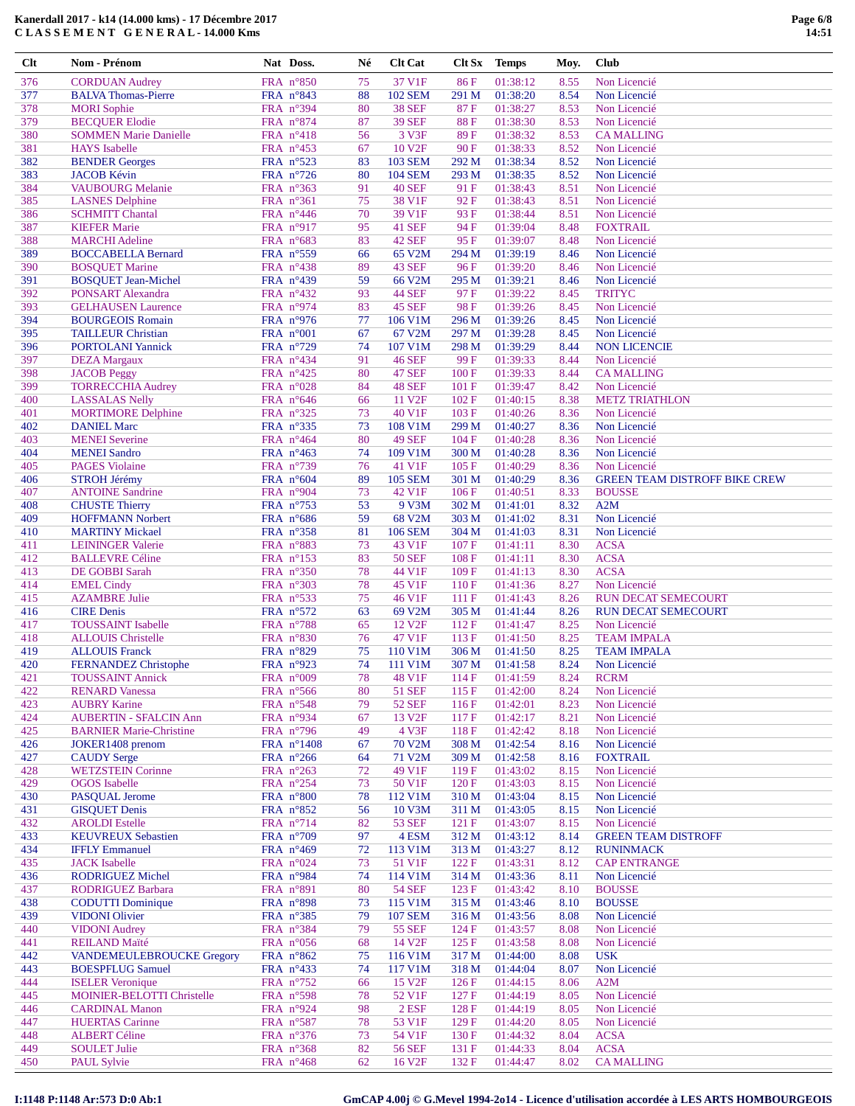| Clt        | Nom - Prénom                             | Nat Doss.              | Né       | <b>Clt Cat</b>          |               | Clt Sx Temps         | Moy.              | Club                                 |
|------------|------------------------------------------|------------------------|----------|-------------------------|---------------|----------------------|-------------------|--------------------------------------|
| 376        | <b>CORDUAN Audrey</b>                    | FRA n°850              | 75       | 37 V1F                  | 86 F          | 01:38:12             | 8.55              | Non Licencié                         |
| 377        | <b>BALVA</b> Thomas-Pierre               | FRA n°843              | 88       | <b>102 SEM</b>          | 291 M         | 01:38:20             | 8.54              | Non Licencié                         |
| 378        | <b>MORI</b> Sophie                       | FRA n°394              | 80       | <b>38 SEF</b>           | 87F           | 01:38:27             | 8.53              | Non Licencié                         |
| 379        | <b>BECQUER Elodie</b>                    | FRA n°874              | 87       | <b>39 SEF</b>           | 88F           | 01:38:30             | 8.53              | Non Licencié                         |
| 380        | <b>SOMMEN Marie Danielle</b>             | FRA n°418              | 56       | 3 V3F                   | 89F           | 01:38:32             | 8.53              | <b>CAMALLING</b>                     |
| 381        | <b>HAYS</b> Isabelle                     | FRA n°453              | 67       | 10 V <sub>2F</sub>      | 90F           | 01:38:33             | 8.52              | Non Licencié                         |
| 382        | <b>BENDER</b> Georges                    | FRA n°523              | 83       | <b>103 SEM</b>          | 292 M         | 01:38:34             | 8.52              | Non Licencié                         |
| 383        | <b>JACOB Kévin</b>                       | FRA n°726              | 80       | <b>104 SEM</b>          | 293 M         | 01:38:35             | 8.52              | Non Licencié                         |
| 384        | <b>VAUBOURG</b> Melanie                  | FRA n°363              | 91       | <b>40 SEF</b>           | 91 F          | 01:38:43             | 8.51              | Non Licencié                         |
| 385        | <b>LASNES Delphine</b>                   | FRA n°361              | 75       | 38 V1F                  | 92 F          | 01:38:43             | 8.51              | Non Licencié                         |
| 386        | <b>SCHMITT Chantal</b>                   | FRA n°446              | 70       | 39 V1F                  | 93 F          | 01:38:44             | 8.51              | Non Licencié                         |
| 387        | <b>KIEFER Marie</b>                      | FRA n°917              | 95       | <b>41 SEF</b>           | 94 F          | 01:39:04             | 8.48              | <b>FOXTRAIL</b>                      |
| 388        | <b>MARCHI</b> Adeline                    | FRA n°683              | 83       | <b>42 SEF</b>           | 95F           | 01:39:07             | 8.48              | Non Licencié                         |
| 389        | <b>BOCCABELLA Bernard</b>                | FRA n°559              | 66       | 65 V2M                  | 294 M         | 01:39:19             | 8.46              | Non Licencié                         |
| 390        | <b>BOSQUET Marine</b>                    | FRA n°438              | 89       | 43 SEF                  | 96 F          | 01:39:20             | 8.46              | Non Licencié                         |
| 391        | <b>BOSQUET Jean-Michel</b>               | FRA n°439              | 59       | 66 V2M                  | 295 M         | 01:39:21             | 8.46              | Non Licencié                         |
| 392        | PONSART Alexandra                        | FRA n°432              | 93       | <b>44 SEF</b>           | 97 F          | 01:39:22             | 8.45              | <b>TRITYC</b>                        |
| 393        | <b>GELHAUSEN Laurence</b>                | FRA n°974              | 83       | <b>45 SEF</b>           | 98F           | 01:39:26             | 8.45              | Non Licencié                         |
| 394        | <b>BOURGEOIS Romain</b>                  | FRA n°976              | 77       | 106 V1M                 | 296 M         | 01:39:26             | 8.45              | Non Licencié                         |
| 395        | <b>TAILLEUR Christian</b>                | FRA $n^{\circ}001$     | 67       | 67 V2M                  | 297 M         | 01:39:28             | 8.45              | Non Licencié                         |
| 396        | <b>PORTOLANI</b> Yannick                 | FRA n°729              | 74       | 107 V1M                 | 298 M         | 01:39:29             | 8.44              | <b>NON LICENCIE</b>                  |
| 397        | <b>DEZA</b> Margaux                      | FRA n°434              | 91       | <b>46 SEF</b>           | 99 F          | 01:39:33             | 8.44              | Non Licencié                         |
| 398        | <b>JACOB</b> Peggy                       | FRA n°425              | 80       | <b>47 SEF</b>           | 100F          | 01:39:33             | 8.44              | <b>CAMALLING</b>                     |
| 399        | <b>TORRECCHIA Audrey</b>                 | FRA n°028              | 84       | <b>48 SEF</b>           | 101 F         | 01:39:47             | 8.42              | Non Licencié                         |
| 400        | <b>LASSALAS Nelly</b>                    | FRA $n^{\circ}646$     | 66       | 11 V <sub>2F</sub>      | 102 F         | 01:40:15             | 8.38              | <b>METZ TRIATHLON</b>                |
| 401        | <b>MORTIMORE Delphine</b>                | FRA n°325              | 73       | 40 V1F                  | 103 F         | 01:40:26             | 8.36              | Non Licencié                         |
| 402        | <b>DANIEL Marc</b>                       | FRA n°335              | 73       | 108 V1M                 | 299 M         | 01:40:27             | 8.36              | Non Licencié                         |
| 403        | <b>MENEI</b> Severine                    | FRA n°464              | 80       | <b>49 SEF</b>           | 104 F         | 01:40:28             | 8.36              | Non Licencié                         |
| 404        | <b>MENEI</b> Sandro                      | FRA $n^{\circ}463$     | 74       | 109 V1M                 | 300 M         | 01:40:28             | 8.36              | Non Licencié                         |
| 405        | <b>PAGES</b> Violaine                    | FRA n°739              | 76       | 41 V1F                  | 105 F         | 01:40:29             | 8.36              | Non Licencié                         |
| 406        | <b>STROH Jérémy</b>                      | FRA $n^{\circ}604$     | 89       | <b>105 SEM</b>          | 301 M         | 01:40:29             | 8.36              | <b>GREEN TEAM DISTROFF BIKE CREW</b> |
| 407        | <b>ANTOINE Sandrine</b>                  | FRA n°904              | 73       | 42 V1F                  | 106 F         | 01:40:51             | 8.33              | <b>BOUSSE</b>                        |
| 408        | <b>CHUSTE</b> Thierry                    | FRA n°753              | 53       | 9 V3M                   | 302 M         | 01:41:01             | 8.32              | A2M                                  |
| 409        | <b>HOFFMANN Norbert</b>                  | FRA n°686              | 59       | 68 V2M                  | 303 M         | 01:41:02             | 8.31              | Non Licencié                         |
| 410        | <b>MARTINY Mickael</b>                   | FRA $n^{\circ}358$     | 81       | <b>106 SEM</b>          | 304 M         | 01:41:03             | 8.31              | Non Licencié                         |
| 411        | <b>LEININGER Valerie</b>                 | FRA n°883<br>FRA n°153 | 73<br>83 | 43 V1F<br><b>50 SEF</b> | 107 F<br>108F | 01:41:11<br>01:41:11 | 8.30              | <b>ACSA</b><br><b>ACSA</b>           |
| 412<br>413 | <b>BALLEVRE Céline</b><br>DE GOBBI Sarah | FRA n°350              | 78       | 44 V1F                  | 109 F         | 01:41:13             | 8.30<br>8.30      | <b>ACSA</b>                          |
| 414        | <b>EMEL Cindy</b>                        | FRA n°303              | 78       | 45 V1F                  | 110F          | 01:41:36             | 8.27              | Non Licencié                         |
| 415        | <b>AZAMBRE Julie</b>                     | FRA n°533              | 75       | 46 V1F                  | 111F          | 01:41:43             | 8.26              | <b>RUN DECAT SEMECOURT</b>           |
| 416        | <b>CIRE</b> Denis                        | FRA n°572              | 63       | 69 V2M                  | 305 M         | 01:41:44             | 8.26              | <b>RUN DECAT SEMECOURT</b>           |
| 417        | <b>TOUSSAINT</b> Isabelle                | FRA n°788              | 65       | 12 V <sub>2F</sub>      | 112F          | 01:41:47             | 8.25              | Non Licencié                         |
| 418        | <b>ALLOUIS Christelle</b>                | FRA n°830              | 76       | 47 V1F                  | 113 F         | 01:41:50             | 8.25              | <b>TEAM IMPALA</b>                   |
| 419        | <b>ALLOUIS Franck</b>                    | FRA n°829              | 75       | 110 V1M                 |               | 306 M 01:41:50       | 8.25              | <b>TEAM IMPALA</b>                   |
| 420        | <b>FERNANDEZ Christophe</b>              | FRA $n^{\circ}923$     | 74       | 111 V1M                 | 307 M         | 01:41:58             | 8.24              | Non Licencié                         |
| 421        | <b>TOUSSAINT Annick</b>                  | FRA n°009              | 78       | 48 V1F                  | 114F          | 01:41:59             | 8.24              | <b>RCRM</b>                          |
| 422        | <b>RENARD Vanessa</b>                    | FRA $n^{\circ}$ 566    | 80       | <b>51 SEF</b>           | 115F          | 01:42:00             | 8.24              | Non Licencié                         |
| 423        | <b>AUBRY Karine</b>                      | FRA n°548              | 79       | <b>52 SEF</b>           | 116F          | 01:42:01             | 8.23              | Non Licencié                         |
| 424        | <b>AUBERTIN - SFALCIN Ann</b>            | FRA n°934              | 67       | 13 V <sub>2F</sub>      | 117F          | 01:42:17             | 8.21              | Non Licencié                         |
| 425        | <b>BARNIER Marie-Christine</b>           | FRA $n^{\circ}$ 796    | 49       | 4 V3F                   | 118F          | 01:42:42             | 8.18              | Non Licencié                         |
| 426        | JOKER1408 prenom                         | FRA n°1408             | 67       | 70 V2M                  | 308 M         | 01:42:54             | 8.16              | Non Licencié                         |
| 427        | <b>CAUDY</b> Serge                       | FRA $n^{\circ}266$     | 64       | 71 V2M                  | 309 M         | 01:42:58             | 8.16              | <b>FOXTRAIL</b>                      |
| 428        | <b>WETZSTEIN Corinne</b>                 | FRA n°263              | 72       | 49 V1F                  | 119F          | 01:43:02             | 8.15              | Non Licencié                         |
| 429        | <b>OGOS</b> Isabelle                     | FRA $n^{\circ}254$     | 73       | 50 V1F                  | 120 F         | 01:43:03             | 8.15              | Non Licencié                         |
| 430        | PASQUAL Jerome                           | FRA n°800              | 78       | 112 V1M                 | 310 M         | 01:43:04             | 8.15              | Non Licencié                         |
| 431        | <b>GISQUET Denis</b>                     | FRA n°852              | 56       | 10 V3M                  | 311 M         | 01:43:05             | 8.15              | Non Licencié                         |
| 432        | <b>AROLDI</b> Estelle                    | FRA n°714              | 82       | <b>53 SEF</b>           | 121 F         | 01:43:07             | 8.15              | Non Licencié                         |
| 122        | <b>VEHMBEHV Cohootic</b>                 | $EDA = 9700$           | 07       | $A$ ECM                 | 212M          | 01.42.12             | $Q = 1 \text{ A}$ | CREEM TE AM DICTROED                 |

|            | I:1148 P:1148 Ar:573 D:0 Ab:1                                |                                           |          |                              |                |                      |              | GmCAP 4.00j © G.Mevel 1994-2014 - Licence d'utilisation accordée à LES ARTS HOMBOURGEOIS |
|------------|--------------------------------------------------------------|-------------------------------------------|----------|------------------------------|----------------|----------------------|--------------|------------------------------------------------------------------------------------------|
| 450        | PAUL Sylvie                                                  | FRA $n^{\circ}468$                        | 62       | 16 V <sub>2F</sub>           | 132 F          | 01:44:47             | 8.02         | <b>CAMALLING</b>                                                                         |
| 449        | <b>SOULET Julie</b>                                          | FRA $n^{\circ}368$                        | 82       | 56 SEF                       | 131 F          | 01:44:33             | 8.04         | <b>ACSA</b>                                                                              |
| 448        | <b>ALBERT Céline</b>                                         | FRA n°376                                 | 73       | 54 V1F                       | 130 F          | 01:44:32             | 8.04         | <b>ACSA</b>                                                                              |
| 447        | <b>HUERTAS Carinne</b>                                       | FRA n°587                                 | 78       | 53 V1F                       | 129F           | 01:44:20             | 8.05         | Non Licencié                                                                             |
| 446        | <b>CARDINAL Manon</b>                                        | FRA $n^{\circ}924$                        | 98       | $2$ ESF                      | 128 F          | 01:44:19             | 8.05         | Non Licencié                                                                             |
| 444<br>445 | <b>ISELER</b> Veronique<br><b>MOINIER-BELOTTI Christelle</b> | FRA $n^{\circ}$ 752<br>FRA n°598          | 66<br>78 | 15 V <sub>2F</sub><br>52 V1F | 126 F<br>127F  | 01:44:15<br>01:44:19 | 8.06<br>8.05 | A2M<br>Non Licencié                                                                      |
| 443        | <b>BOESPFLUG Samuel</b>                                      | FRA $n^{\circ}433$                        | 74       | 117 V1M                      | 318 M          | 01:44:04             | 8.07         | Non Licencié                                                                             |
| 442        | <b>VANDEMEULEBROUCKE Gregory</b>                             | FRA n°862                                 | 75       | 116 V1M                      | 317 M          | 01:44:00             | 8.08         | <b>USK</b>                                                                               |
| 441        | <b>REILAND Maïté</b>                                         | FRA $n^{\circ}056$                        | 68       | 14 V <sub>2F</sub>           | 125 F          | 01:43:58             | 8.08         | Non Licencié                                                                             |
| 440        | <b>VIDONI</b> Audrey                                         | FRA $n^{\circ}384$                        | 79       | 55 SEF                       | 124F           | 01:43:57             | 8.08         | Non Licencié                                                                             |
| 439        | <b>VIDONI Olivier</b>                                        | FRA n°385                                 | 79       | <b>107 SEM</b>               | 316 M          | 01:43:56             | 8.08         | Non Licencié                                                                             |
| 437<br>438 | RODRIGUEZ Barbara<br><b>CODUTTI Dominique</b>                | FRA n°891<br>FRA $n^{\circ}898$           | 80<br>73 | <b>54 SEF</b><br>115 V1M     | 123 F<br>315 M | 01:43:42<br>01:43:46 | 8.10<br>8.10 | <b>BOUSSE</b><br><b>BOUSSE</b>                                                           |
| 436        | <b>RODRIGUEZ Michel</b>                                      | FRA n°984                                 | 74       | 114 V1M                      | 314 M          | 01:43:36             | 8.11         | Non Licencié                                                                             |
| 435        | <b>JACK</b> Isabelle                                         | FRA $n^{\circ}024$                        | 73       | 51 V1F                       | 122F           | 01:43:31             | 8.12         | <b>CAP ENTRANGE</b>                                                                      |
| 434        | <b>IFFLY Emmanuel</b>                                        | FRA $n^{\circ}469$                        | 72       | 113 V1M                      | 313 M          | 01:43:27             | 8.12         | <b>RUNINMACK</b>                                                                         |
| 433        | <b>KEUVREUX Sebastien</b>                                    | FRA $n^{\circ}709$                        | 97       | 4 ESM                        | 312 M          | 01:43:12             | 8.14         | <b>GREEN TEAM DISTROFF</b>                                                               |
| 432        | <b>AROLDI</b> Estelle                                        | FRA $n^{\circ}$ 714                       | 82       | <b>53 SEF</b>                | 121 F          | 01:43:07             | 8.15         | Non Licencié                                                                             |
| 430<br>431 | PASQUAL Jerome<br><b>GISQUET Denis</b>                       | FRA $n^{\circ}800$<br>FRA $n^{\circ}852$  | 78<br>56 | 112 V1M<br>10 V3M            | 310 M<br>311 M | 01:43:04<br>01:43:05 | 8.15<br>8.15 | Non Licencié<br>Non Licencié                                                             |
| 429        | <b>OGOS</b> Isabelle                                         | FRA $n^{\circ}254$                        | 73       | 50 V1F                       | 120 F          | 01:43:03             | 8.15         | Non Licencié                                                                             |
| 428        | <b>WETZSTEIN Corinne</b>                                     | FRA $n^{\circ}263$                        | 72       | 49 V1F                       | 119F           | 01:43:02             | 8.15         | Non Licencié                                                                             |
| 427        | <b>CAUDY Serge</b>                                           | FRA $n^{\circ}266$                        | 64       | 71 V2M                       | 309 M          | 01:42:58             | 8.16         | <b>FOXTRAIL</b>                                                                          |
| 426        | JOKER1408 prenom                                             | FRA $n^{\circ}1408$                       | 67       | 70 V2M                       | 308 M          | 01:42:54             | 8.16         | Non Licencié                                                                             |
| 425        | <b>BARNIER Marie-Christine</b>                               | FRA n°796                                 | 49       | 4 V3F                        | $118 F$        | 01:42:42             | 8.18         | Non Licencié                                                                             |
| 423<br>424 | <b>AUBRY Karine</b><br><b>AUBERTIN - SFALCIN Ann</b>         | FRA $n^{\circ}548$<br>FRA $n^{\circ}934$  | 79<br>67 | 52 SEF<br>13 V <sub>2F</sub> | 116F<br>117F   | 01:42:01<br>01:42:17 | 8.23<br>8.21 | Non Licencié<br>Non Licencié                                                             |
| 422        | <b>RENARD</b> Vanessa                                        | FRA $n^{\circ}$ 566                       | 80       | 51 SEF                       | 115F           | 01:42:00             | 8.24         | Non Licencié                                                                             |
| 421        | <b>TOUSSAINT Annick</b>                                      | FRA $n^{\circ}009$                        | 78       | 48 V1F                       | 114F           | 01:41:59             | 8.24         | <b>RCRM</b>                                                                              |
| 420        | <b>FERNANDEZ Christophe</b>                                  | FRA $n^{\circ}923$                        | 74       | 111 V1M                      | 307 M          | 01:41:58             | 8.24         | Non Licencié                                                                             |
| 419        | <b>ALLOUIS Franck</b>                                        | FRA $n^{\circ}829$                        | 75       | 110 V1M                      | 306 M          | 01:41:50             | 8.25         | <b>TEAM IMPALA</b>                                                                       |
| 418        | <b>ALLOUIS Christelle</b>                                    | FRA $n^{\circ}830$                        | 76       | 47 V1F                       | 113F           | 01:41:50             | 8.25         | <b>TEAM IMPALA</b>                                                                       |
| 416<br>417 | <b>CIRE</b> Denis<br><b>TOUSSAINT</b> Isabelle               | FRA $n^{\circ}572$<br>FRA n°788           | 63<br>65 | 69 V2M<br>12 V <sub>2F</sub> | 305 M<br>112F  | 01:41:44<br>01:41:47 | 8.26<br>8.25 | <b>RUN DECAT SEMECOURT</b><br>Non Licencié                                               |
| 415        | <b>AZAMBRE Julie</b>                                         | FRA n°533                                 | 75       | 46 V1F                       | 111F           | 01:41:43             | 8.26         | <b>RUN DECAT SEMECOURT</b>                                                               |
| 414        | <b>EMEL Cindy</b>                                            | FRA $n^{\circ}303$                        | 78       | 45 V1F                       | 110F           | 01:41:36             | 8.27         | Non Licencié                                                                             |
| 413        | DE GOBBI Sarah                                               | FRA $n^{\circ}350$                        | 78       | 44 V1F                       | 109 F          | 01:41:13             | 8.30         | <b>ACSA</b>                                                                              |
| 412        | <b>BALLEVRE Céline</b>                                       | FRA $n^{\circ}153$                        | 83       | <b>50 SEF</b>                | 108 F          | 01:41:11             | 8.30         | <b>ACSA</b>                                                                              |
| 411        | <b>LEININGER Valerie</b>                                     | FRA n°883                                 | 73       | 43 V1F                       | 107F           | 01:41:11             | 8.30         | <b>ACSA</b>                                                                              |
| 410        | <b>MARTINY Mickael</b>                                       | FRA n°358                                 | 81       | <b>106 SEM</b>               | 304 M          | 01:41:03             | 8.31         | Non Licencié                                                                             |
| 408<br>409 | <b>CHUSTE Thierry</b><br><b>HOFFMANN Norbert</b>             | FRA $n^{\circ}$ 753<br>FRA $n^{\circ}686$ | 53<br>59 | 9 V3M<br>68 V2M              | 302 M<br>303 M | 01:41:01<br>01:41:02 | 8.32<br>8.31 | A2M<br>Non Licencié                                                                      |
| 407        | <b>ANTOINE Sandrine</b>                                      | FRA n°904                                 | 73       | 42 V1F                       | 106F           | 01:40:51             | 8.33         | <b>BOUSSE</b>                                                                            |
| 406        | <b>STROH Jérémy</b>                                          | FRA $n^{\circ}604$                        | 89       | <b>105 SEM</b>               | 301 M          | 01:40:29             | 8.36         | <b>GREEN TEAM DISTROFF BIKE CREW</b>                                                     |
| 405        | <b>PAGES</b> Violaine                                        | FRA n°739                                 | 76       | 41 V1F                       | 105 F          | 01:40:29             | 8.36         | Non Licencié                                                                             |
| 404        | <b>MENEI</b> Sandro                                          | FRA n°463                                 | 74       | 109 V1M                      | 300 M          | 01:40:28             | 8.36         | Non Licencié                                                                             |
| 403        | <b>MENEI</b> Severine                                        | FRA $n^{\circ}464$                        | 80       | <b>49 SEF</b>                | 104 F          | 01:40:28             | 8.36         | Non Licencié                                                                             |
| 401<br>402 | <b>MORTIMORE Delphine</b><br><b>DANIEL Marc</b>              | FRA n°325<br>FRA $n^{\circ}335$           | 73<br>73 | 40 V1F<br>108 V1M            | 103F<br>299 M  | 01:40:26<br>01:40:27 | 8.36<br>8.36 | Non Licencié<br>Non Licencié                                                             |
| 400        | <b>LASSALAS Nelly</b>                                        | FRA $n^{\circ}646$                        | 66       | 11 V <sub>2F</sub>           | 102 F          | 01:40:15             | 8.38         | <b>METZ TRIATHLON</b>                                                                    |
| 399        | <b>TORRECCHIA Audrey</b>                                     | FRA $n^{\circ}028$                        | 84       | <b>48 SEF</b>                | 101 F          | 01:39:47             | 8.42         | Non Licencié                                                                             |
| 398        | <b>JACOB</b> Peggy                                           | FRA $n^{\circ}425$                        | 80       | 47 SEF                       | 100 F          | 01:39:33             | 8.44         | <b>CAMALLING</b>                                                                         |
| 397        | <b>DEZA</b> Margaux                                          | FRA $n^{\circ}434$                        | 91       | <b>46 SEF</b>                | 99F            | 01:39:33             | 8.44         | Non Licencié                                                                             |
| 396        | <b>PORTOLANI Yannick</b>                                     | FRA n°729                                 | 74       | 107 V1M                      | 298 M          | 01:39:29             | 8.44         | <b>NON LICENCIE</b>                                                                      |
| 395        | <b>TAILLEUR Christian</b>                                    | FRA $n^{\circ}001$                        | 67       | 67 V2M                       | 297 M          | 01:39:28             | 8.45         | Non Licencié                                                                             |
| 393<br>394 | <b>GELHAUSEN Laurence</b><br><b>BOURGEOIS Romain</b>         | FRA $n^{\circ}974$<br>FRA $n^{\circ}976$  | 83<br>77 | <b>45 SEF</b><br>106 V1M     | 98F<br>296 M   | 01:39:26<br>01:39:26 | 8.45<br>8.45 | Non Licencié<br>Non Licencié                                                             |
| 392        | PONSART Alexandra                                            | FRA $n^{\circ}432$                        | 93       | <b>44 SEF</b>                | 97F            | 01:39:22             | 8.45         | <b>TRITYC</b>                                                                            |
| 391        | <b>BOSQUET Jean-Michel</b>                                   | FRA n°439                                 | 59       | 66 V2M                       | 295 M          | 01:39:21             | 8.46         | Non Licencié                                                                             |
| 390        | <b>BOSQUET Marine</b>                                        | FRA n°438                                 | 89       | 43 SEF                       | 96F            | 01:39:20             | 8.46         | Non Licencié                                                                             |
| 389        | <b>BOCCABELLA Bernard</b>                                    | FRA n°559                                 | 66       | 65 V2M                       | 294 M          | 01:39:19             | 8.46         | Non Licencié                                                                             |
| 388        | <b>KIEFER Marie</b><br><b>MARCHI</b> Adeline                 | FRA $n^{\circ}917$<br>FRA $n^{\circ}683$  | 95<br>83 | 42 SEF                       | 95F            | 01:39:07             | 8.48         | Non Licencié                                                                             |
| 386<br>387 | <b>SCHMITT Chantal</b>                                       | FRA n°446                                 | 70       | 39 V1F<br><b>41 SEF</b>      | 93F<br>94 F    | 01:38:44<br>01:39:04 | 8.51<br>8.48 | Non Licencié<br><b>FOXTRAIL</b>                                                          |
| 385        | <b>LASNES</b> Delphine                                       | FRA $n^{\circ}361$                        | 75       | 38 V1F                       | 92 F           | 01:38:43             | 8.51         | Non Licencié                                                                             |
| 384        | <b>VAUBOURG</b> Melanie                                      | FRA $n^{\circ}363$                        | 91       | <b>40 SEF</b>                | 91F            | 01:38:43             | 8.51         | Non Licencié                                                                             |
| 383        | <b>JACOB</b> Kévin                                           | FRA $n^{\circ}$ 726                       | 80       | <b>104 SEM</b>               | 293 M          | 01:38:35             | 8.52         | Non Licencié                                                                             |
| 382        | <b>BENDER Georges</b>                                        | FRA $n^{\circ}523$                        | 83       | <b>103 SEM</b>               | 292 M          | 01:38:34             | 8.52         | Non Licencié                                                                             |
| 380<br>381 | <b>SOMMEN Marie Danielle</b><br><b>HAYS</b> Isabelle         | FRA n°418<br>FRA n°453                    | 56<br>67 | 3 V3F<br>10 V <sub>2F</sub>  | 89F<br>90F     | 01:38:32<br>01:38:33 | 8.53<br>8.52 | <b>CA MALLING</b><br>Non Licencié                                                        |
| 379        | <b>BECQUER Elodie</b>                                        | FRA n°874                                 | 87       | <b>39 SEF</b>                | 88F            | 01:38:30             | 8.53         | Non Licencié                                                                             |
| 378        | <b>MORI</b> Sophie                                           | FRA n°394                                 | 80       | <b>38 SEF</b>                | 87 F           | 01:38:27             | 8.53         | Non Licencié                                                                             |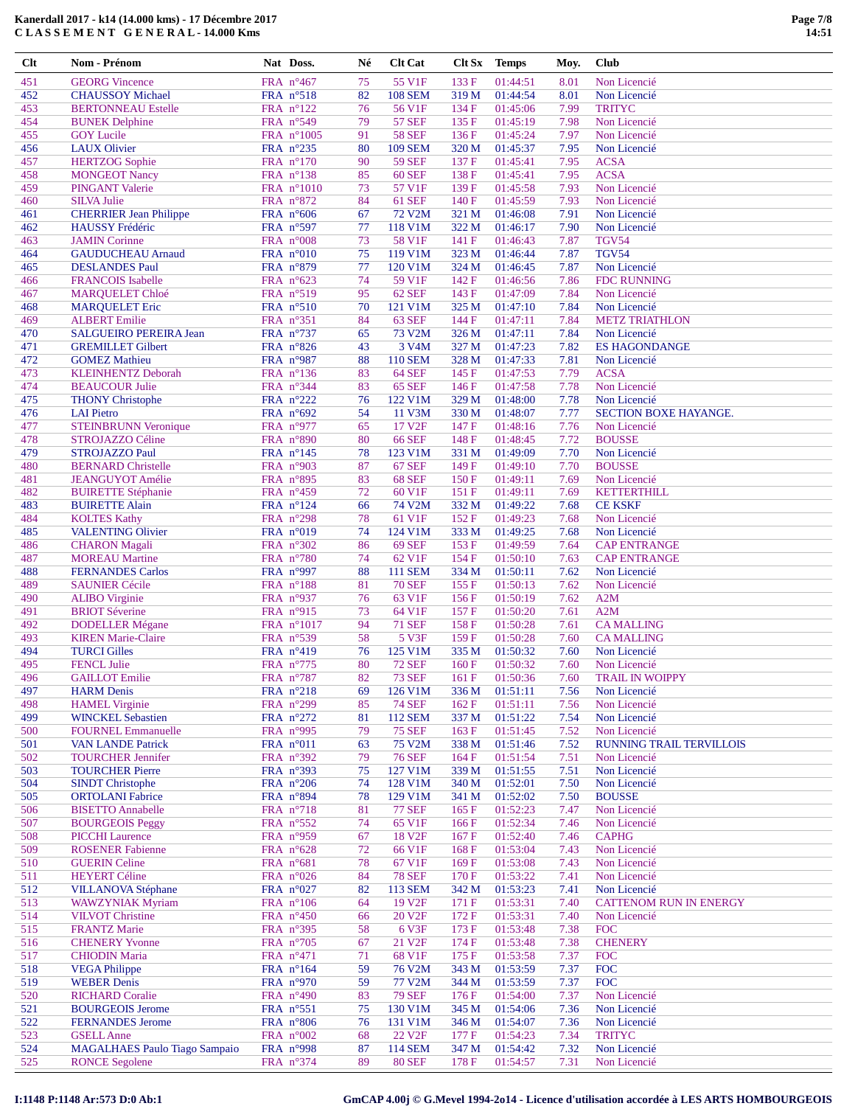**Clt Nom - Prénom Nat Doss. Né Clt Cat Clt Sx Temps Moy. Club** 451 GEORG Vincence FRA n°467 75 55 V1F 133 F 01:44:51 8.01 Non Licencié

| 452 | <b>CHAUSSOY Michael</b>              | FRA $n^{\circ}518$              | 82 | <b>108 SEM</b>     | 319 M | 01:44:54       | 8.01 | Non Licencié                  |
|-----|--------------------------------------|---------------------------------|----|--------------------|-------|----------------|------|-------------------------------|
| 453 | <b>BERTONNEAU Estelle</b>            | FRA $n^{\circ}122$              | 76 | 56 V1F             | 134 F | 01:45:06       | 7.99 | <b>TRITYC</b>                 |
| 454 | <b>BUNEK</b> Delphine                | FRA n°549                       | 79 | <b>57 SEF</b>      | 135F  | 01:45:19       | 7.98 | Non Licencié                  |
| 455 | <b>GOY Lucile</b>                    | FRA $n^{\circ}1005$             | 91 | <b>58 SEF</b>      | 136 F | 01:45:24       | 7.97 | Non Licencié                  |
| 456 | <b>LAUX Olivier</b>                  | FRA $n^{\circ}235$              | 80 | <b>109 SEM</b>     | 320 M | 01:45:37       | 7.95 | Non Licencié                  |
| 457 | <b>HERTZOG</b> Sophie                | FRA n°170                       | 90 | <b>59 SEF</b>      | 137 F | 01:45:41       | 7.95 | <b>ACSA</b>                   |
| 458 | <b>MONGEOT Nancy</b>                 | FRA $n^{\circ}138$              | 85 | <b>60 SEF</b>      | 138 F | 01:45:41       | 7.95 | <b>ACSA</b>                   |
| 459 | <b>PINGANT</b> Valerie               | FRA $n^{\circ}1010$             | 73 | 57 V1F             | 139F  | 01:45:58       | 7.93 | Non Licencié                  |
| 460 | <b>SILVA Julie</b>                   | FRA $n^{\circ}872$              | 84 | <b>61 SEF</b>      | 140 F | 01:45:59       | 7.93 | Non Licencié                  |
| 461 | <b>CHERRIER Jean Philippe</b>        | FRA n°606                       | 67 | 72 V2M             | 321 M | 01:46:08       | 7.91 | Non Licencié                  |
|     | HAUSSY Frédéric                      |                                 | 77 | 118 V1M            | 322 M |                | 7.90 | Non Licencié                  |
| 462 |                                      | FRA $n^{\circ}597$<br>FRA n°008 |    |                    |       | 01:46:17       |      | <b>TGV54</b>                  |
| 463 | <b>JAMIN</b> Corinne                 |                                 | 73 | 58 V1F             | 141 F | 01:46:43       | 7.87 |                               |
| 464 | <b>GAUDUCHEAU Arnaud</b>             | FRA $n^{\circ}010$              | 75 | 119 V1M            | 323 M | 01:46:44       | 7.87 | <b>TGV54</b>                  |
| 465 | <b>DESLANDES Paul</b>                | FRA n°879                       | 77 | 120 V1M            | 324 M | 01:46:45       | 7.87 | Non Licencié                  |
| 466 | <b>FRANCOIS</b> Isabelle             | FRA $n^{\circ}623$              | 74 | 59 V1F             | 142 F | 01:46:56       | 7.86 | <b>FDC RUNNING</b>            |
| 467 | <b>MARQUELET Chloé</b>               | FRA n°519                       | 95 | <b>62 SEF</b>      | 143 F | 01:47:09       | 7.84 | Non Licencié                  |
| 468 | <b>MARQUELET Eric</b>                | FRA n°510                       | 70 | 121 V1M            | 325 M | 01:47:10       | 7.84 | Non Licencié                  |
| 469 | <b>ALBERT Emilie</b>                 | FRA n°351                       | 84 | <b>63 SEF</b>      | 144 F | 01:47:11       | 7.84 | <b>METZ TRIATHLON</b>         |
| 470 | SALGUEIRO PEREIRA Jean               | FRA n°737                       | 65 | 73 V2M             | 326 M | 01:47:11       | 7.84 | Non Licencié                  |
| 471 | <b>GREMILLET Gilbert</b>             | FRA n°826                       | 43 | 3 V <sub>4</sub> M | 327 M | 01:47:23       | 7.82 | <b>ES HAGONDANGE</b>          |
| 472 | <b>GOMEZ Mathieu</b>                 | FRA n°987                       | 88 | <b>110 SEM</b>     | 328 M | 01:47:33       | 7.81 | Non Licencié                  |
| 473 | <b>KLEINHENTZ Deborah</b>            | FRA n°136                       | 83 | <b>64 SEF</b>      | 145 F | 01:47:53       | 7.79 | <b>ACSA</b>                   |
| 474 | <b>BEAUCOUR Julie</b>                | FRA n°344                       | 83 | <b>65 SEF</b>      | 146 F | 01:47:58       | 7.78 | Non Licencié                  |
| 475 | <b>THONY Christophe</b>              | FRA n°222                       | 76 | 122 V1M            | 329 M | 01:48:00       | 7.78 | Non Licencié                  |
| 476 | <b>LAI</b> Pietro                    | FRA $n^{\circ}692$              | 54 | 11 V3M             | 330 M | 01:48:07       | 7.77 | SECTION BOXE HAYANGE.         |
| 477 | <b>STEINBRUNN Veronique</b>          | FRA $n^{\circ}977$              | 65 | 17 V <sub>2F</sub> | 147 F | 01:48:16       | 7.76 | Non Licencié                  |
| 478 | STROJAZZO Céline                     | FRA $n^{\circ}890$              | 80 | <b>66 SEF</b>      | 148 F | 01:48:45       | 7.72 | <b>BOUSSE</b>                 |
| 479 | <b>STROJAZZO Paul</b>                | FRA n°145                       | 78 | 123 V1M            | 331 M | 01:49:09       | 7.70 | Non Licencié                  |
| 480 | <b>BERNARD Christelle</b>            | FRA n°903                       | 87 | <b>67 SEF</b>      | 149 F | 01:49:10       | 7.70 | <b>BOUSSE</b>                 |
|     |                                      |                                 |    |                    |       |                |      |                               |
| 481 | <b>JEANGUYOT</b> Amélie              | FRA $n^{\circ}895$              | 83 | <b>68 SEF</b>      | 150F  | 01:49:11       | 7.69 | Non Licencié                  |
| 482 | <b>BUIRETTE Stéphanie</b>            | FRA n°459                       | 72 | 60 V1F             | 151 F | 01:49:11       | 7.69 | <b>KETTERTHILL</b>            |
| 483 | <b>BUIRETTE Alain</b>                | FRA n°124                       | 66 | 74 V2M             | 332 M | 01:49:22       | 7.68 | <b>CE KSKF</b>                |
| 484 | <b>KOLTES Kathy</b>                  | FRA $n^{\circ}298$              | 78 | 61 V1F             | 152F  | 01:49:23       | 7.68 | Non Licencié                  |
| 485 | <b>VALENTING Olivier</b>             | FRA n°019                       | 74 | 124 V1M            | 333 M | 01:49:25       | 7.68 | Non Licencié                  |
| 486 | <b>CHARON</b> Magali                 | FRA n°302                       | 86 | <b>69 SEF</b>      | 153 F | 01:49:59       | 7.64 | <b>CAP ENTRANGE</b>           |
| 487 | <b>MOREAU</b> Martine                | FRA n°780                       | 74 | 62 V1F             | 154 F | 01:50:10       | 7.63 | <b>CAP ENTRANGE</b>           |
| 488 | <b>FERNANDES Carlos</b>              | FRA $n^{\circ}997$              | 88 | <b>111 SEM</b>     | 334 M | 01:50:11       | 7.62 | Non Licencié                  |
| 489 | <b>SAUNIER Cécile</b>                | FRA n°188                       | 81 | <b>70 SEF</b>      | 155 F | 01:50:13       | 7.62 | Non Licencié                  |
| 490 | <b>ALIBO</b> Virginie                | FRA $n^{\circ}937$              | 76 | 63 V1F             | 156F  | 01:50:19       | 7.62 | A2M                           |
| 491 | <b>BRIOT</b> Séverine                | FRA $n^{\circ}915$              | 73 | 64 V1F             | 157 F | 01:50:20       | 7.61 | A2M                           |
| 492 | <b>DODELLER Mégane</b>               | FRA $n^{\circ}1017$             | 94 | <b>71 SEF</b>      | 158 F | 01:50:28       | 7.61 | <b>CAMALLING</b>              |
| 493 | <b>KIREN Marie-Claire</b>            | FRA $n^{\circ}539$              | 58 | 5 V3F              | 159F  | 01:50:28       | 7.60 | <b>CAMALLING</b>              |
| 494 | <b>TURCI Gilles</b>                  | FRA n°419                       | 76 | 125 V1M            | 335 M | 01:50:32       | 7.60 | Non Licencié                  |
| 495 | <b>FENCL Julie</b>                   | FRA n°775                       | 80 | <b>72 SEF</b>      | 160 F | 01:50:32       | 7.60 | Non Licencié                  |
| 496 | <b>GAILLOT</b> Emilie                | FRA n°787                       | 82 | <b>73 SEF</b>      | 161 F | 01:50:36       | 7.60 | <b>TRAIL IN WOIPPY</b>        |
| 497 | <b>HARM</b> Denis                    | FRA $n^{\circ}218$              | 69 | 126 V1M            | 336 M | 01:51:11       | 7.56 | Non Licencié                  |
| 498 | <b>HAMEL</b> Virginie                | FRA $n^{\circ}299$              | 85 | <b>74 SEF</b>      | 162 F | 01:51:11       | 7.56 | Non Licencié                  |
| 499 | <b>WINCKEL Sebastien</b>             | FRA n°272                       | 81 | 112 SEM            |       | 337 M 01:51:22 | 7.54 | Non Licencié                  |
|     |                                      |                                 |    |                    |       |                |      |                               |
| 500 | <b>FOURNEL Emmanuelle</b>            | FRA $n^{\circ}$ 995             | 79 | <b>75 SEF</b>      | 163 F | 01:51:45       | 7.52 | Non Licencié                  |
| 501 | <b>VAN LANDE Patrick</b>             | FRA n°011                       | 63 | 75 V2M             | 338 M | 01:51:46       | 7.52 | RUNNING TRAIL TERVILLOIS      |
| 502 | <b>TOURCHER Jennifer</b>             | FRA n°392                       | 79 | <b>76 SEF</b>      | 164 F | 01:51:54       | 7.51 | Non Licencié                  |
| 503 | <b>TOURCHER Pierre</b>               | FRA n°393                       | 75 | 127 V1M            | 339 M | 01:51:55       | 7.51 | Non Licencié                  |
| 504 | <b>SINDT Christophe</b>              | FRA n°206                       | 74 | 128 V1M            | 340 M | 01:52:01       | 7.50 | Non Licencié                  |
| 505 | <b>ORTOLANI</b> Fabrice              | FRA n°894                       | 78 | 129 V1M            | 341 M | 01:52:02       | 7.50 | <b>BOUSSE</b>                 |
| 506 | <b>BISETTO Annabelle</b>             | FRA n°718                       | 81 | <b>77 SEF</b>      | 165 F | 01:52:23       | 7.47 | Non Licencié                  |
| 507 | <b>BOURGEOIS Peggy</b>               | FRA $n^{\circ}552$              | 74 | 65 V1F             | 166 F | 01:52:34       | 7.46 | Non Licencié                  |
| 508 | <b>PICCHI</b> Laurence               | FRA $n^{\circ}$ 959             | 67 | 18 V <sub>2F</sub> | 167 F | 01:52:40       | 7.46 | <b>CAPHG</b>                  |
| 509 | <b>ROSENER Fabienne</b>              | FRA $n^{\circ}628$              | 72 | 66 V1F             | 168F  | 01:53:04       | 7.43 | Non Licencié                  |
| 510 | <b>GUERIN Celine</b>                 | FRA $n^{\circ}681$              | 78 | 67 V1F             | 169F  | 01:53:08       | 7.43 | Non Licencié                  |
| 511 | <b>HEYERT Céline</b>                 | FRA n°026                       | 84 | <b>78 SEF</b>      | 170F  | 01:53:22       | 7.41 | Non Licencié                  |
| 512 | <b>VILLANOVA Stéphane</b>            | FRA $n^{\circ}027$              | 82 | 113 SEM            | 342 M | 01:53:23       | 7.41 | Non Licencié                  |
| 513 | <b>WAWZYNIAK Myriam</b>              | FRA $n^{\circ}106$              | 64 | 19 V <sub>2F</sub> | 171 F | 01:53:31       | 7.40 | <b>CATTENOM RUN IN ENERGY</b> |
| 514 | <b>VILVOT Christine</b>              | FRA $n^{\circ}450$              | 66 | 20 V <sub>2F</sub> | 172 F | 01:53:31       | 7.40 | Non Licencié                  |
| 515 | <b>FRANTZ Marie</b>                  | FRA $n^{\circ}395$              | 58 | 6 V3F              | 173 F | 01:53:48       | 7.38 | <b>FOC</b>                    |
|     |                                      |                                 | 67 |                    |       |                | 7.38 | <b>CHENERY</b>                |
| 516 | <b>CHENERY Yvonne</b>                | FRA $n^{\circ}705$              |    | 21 V <sub>2F</sub> | 174 F | 01:53:48       |      |                               |
| 517 | <b>CHIODIN Maria</b>                 | FRA n°471                       | 71 | 68 V1F             | 175F  | 01:53:58       | 7.37 | <b>FOC</b>                    |
| 518 | <b>VEGA Philippe</b>                 | FRA $n^{\circ}164$              | 59 | 76 V2M             | 343 M | 01:53:59       | 7.37 | <b>FOC</b>                    |
| 519 | <b>WEBER Denis</b>                   | FRA $n^{\circ}970$              | 59 | 77 V2M             | 344 M | 01:53:59       | 7.37 | <b>FOC</b>                    |
| 520 | <b>RICHARD Coralie</b>               | FRA $n^{\circ}490$              | 83 | <b>79 SEF</b>      | 176F  | 01:54:00       | 7.37 | Non Licencié                  |
| 521 | <b>BOURGEOIS Jerome</b>              | FRA n°551                       | 75 | 130 V1M            | 345 M | 01:54:06       | 7.36 | Non Licencié                  |
| 522 | <b>FERNANDES</b> Jerome              | FRA $n^{\circ}806$              | 76 | 131 V1M            | 346 M | 01:54:07       | 7.36 | Non Licencié                  |
| 523 | <b>GSELL</b> Anne                    | FRA $n^{\circ}002$              | 68 | 22 V <sub>2F</sub> | 177 F | 01:54:23       | 7.34 | <b>TRITYC</b>                 |
| 524 | <b>MAGALHAES Paulo Tiago Sampaio</b> | FRA $n^{\circ}$ 998             | 87 | <b>114 SEM</b>     | 347 M | 01:54:42       | 7.32 | Non Licencié                  |
| 525 | <b>RONCE Segolene</b>                | FRA n°374                       | 89 | $80\,\mathrm{SEF}$ | 178 F | 01:54:57       | 7.31 | Non Licencié                  |